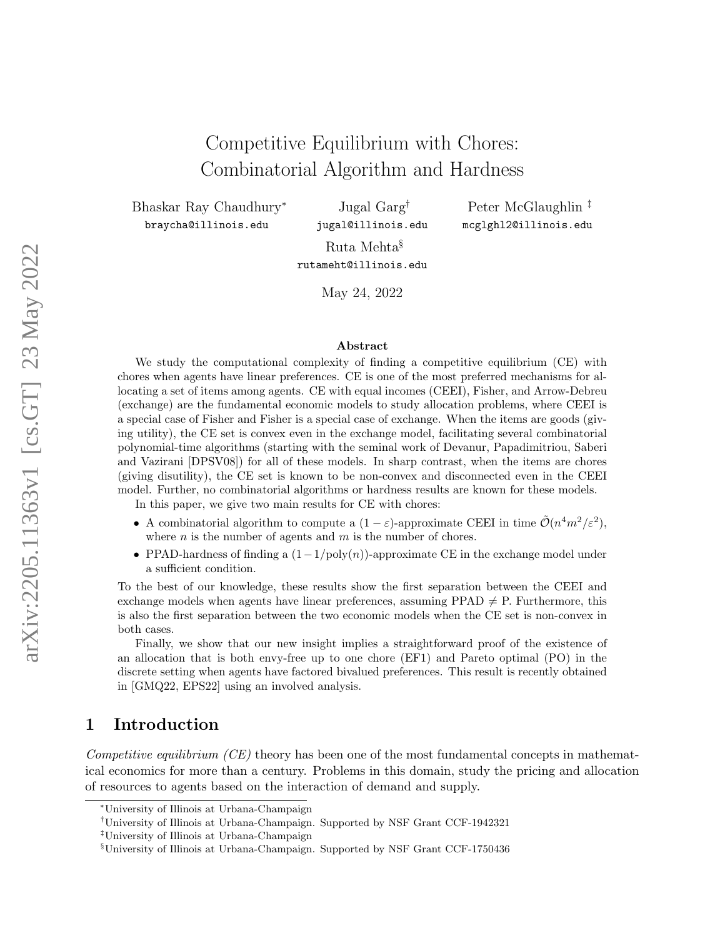# Competitive Equilibrium with Chores: Combinatorial Algorithm and Hardness

Bhaskar Ray Chaudhury<sup>∗</sup> braycha@illinois.edu

Jugal Garg† jugal@illinois.edu

Peter McGlaughlin ‡ mcglghl2@illinois.edu

Ruta Mehta§ rutameht@illinois.edu

May 24, 2022

#### Abstract

We study the computational complexity of finding a competitive equilibrium (CE) with chores when agents have linear preferences. CE is one of the most preferred mechanisms for allocating a set of items among agents. CE with equal incomes (CEEI), Fisher, and Arrow-Debreu (exchange) are the fundamental economic models to study allocation problems, where CEEI is a special case of Fisher and Fisher is a special case of exchange. When the items are goods (giving utility), the CE set is convex even in the exchange model, facilitating several combinatorial polynomial-time algorithms (starting with the seminal work of Devanur, Papadimitriou, Saberi and Vazirani [\[DPSV08\]](#page-42-0)) for all of these models. In sharp contrast, when the items are chores (giving disutility), the CE set is known to be non-convex and disconnected even in the CEEI model. Further, no combinatorial algorithms or hardness results are known for these models.

In this paper, we give two main results for CE with chores:

- A combinatorial algorithm to compute a  $(1 \varepsilon)$ -approximate CEEI in time  $\tilde{\mathcal{O}}(n^4 m^2/\varepsilon^2)$ , where  $n$  is the number of agents and  $m$  is the number of chores.
- PPAD-hardness of finding a  $(1-1/\text{poly}(n))$ -approximate CE in the exchange model under a sufficient condition.

To the best of our knowledge, these results show the first separation between the CEEI and exchange models when agents have linear preferences, assuming PPAD  $\neq$  P. Furthermore, this is also the first separation between the two economic models when the CE set is non-convex in both cases.

Finally, we show that our new insight implies a straightforward proof of the existence of an allocation that is both envy-free up to one chore (EF1) and Pareto optimal (PO) in the discrete setting when agents have factored bivalued preferences. This result is recently obtained in [\[GMQ22,](#page-43-0) [EPS22\]](#page-42-1) using an involved analysis.

## 1 Introduction

Competitive equilibrium  $(CE)$  theory has been one of the most fundamental concepts in mathematical economics for more than a century. Problems in this domain, study the pricing and allocation of resources to agents based on the interaction of demand and supply.

<sup>∗</sup>University of Illinois at Urbana-Champaign

<sup>†</sup>University of Illinois at Urbana-Champaign. Supported by NSF Grant CCF-1942321

<sup>‡</sup>University of Illinois at Urbana-Champaign

<sup>§</sup>University of Illinois at Urbana-Champaign. Supported by NSF Grant CCF-1750436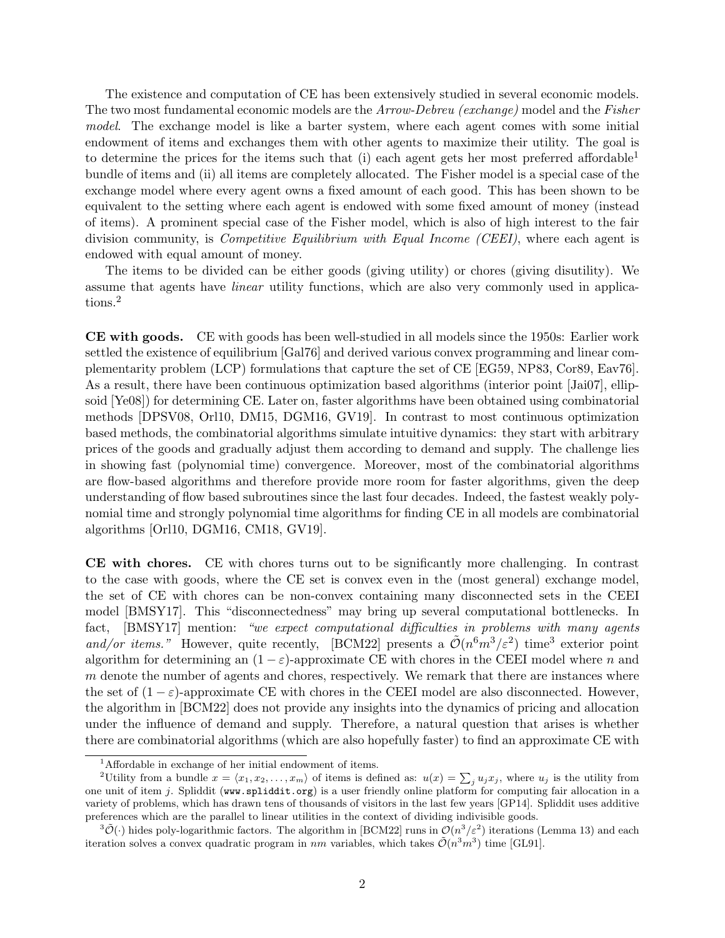The existence and computation of CE has been extensively studied in several economic models. The two most fundamental economic models are the Arrow-Debreu (exchange) model and the Fisher model. The exchange model is like a barter system, where each agent comes with some initial endowment of items and exchanges them with other agents to maximize their utility. The goal is to determine the prices for the items such that (i) each agent gets her most preferred affordable<sup>[1](#page-1-0)</sup> bundle of items and (ii) all items are completely allocated. The Fisher model is a special case of the exchange model where every agent owns a fixed amount of each good. This has been shown to be equivalent to the setting where each agent is endowed with some fixed amount of money (instead of items). A prominent special case of the Fisher model, which is also of high interest to the fair division community, is *Competitive Equilibrium with Equal Income (CEEI)*, where each agent is endowed with equal amount of money.

The items to be divided can be either goods (giving utility) or chores (giving disutility). We assume that agents have linear utility functions, which are also very commonly used in applications.[2](#page-1-1)

CE with goods. CE with goods has been well-studied in all models since the 1950s: Earlier work settled the existence of equilibrium [\[Gal76\]](#page-42-2) and derived various convex programming and linear complementarity problem (LCP) formulations that capture the set of CE [\[EG59,](#page-42-3) [NP83,](#page-43-1) [Cor89,](#page-42-4) [Eav76\]](#page-42-5). As a result, there have been continuous optimization based algorithms (interior point [\[Jai07\]](#page-43-2), ellipsoid [\[Ye08\]](#page-43-3)) for determining CE. Later on, faster algorithms have been obtained using combinatorial methods [\[DPSV08,](#page-42-0) [Orl10,](#page-43-4) [DM15,](#page-42-6) [DGM16,](#page-42-7) [GV19\]](#page-43-5). In contrast to most continuous optimization based methods, the combinatorial algorithms simulate intuitive dynamics: they start with arbitrary prices of the goods and gradually adjust them according to demand and supply. The challenge lies in showing fast (polynomial time) convergence. Moreover, most of the combinatorial algorithms are flow-based algorithms and therefore provide more room for faster algorithms, given the deep understanding of flow based subroutines since the last four decades. Indeed, the fastest weakly polynomial time and strongly polynomial time algorithms for finding CE in all models are combinatorial algorithms [\[Orl10,](#page-43-4) [DGM16,](#page-42-7) [CM18,](#page-41-0) [GV19\]](#page-43-5).

CE with chores. CE with chores turns out to be significantly more challenging. In contrast to the case with goods, where the CE set is convex even in the (most general) exchange model, the set of CE with chores can be non-convex containing many disconnected sets in the CEEI model [\[BMSY17\]](#page-41-1). This "disconnectedness" may bring up several computational bottlenecks. In fact, [\[BMSY17\]](#page-41-1) mention: "we expect computational difficulties in problems with many agents and/or items." However, quite recently, [\[BCM22\]](#page-41-2) presents a  $\tilde{\mathcal{O}}(n^6m^3/\varepsilon^2)$  $\tilde{\mathcal{O}}(n^6m^3/\varepsilon^2)$  $\tilde{\mathcal{O}}(n^6m^3/\varepsilon^2)$  time<sup>3</sup> exterior point algorithm for determining an  $(1 - \varepsilon)$ -approximate CE with chores in the CEEI model where n and  $m$  denote the number of agents and chores, respectively. We remark that there are instances where the set of  $(1 - \varepsilon)$ -approximate CE with chores in the CEEI model are also disconnected. However, the algorithm in [\[BCM22\]](#page-41-2) does not provide any insights into the dynamics of pricing and allocation under the influence of demand and supply. Therefore, a natural question that arises is whether there are combinatorial algorithms (which are also hopefully faster) to find an approximate CE with

<span id="page-1-1"></span><span id="page-1-0"></span><sup>1</sup>Affordable in exchange of her initial endowment of items.

<sup>&</sup>lt;sup>2</sup>Utility from a bundle  $x = \langle x_1, x_2, \ldots, x_m \rangle$  of items is defined as:  $u(x) = \sum_j u_j x_j$ , where  $u_j$  is the utility from one unit of item j. Spliddit (<www.spliddit.org>) is a user friendly online platform for computing fair allocation in a variety of problems, which has drawn tens of thousands of visitors in the last few years [\[GP14\]](#page-43-6). Spliddit uses additive preferences which are the parallel to linear utilities in the context of dividing indivisible goods.

<span id="page-1-2"></span> $\langle 3\tilde{\mathcal{O}}(\cdot)\rangle$  hides poly-logarithmic factors. The algorithm in [\[BCM22\]](#page-41-2) runs in  $\mathcal{O}(n^3/\varepsilon^2)$  iterations (Lemma 13) and each iteration solves a convex quadratic program in nm variables, which takes  $\tilde{\mathcal{O}}(n^3m^3)$  time [\[GL91\]](#page-43-7).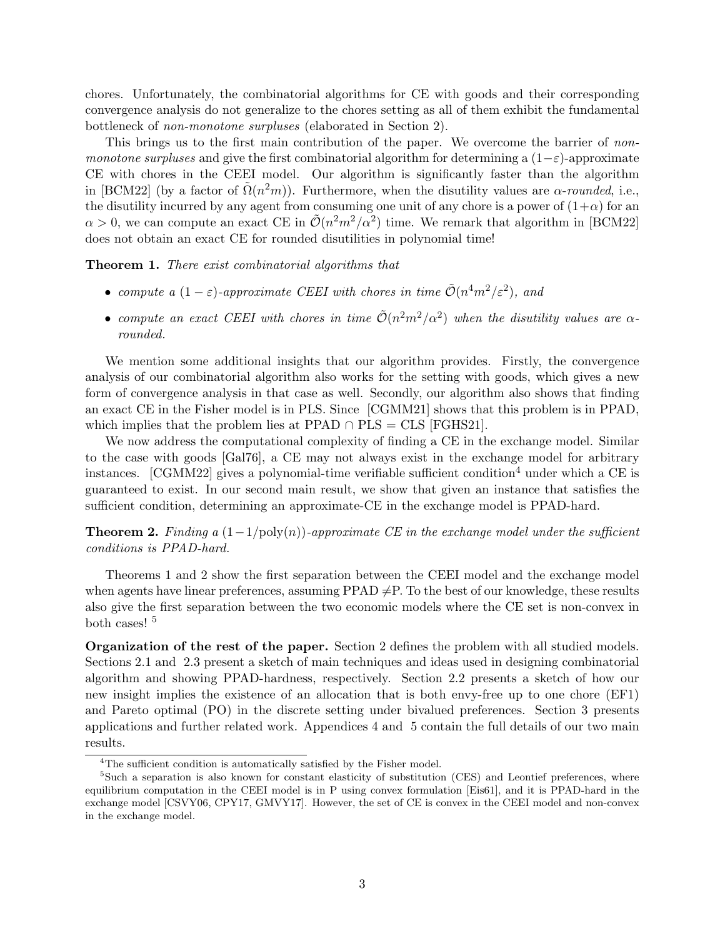chores. Unfortunately, the combinatorial algorithms for CE with goods and their corresponding convergence analysis do not generalize to the chores setting as all of them exhibit the fundamental bottleneck of non-monotone surpluses (elaborated in Section [2\)](#page-4-0).

This brings us to the first main contribution of the paper. We overcome the barrier of nonmonotone surpluses and give the first combinatorial algorithm for determining a  $(1-\varepsilon)$ -approximate CE with chores in the CEEI model. Our algorithm is significantly faster than the algorithm in [\[BCM22\]](#page-41-2) (by a factor of  $\tilde{\Omega}(n^2m)$ ). Furthermore, when the disutility values are  $\alpha$ -rounded, i.e., the disutility incurred by any agent from consuming one unit of any chore is a power of  $(1+\alpha)$  for an  $\alpha > 0$ , we can compute an exact CE in  $\mathcal{O}(n^2m^2/\alpha^2)$  time. We remark that algorithm in [\[BCM22\]](#page-41-2) does not obtain an exact CE for rounded disutilities in polynomial time!

<span id="page-2-1"></span>Theorem 1. There exist combinatorial algorithms that

- compute a  $(1 \varepsilon)$ -approximate CEEI with chores in time  $\tilde{\mathcal{O}}(n^4m^2/\varepsilon^2)$ , and
- compute an exact CEEI with chores in time  $\tilde{\mathcal{O}}(n^2m^2/\alpha^2)$  when the disutility values are  $\alpha$ rounded.

We mention some additional insights that our algorithm provides. Firstly, the convergence analysis of our combinatorial algorithm also works for the setting with goods, which gives a new form of convergence analysis in that case as well. Secondly, our algorithm also shows that finding an exact CE in the Fisher model is in PLS. Since [\[CGMM21\]](#page-41-3) shows that this problem is in PPAD, which implies that the problem lies at PPAD  $\cap$  PLS = CLS [\[FGHS21\]](#page-42-8).

We now address the computational complexity of finding a CE in the exchange model. Similar to the case with goods [\[Gal76\]](#page-42-2), a CE may not always exist in the exchange model for arbitrary instances. [\[CGMM22\]](#page-41-4) gives a polynomial-time verifiable sufficient condition<sup>[4](#page-2-0)</sup> under which a CE is guaranteed to exist. In our second main result, we show that given an instance that satisfies the sufficient condition, determining an approximate-CE in the exchange model is PPAD-hard.

<span id="page-2-2"></span>**Theorem 2.** Finding a  $(1-1/\text{poly}(n))$ -approximate CE in the exchange model under the sufficient conditions is PPAD-hard.

Theorems [1](#page-2-1) and [2](#page-2-2) show the first separation between the CEEI model and the exchange model when agents have linear preferences, assuming PPAD  $\neq$ P. To the best of our knowledge, these results also give the first separation between the two economic models where the CE set is non-convex in both cases!<sup>[5](#page-2-3)</sup>

Organization of the rest of the paper. Section [2](#page-3-0) defines the problem with all studied models. Sections [2.1](#page-5-0) and [2.3](#page-11-0) present a sketch of main techniques and ideas used in designing combinatorial algorithm and showing PPAD-hardness, respectively. Section [2.2](#page-10-0) presents a sketch of how our new insight implies the existence of an allocation that is both envy-free up to one chore (EF1) and Pareto optimal (PO) in the discrete setting under bivalued preferences. Section [3](#page-15-0) presents applications and further related work. Appendices [4](#page-16-0) and [5](#page-29-0) contain the full details of our two main results.

<span id="page-2-3"></span><span id="page-2-0"></span><sup>&</sup>lt;sup>4</sup>The sufficient condition is automatically satisfied by the Fisher model.

<sup>&</sup>lt;sup>5</sup>Such a separation is also known for constant elasticity of substitution (CES) and Leontief preferences, where equilibrium computation in the CEEI model is in P using convex formulation [\[Eis61\]](#page-42-9), and it is PPAD-hard in the exchange model [\[CSVY06,](#page-42-10) [CPY17,](#page-42-11) [GMVY17\]](#page-43-8). However, the set of CE is convex in the CEEI model and non-convex in the exchange model.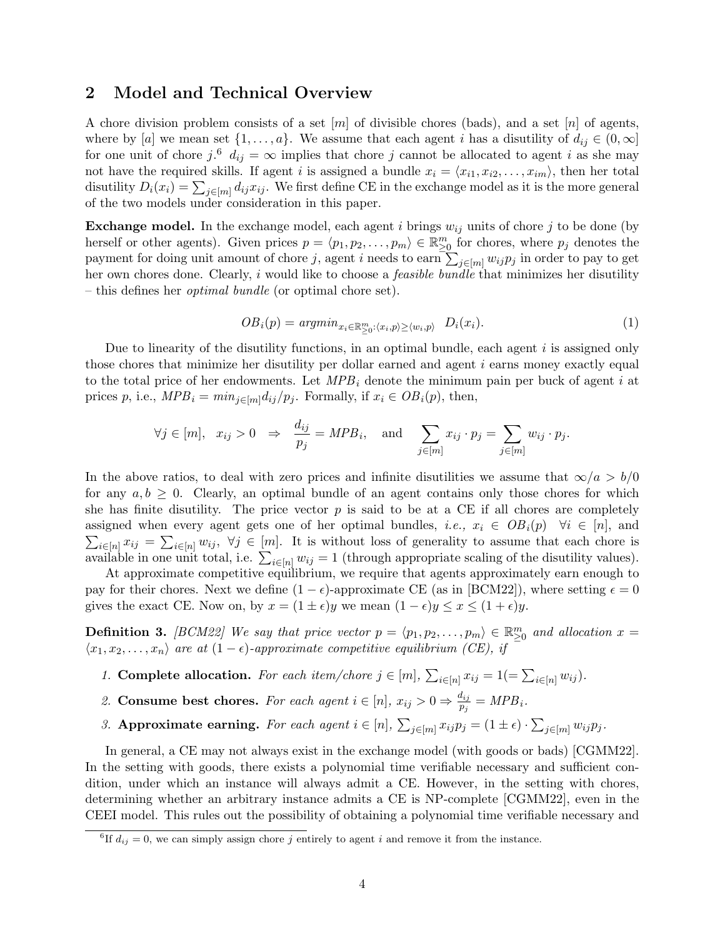## <span id="page-3-0"></span>2 Model and Technical Overview

A chore division problem consists of a set  $[m]$  of divisible chores (bads), and a set  $[n]$  of agents, where by [a] we mean set  $\{1,\ldots,a\}$ . We assume that each agent i has a disutility of  $d_{ij} \in (0,\infty]$ for one unit of chore  $j.\textsuperscript{6}$  $j.\textsuperscript{6}$  $j.\textsuperscript{6}$   $d_{ij} = \infty$  implies that chore j cannot be allocated to agent i as she may not have the required skills. If agent i is assigned a bundle  $x_i = \langle x_{i1}, x_{i2}, \ldots, x_{im} \rangle$ , then her total disutility  $D_i(x_i) = \sum_{j \in [m]} d_{ij} x_{ij}$ . We first define CE in the exchange model as it is the more general of the two models under consideration in this paper.

**Exchange model.** In the exchange model, each agent i brings  $w_{ij}$  units of chore j to be done (by herself or other agents). Given prices  $p = \langle p_1, p_2, \ldots, p_m \rangle \in \mathbb{R}_{\geq 0}^m$  for chores, where  $p_j$  denotes the payment for doing unit amount of chore j, agent i needs to earn  $\sum_{j\in [m]} w_{ij} p_j$  in order to pay to get her own chores done. Clearly, i would like to choose a *feasible bundle* that minimizes her disutility – this defines her optimal bundle (or optimal chore set).

$$
OB_i(p) = argmin_{x_i \in \mathbb{R}^m_{\geq 0}: \langle x_i, p \rangle \geq \langle w_i, p \rangle} D_i(x_i).
$$
 (1)

Due to linearity of the disutility functions, in an optimal bundle, each agent  $i$  is assigned only those chores that minimize her disutility per dollar earned and agent  $i$  earns money exactly equal to the total price of her endowments. Let  $MPB_i$  denote the minimum pain per buck of agent i at prices p, i.e.,  $MPB_i = min_{j \in [m]} d_{ij}/p_j$ . Formally, if  $x_i \in OB_i(p)$ , then,

$$
\forall j \in [m], \quad x_{ij} > 0 \Rightarrow \frac{d_{ij}}{p_j} = MPB_i, \quad \text{and} \quad \sum_{j \in [m]} x_{ij} \cdot p_j = \sum_{j \in [m]} w_{ij} \cdot p_j.
$$

In the above ratios, to deal with zero prices and infinite disutilities we assume that  $\infty/a > b/0$ for any  $a, b \geq 0$ . Clearly, an optimal bundle of an agent contains only those chores for which she has finite disutility. The price vector  $p$  is said to be at a CE if all chores are completely assigned when every agent gets one of her optimal bundles, *i.e.*,  $x_i \in OB_i(p)$   $\forall i \in [n]$ , and  $\sum_{i\in[n]}x_{ij} = \sum_{i\in[n]}w_{ij}$ ,  $\forall j\in[m]$ . It is without loss of generality to assume that each chore is available in one unit total, i.e.  $\sum_{i\in[n]} w_{ij} = 1$  (through appropriate scaling of the disutility values).

At approximate competitive equilibrium, we require that agents approximately earn enough to pay for their chores. Next we define  $(1 - \epsilon)$ -approximate CE (as in [\[BCM22\]](#page-41-2)), where setting  $\epsilon = 0$ gives the exact CE. Now on, by  $x = (1 \pm \epsilon)y$  we mean  $(1 - \epsilon)y \le x \le (1 + \epsilon)y$ .

<span id="page-3-2"></span>**Definition 3.** [\[BCM22\]](#page-41-2) We say that price vector  $p = \langle p_1, p_2, \ldots, p_m \rangle \in \mathbb{R}_{\geq 0}^m$  and allocation  $x =$  $\langle x_1, x_2, \ldots, x_n \rangle$  are at  $(1 - \epsilon)$ -approximate competitive equilibrium (CE), if

- 1. Complete allocation. For each item/chore  $j \in [m]$ ,  $\sum_{i \in [n]} x_{ij} = 1 (= \sum_{i \in [n]} w_{ij}).$
- 2. Consume best chores. For each agent  $i \in [n]$ ,  $x_{ij} > 0 \Rightarrow \frac{d_{ij}}{n_i}$  $\frac{a_{ij}}{p_j} = MPB_i.$
- 3. Approximate earning. For each agent  $i \in [n]$ ,  $\sum_{j \in [m]} x_{ij} p_j = (1 \pm \epsilon) \cdot \sum_{j \in [m]} w_{ij} p_j$ .

In general, a CE may not always exist in the exchange model (with goods or bads) [\[CGMM22\]](#page-41-4). In the setting with goods, there exists a polynomial time verifiable necessary and sufficient condition, under which an instance will always admit a CE. However, in the setting with chores, determining whether an arbitrary instance admits a CE is NP-complete [\[CGMM22\]](#page-41-4), even in the CEEI model. This rules out the possibility of obtaining a polynomial time verifiable necessary and

<span id="page-3-1"></span><sup>&</sup>lt;sup>6</sup>If  $d_{ij} = 0$ , we can simply assign chore j entirely to agent i and remove it from the instance.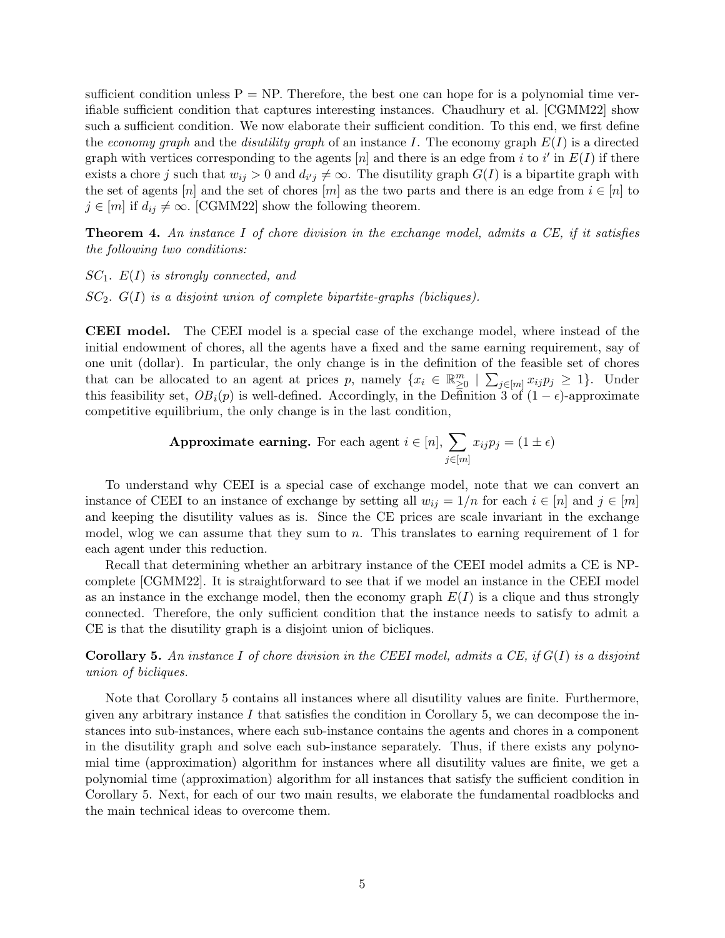sufficient condition unless  $P = NP$ . Therefore, the best one can hope for is a polynomial time verifiable sufficient condition that captures interesting instances. Chaudhury et al. [\[CGMM22\]](#page-41-4) show such a sufficient condition. We now elaborate their sufficient condition. To this end, we first define the economy graph and the disutility graph of an instance I. The economy graph  $E(I)$  is a directed graph with vertices corresponding to the agents [n] and there is an edge from i to i' in  $E(I)$  if there exists a chore j such that  $w_{ij} > 0$  and  $d_{i'j} \neq \infty$ . The disutility graph  $G(I)$  is a bipartite graph with the set of agents  $[n]$  and the set of chores  $[m]$  as the two parts and there is an edge from  $i \in [n]$  to  $j \in [m]$  if  $d_{ij} \neq \infty$ . [\[CGMM22\]](#page-41-4) show the following theorem.

<span id="page-4-1"></span>**Theorem 4.** An instance I of chore division in the exchange model, admits a CE, if it satisfies the following two conditions:

 $SC_1$ .  $E(I)$  is strongly connected, and

 $SC_2$ .  $G(I)$  is a disjoint union of complete bipartite-graphs (bicliques).

CEEI model. The CEEI model is a special case of the exchange model, where instead of the initial endowment of chores, all the agents have a fixed and the same earning requirement, say of one unit (dollar). In particular, the only change is in the definition of the feasible set of chores that can be allocated to an agent at prices p, namely  $\{x_i \in \mathbb{R}^m_{\geq 0} \mid \sum_{j \in [m]} x_{ij} p_j \geq 1\}$ . Under this feasibility set,  $OB_i(p)$  is well-defined. Accordingly, in the Definition [3](#page-3-2) of  $(1 - \epsilon)$ -approximate competitive equilibrium, the only change is in the last condition,

**Approximate earning.** For each agent 
$$
i \in [n]
$$
,  $\sum_{j \in [m]} x_{ij} p_j = (1 \pm \epsilon)$ 

To understand why CEEI is a special case of exchange model, note that we can convert an instance of CEEI to an instance of exchange by setting all  $w_{ij} = 1/n$  for each  $i \in [n]$  and  $j \in [m]$ and keeping the disutility values as is. Since the CE prices are scale invariant in the exchange model, wlog we can assume that they sum to  $n$ . This translates to earning requirement of 1 for each agent under this reduction.

Recall that determining whether an arbitrary instance of the CEEI model admits a CE is NPcomplete [\[CGMM22\]](#page-41-4). It is straightforward to see that if we model an instance in the CEEI model as an instance in the exchange model, then the economy graph  $E(I)$  is a clique and thus strongly connected. Therefore, the only sufficient condition that the instance needs to satisfy to admit a CE is that the disutility graph is a disjoint union of bicliques.

<span id="page-4-0"></span>**Corollary 5.** An instance I of chore division in the CEEI model, admits a CE, if  $G(I)$  is a disjoint union of bicliques.

Note that Corollary [5](#page-4-0) contains all instances where all disutility values are finite. Furthermore, given any arbitrary instance  $I$  that satisfies the condition in Corollary [5,](#page-4-0) we can decompose the instances into sub-instances, where each sub-instance contains the agents and chores in a component in the disutility graph and solve each sub-instance separately. Thus, if there exists any polynomial time (approximation) algorithm for instances where all disutility values are finite, we get a polynomial time (approximation) algorithm for all instances that satisfy the sufficient condition in Corollary [5.](#page-4-0) Next, for each of our two main results, we elaborate the fundamental roadblocks and the main technical ideas to overcome them.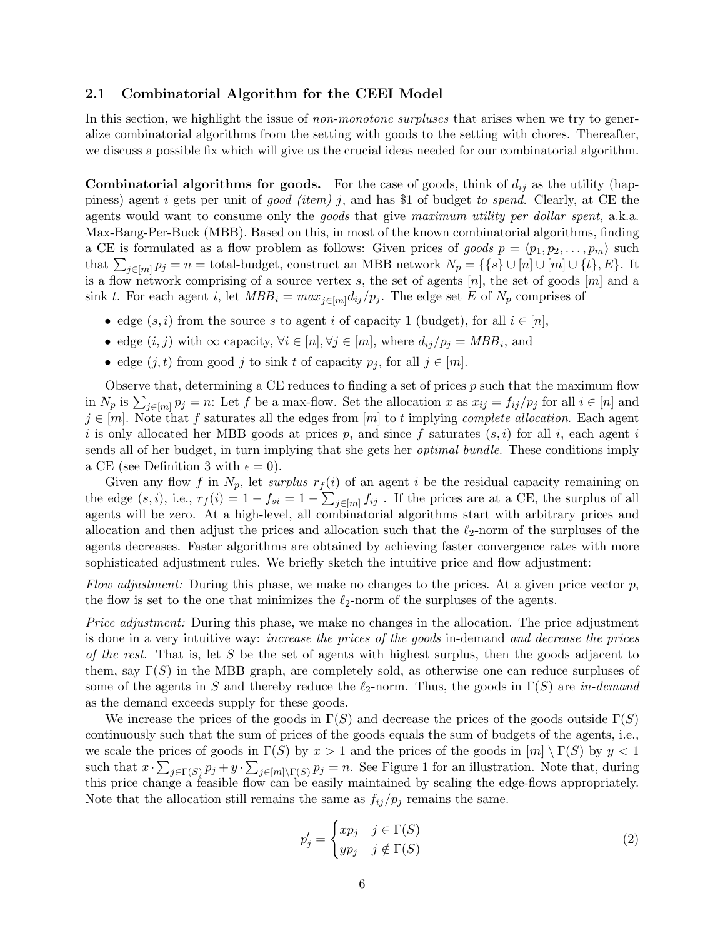#### <span id="page-5-0"></span>2.1 Combinatorial Algorithm for the CEEI Model

In this section, we highlight the issue of *non-monotone surpluses* that arises when we try to generalize combinatorial algorithms from the setting with goods to the setting with chores. Thereafter, we discuss a possible fix which will give us the crucial ideas needed for our combinatorial algorithm.

**Combinatorial algorithms for goods.** For the case of goods, think of  $d_{ij}$  as the utility (happiness) agent i gets per unit of good (item) j, and has \$1 of budget to spend. Clearly, at CE the agents would want to consume only the goods that give maximum utility per dollar spent, a.k.a. Max-Bang-Per-Buck (MBB). Based on this, in most of the known combinatorial algorithms, finding a CE is formulated as a flow problem as follows: Given prices of goods  $p = \langle p_1, p_2, \ldots, p_m \rangle$  such that  $\sum_{j\in[m]} p_j = n =$  total-budget, construct an MBB network  $N_p = \{\{s\} \cup [n] \cup [m] \cup \{t\}, E\}$ . It is a flow network comprising of a source vertex s, the set of agents  $[n]$ , the set of goods  $[m]$  and a sink t. For each agent i, let  $MBB_i = max_{i \in [m]} d_{ij}/p_i$ . The edge set E of  $N_p$  comprises of

- edge  $(s, i)$  from the source s to agent i of capacity 1 (budget), for all  $i \in [n]$ ,
- edge  $(i, j)$  with  $\infty$  capacity,  $\forall i \in [n], \forall j \in [m]$ , where  $d_{ij}/p_j = MBB_i$ , and
- edge  $(j, t)$  from good j to sink t of capacity  $p_j$ , for all  $j \in [m]$ .

Observe that, determining a CE reduces to finding a set of prices  $p$  such that the maximum flow in  $N_p$  is  $\sum_{j \in [m]} p_j = n$ : Let f be a max-flow. Set the allocation x as  $x_{ij} = f_{ij}/p_j$  for all  $i \in [n]$  and  $j \in [m]$ . Note that f saturates all the edges from  $[m]$  to t implying *complete allocation*. Each agent i is only allocated her MBB goods at prices p, and since f saturates  $(s, i)$  for all i, each agent i sends all of her budget, in turn implying that she gets her optimal bundle. These conditions imply a CE (see Definition [3](#page-3-2) with  $\epsilon = 0$ ).

Given any flow f in  $N_p$ , let surplus  $r_f(i)$  of an agent i be the residual capacity remaining on the edge  $(s, i)$ , i.e.,  $r_f(i) = 1 - f_{si} = 1 - \sum_{j \in [m]} f_{ij}$ . If the prices are at a CE, the surplus of all agents will be zero. At a high-level, all combinatorial algorithms start with arbitrary prices and allocation and then adjust the prices and allocation such that the  $\ell_2$ -norm of the surpluses of the agents decreases. Faster algorithms are obtained by achieving faster convergence rates with more sophisticated adjustment rules. We briefly sketch the intuitive price and flow adjustment:

Flow adjustment: During this phase, we make no changes to the prices. At a given price vector  $p$ , the flow is set to the one that minimizes the  $\ell_2$ -norm of the surpluses of the agents.

Price adjustment: During this phase, we make no changes in the allocation. The price adjustment is done in a very intuitive way: increase the prices of the goods in-demand and decrease the prices of the rest. That is, let S be the set of agents with highest surplus, then the goods adjacent to them, say  $\Gamma(S)$  in the MBB graph, are completely sold, as otherwise one can reduce surpluses of some of the agents in S and thereby reduce the  $\ell_2$ -norm. Thus, the goods in  $\Gamma(S)$  are in-demand as the demand exceeds supply for these goods.

We increase the prices of the goods in  $\Gamma(S)$  and decrease the prices of the goods outside  $\Gamma(S)$ continuously such that the sum of prices of the goods equals the sum of budgets of the agents, i.e., we scale the prices of goods in  $\Gamma(S)$  by  $x > 1$  and the prices of the goods in  $[m] \setminus \Gamma(S)$  by  $y < 1$ such that  $x \cdot \sum_{j \in \Gamma(S)} p_j + y \cdot \sum_{j \in [m] \setminus \Gamma(S)} p_j = n$ . See Figure [1](#page-17-0) for an illustration. Note that, during this price change a feasible flow can be easily maintained by scaling the edge-flows appropriately. Note that the allocation still remains the same as  $f_{ij}/p_j$  remains the same.

<span id="page-5-1"></span>
$$
p'_{j} = \begin{cases} xp_{j} & j \in \Gamma(S) \\ yp_{j} & j \notin \Gamma(S) \end{cases}
$$
 (2)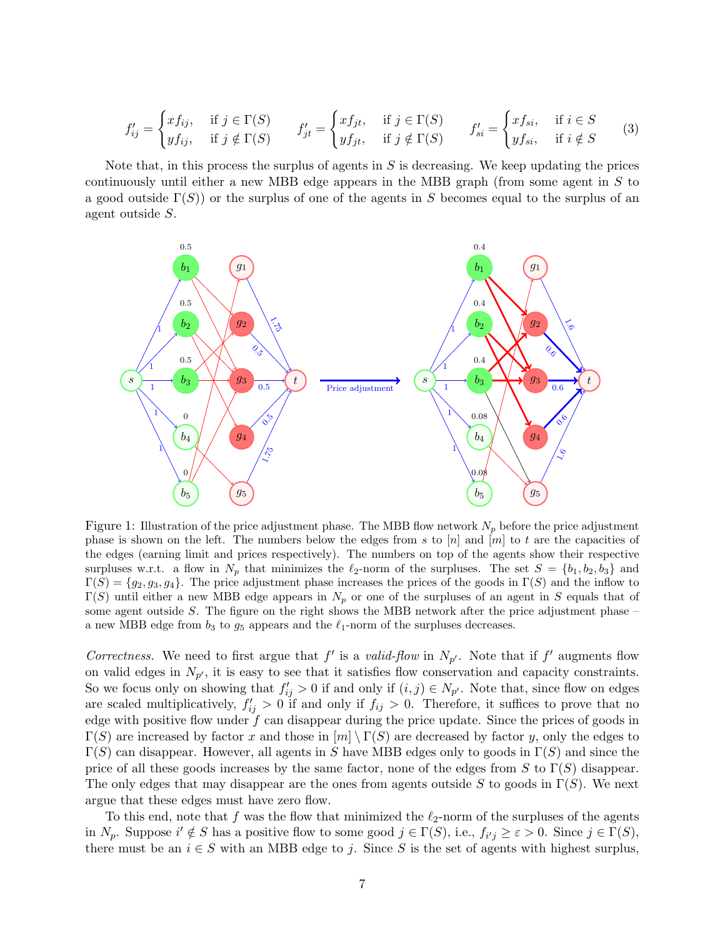<span id="page-6-0"></span>
$$
f'_{ij} = \begin{cases} x f_{ij}, & \text{if } j \in \Gamma(S) \\ y f_{ij}, & \text{if } j \notin \Gamma(S) \end{cases} \qquad f'_{jt} = \begin{cases} x f_{jt}, & \text{if } j \in \Gamma(S) \\ y f_{jt}, & \text{if } j \notin \Gamma(S) \end{cases} \qquad f'_{si} = \begin{cases} x f_{si}, & \text{if } i \in S \\ y f_{si}, & \text{if } i \notin S \end{cases} \tag{3}
$$

Note that, in this process the surplus of agents in  $S$  is decreasing. We keep updating the prices continuously until either a new MBB edge appears in the MBB graph (from some agent in S to a good outside  $\Gamma(S)$  or the surplus of one of the agents in S becomes equal to the surplus of an agent outside S.



Figure 1: Illustration of the price adjustment phase. The MBB flow network  $N_p$  before the price adjustment phase is shown on the left. The numbers below the edges from s to  $[n]$  and  $[m]$  to t are the capacities of the edges (earning limit and prices respectively). The numbers on top of the agents show their respective surpluses w.r.t. a flow in  $N_p$  that minimizes the  $\ell_2$ -norm of the surpluses. The set  $S = \{b_1, b_2, b_3\}$  and  $\Gamma(S) = \{g_2, g_3, g_4\}.$  The price adjustment phase increases the prices of the goods in  $\Gamma(S)$  and the inflow to  $\Gamma(S)$  until either a new MBB edge appears in  $N_p$  or one of the surpluses of an agent in S equals that of some agent outside  $S$ . The figure on the right shows the MBB network after the price adjustment phase  $$ a new MBB edge from  $b_3$  to  $g_5$  appears and the  $\ell_1$ -norm of the surpluses decreases.

Correctness. We need to first argue that  $f'$  is a valid-flow in  $N_{p'}$ . Note that if  $f'$  augments flow on valid edges in  $N_{p'}$ , it is easy to see that it satisfies flow conservation and capacity constraints. So we focus only on showing that  $f'_{ij} > 0$  if and only if  $(i, j) \in N_{p'}$ . Note that, since flow on edges are scaled multiplicatively,  $f'_{ij} > 0$  if and only if  $f_{ij} > 0$ . Therefore, it suffices to prove that no edge with positive flow under  $f$  can disappear during the price update. Since the prices of goods in  $\Gamma(S)$  are increased by factor x and those in  $[m] \setminus \Gamma(S)$  are decreased by factor y, only the edges to  $\Gamma(S)$  can disappear. However, all agents in S have MBB edges only to goods in  $\Gamma(S)$  and since the price of all these goods increases by the same factor, none of the edges from S to  $\Gamma(S)$  disappear. The only edges that may disappear are the ones from agents outside S to goods in  $\Gamma(S)$ . We next argue that these edges must have zero flow.

To this end, note that f was the flow that minimized the  $\ell_2$ -norm of the surpluses of the agents in  $N_p$ . Suppose  $i' \notin S$  has a positive flow to some good  $j \in \Gamma(S)$ , i.e.,  $f_{i'j} \geq \varepsilon > 0$ . Since  $j \in \Gamma(S)$ , there must be an  $i \in S$  with an MBB edge to j. Since S is the set of agents with highest surplus,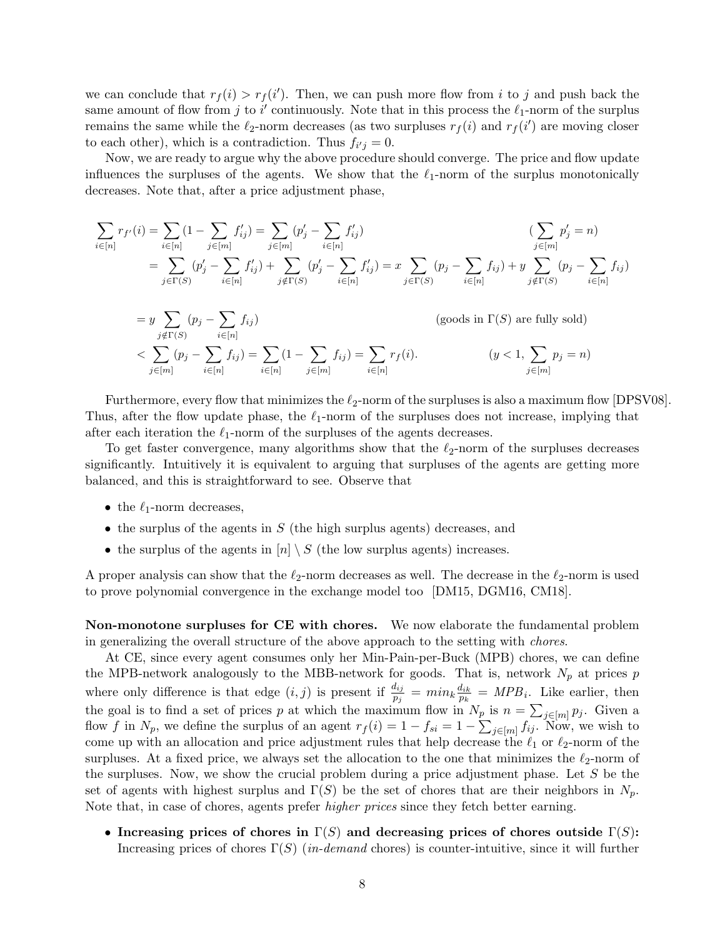we can conclude that  $r_f(i) > r_f(i')$ . Then, we can push more flow from i to j and push back the same amount of flow from j to i' continuously. Note that in this process the  $\ell_1$ -norm of the surplus remains the same while the  $\ell_2$ -norm decreases (as two surpluses  $r_f(i)$  and  $r_f(i')$  are moving closer to each other), which is a contradiction. Thus  $f_{i'j} = 0$ .

Now, we are ready to argue why the above procedure should converge. The price and flow update influences the surpluses of the agents. We show that the  $\ell_1$ -norm of the surplus monotonically decreases. Note that, after a price adjustment phase,

$$
\sum_{i \in [n]} r_{f'}(i) = \sum_{i \in [n]} (1 - \sum_{j \in [m]} f'_{ij}) = \sum_{j \in [m]} (p'_j - \sum_{i \in [n]} f'_{ij})
$$
\n
$$
= \sum_{j \in \Gamma(S)} (p'_j - \sum_{i \in [n]} f'_{ij}) + \sum_{j \notin \Gamma(S)} (p'_j - \sum_{i \in [n]} f'_{ij}) = x \sum_{j \in \Gamma(S)} (p_j - \sum_{i \in [n]} f_{ij}) + y \sum_{j \notin \Gamma(S)} (p_j - \sum_{i \in [n]} f_{ij})
$$

$$
= y \sum_{j \notin \Gamma(S)} (p_j - \sum_{i \in [n]} f_{ij})
$$
 (goods in  $\Gamma(S)$  are fully sold)  

$$
< \sum_{j \in [m]} (p_j - \sum_{i \in [n]} f_{ij}) = \sum_{i \in [n]} (1 - \sum_{j \in [m]} f_{ij}) = \sum_{i \in [n]} r_f(i).
$$
 (y < 1,  $\sum_{j \in [m]} p_j = n$ )

Furthermore, every flow that minimizes the  $\ell_2$ -norm of the surpluses is also a maximum flow [\[DPSV08\]](#page-42-0). Thus, after the flow update phase, the  $\ell_1$ -norm of the surpluses does not increase, implying that after each iteration the  $\ell_1$ -norm of the surpluses of the agents decreases.

To get faster convergence, many algorithms show that the  $\ell_2$ -norm of the surpluses decreases significantly. Intuitively it is equivalent to arguing that surpluses of the agents are getting more balanced, and this is straightforward to see. Observe that

- the  $\ell_1$ -norm decreases,
- $\bullet$  the surplus of the agents in  $S$  (the high surplus agents) decreases, and
- the surplus of the agents in  $[n] \setminus S$  (the low surplus agents) increases.

A proper analysis can show that the  $\ell_2$ -norm decreases as well. The decrease in the  $\ell_2$ -norm is used to prove polynomial convergence in the exchange model too [\[DM15,](#page-42-6) [DGM16,](#page-42-7) [CM18\]](#page-41-0).

Non-monotone surpluses for CE with chores. We now elaborate the fundamental problem in generalizing the overall structure of the above approach to the setting with chores.

At CE, since every agent consumes only her Min-Pain-per-Buck (MPB) chores, we can define the MPB-network analogously to the MBB-network for goods. That is, network  $N_p$  at prices p where only difference is that edge  $(i, j)$  is present if  $\frac{d_{ij}}{p_j} = min_k \frac{d_{ik}}{p_k}$  $\frac{d_{ik}}{p_k} = MPB_i$ . Like earlier, then the goal is to find a set of prices p at which the maximum flow in  $N_p$  is  $n = \sum_{j \in [m]} p_j$ . Given a flow f in  $N_p$ , we define the surplus of an agent  $r_f(i) = 1 - f_{si} = 1 - \sum_{j \in [m]} f_{ij}$ . Now, we wish to come up with an allocation and price adjustment rules that help decrease the  $\ell_1$  or  $\ell_2$ -norm of the surpluses. At a fixed price, we always set the allocation to the one that minimizes the  $\ell_2$ -norm of the surpluses. Now, we show the crucial problem during a price adjustment phase. Let S be the set of agents with highest surplus and  $\Gamma(S)$  be the set of chores that are their neighbors in  $N_p$ . Note that, in case of chores, agents prefer higher prices since they fetch better earning.

• Increasing prices of chores in  $\Gamma(S)$  and decreasing prices of chores outside  $\Gamma(S)$ : Increasing prices of chores  $\Gamma(S)$  (in-demand chores) is counter-intuitive, since it will further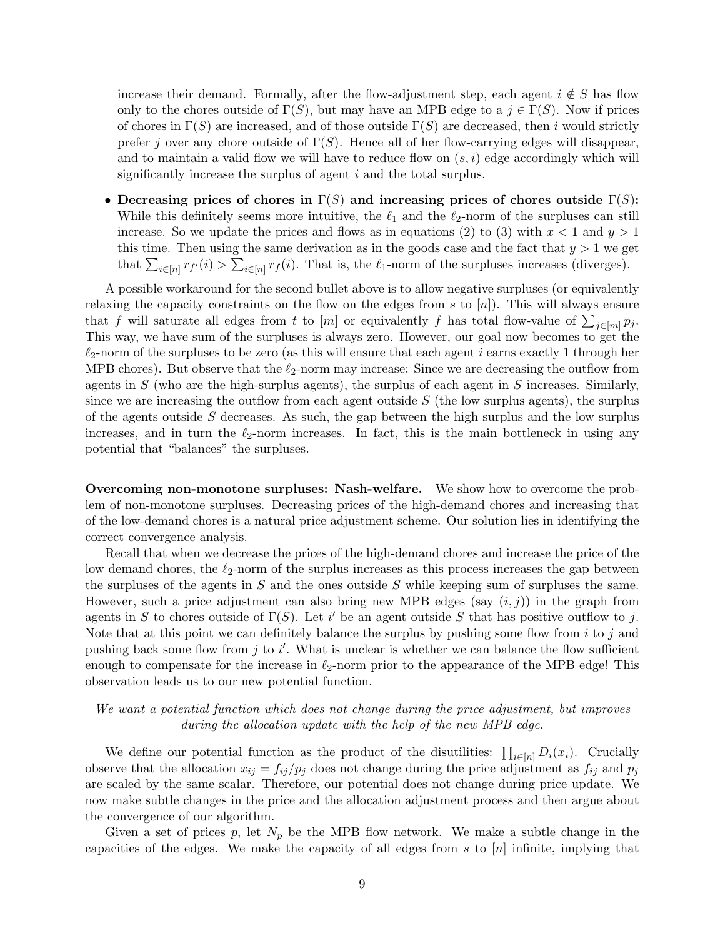increase their demand. Formally, after the flow-adjustment step, each agent  $i \notin S$  has flow only to the chores outside of  $\Gamma(S)$ , but may have an MPB edge to a  $j \in \Gamma(S)$ . Now if prices of chores in  $\Gamma(S)$  are increased, and of those outside  $\Gamma(S)$  are decreased, then i would strictly prefer j over any chore outside of  $\Gamma(S)$ . Hence all of her flow-carrying edges will disappear, and to maintain a valid flow we will have to reduce flow on  $(s, i)$  edge accordingly which will significantly increase the surplus of agent  $i$  and the total surplus.

• Decreasing prices of chores in  $\Gamma(S)$  and increasing prices of chores outside  $\Gamma(S)$ : While this definitely seems more intuitive, the  $\ell_1$  and the  $\ell_2$ -norm of the surpluses can still increase. So we update the prices and flows as in equations [\(2\)](#page-5-1) to [\(3\)](#page-6-0) with  $x < 1$  and  $y > 1$ this time. Then using the same derivation as in the goods case and the fact that  $y > 1$  we get that  $\sum_{i\in[n]} r_{f}(i) > \sum_{i\in[n]} r_{f}(i)$ . That is, the  $\ell_1$ -norm of the surpluses increases (diverges).

A possible workaround for the second bullet above is to allow negative surpluses (or equivalently relaxing the capacity constraints on the flow on the edges from s to  $[n]$ ). This will always ensure that f will saturate all edges from t to  $[m]$  or equivalently f has total flow-value of  $\sum_{j\in [m]} p_j$ . This way, we have sum of the surpluses is always zero. However, our goal now becomes to get the  $\ell_2$ -norm of the surpluses to be zero (as this will ensure that each agent i earns exactly 1 through her MPB chores). But observe that the  $\ell_2$ -norm may increase: Since we are decreasing the outflow from agents in  $S$  (who are the high-surplus agents), the surplus of each agent in  $S$  increases. Similarly, since we are increasing the outflow from each agent outside  $S$  (the low surplus agents), the surplus of the agents outside  $S$  decreases. As such, the gap between the high surplus and the low surplus increases, and in turn the  $\ell_2$ -norm increases. In fact, this is the main bottleneck in using any potential that "balances" the surpluses.

Overcoming non-monotone surpluses: Nash-welfare. We show how to overcome the problem of non-monotone surpluses. Decreasing prices of the high-demand chores and increasing that of the low-demand chores is a natural price adjustment scheme. Our solution lies in identifying the correct convergence analysis.

Recall that when we decrease the prices of the high-demand chores and increase the price of the low demand chores, the  $\ell_2$ -norm of the surplus increases as this process increases the gap between the surpluses of the agents in  $S$  and the ones outside  $S$  while keeping sum of surpluses the same. However, such a price adjustment can also bring new MPB edges (say  $(i, j)$ ) in the graph from agents in S to chores outside of  $\Gamma(S)$ . Let i' be an agent outside S that has positive outflow to j. Note that at this point we can definitely balance the surplus by pushing some flow from  $i$  to  $j$  and pushing back some flow from  $j$  to  $i'$ . What is unclear is whether we can balance the flow sufficient enough to compensate for the increase in  $\ell_2$ -norm prior to the appearance of the MPB edge! This observation leads us to our new potential function.

## We want a potential function which does not change during the price adjustment, but improves during the allocation update with the help of the new MPB edge.

We define our potential function as the product of the disutilities:  $\prod_{i\in[n]} D_i(x_i)$ . Crucially observe that the allocation  $x_{ij} = f_{ij}/p_j$  does not change during the price adjustment as  $f_{ij}$  and  $p_j$ are scaled by the same scalar. Therefore, our potential does not change during price update. We now make subtle changes in the price and the allocation adjustment process and then argue about the convergence of our algorithm.

Given a set of prices p, let  $N_p$  be the MPB flow network. We make a subtle change in the capacities of the edges. We make the capacity of all edges from  $s$  to  $[n]$  infinite, implying that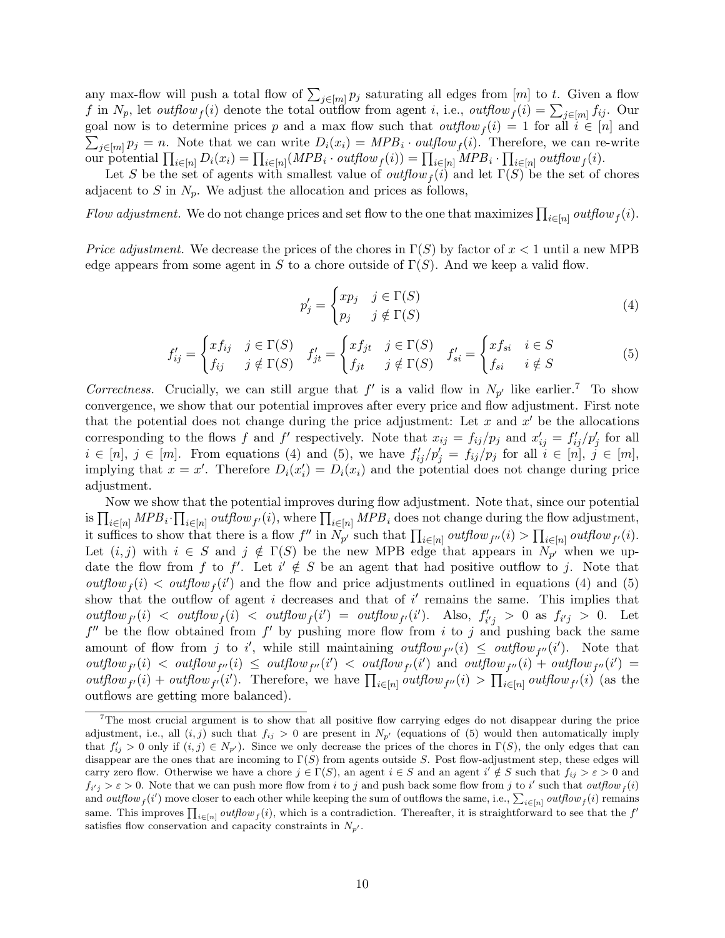any max-flow will push a total flow of  $\sum_{j\in[m]} p_j$  saturating all edges from  $[m]$  to t. Given a flow f in  $N_p$ , let *outflow* f(i) denote the total outflow from agent i, i.e., *outflow*  $f(i) = \sum_{j \in [m]} f_{ij}$ . Our goal now is to determine prices p and a max flow such that  $outflow_f(i) = 1$  for all  $i \in [n]$  and  $\sum_{j\in[m]} p_j = n$ . Note that we can write  $D_i(x_i) = MPB_i \cdot outflow_f(i)$ . Therefore, we can re-write our potential  $\prod_{i\in[n]} D_i(x_i) = \prod_{i\in[n]} (MPB_i \cdot outflow_f(i)) = \prod_{i\in[n]} MPB_i \cdot \prod_{i\in[n]} outflow_f(i)$ .

Let S be the set of agents with smallest value of  $\text{outflow}_f(i)$  and let  $\Gamma(S)$  be the set of chores adjacent to S in  $N_p$ . We adjust the allocation and prices as follows,

Flow adjustment. We do not change prices and set flow to the one that maximizes  $\prod_{i\in[n]} outflow_f(i)$ .

*Price adjustment.* We decrease the prices of the chores in  $\Gamma(S)$  by factor of  $x < 1$  until a new MPB edge appears from some agent in S to a chore outside of  $\Gamma(S)$ . And we keep a valid flow.

<span id="page-9-2"></span><span id="page-9-1"></span>
$$
p'_{j} = \begin{cases} xp_{j} & j \in \Gamma(S) \\ p_{j} & j \notin \Gamma(S) \end{cases}
$$
\n(4)

$$
f'_{ij} = \begin{cases} x f_{ij} & j \in \Gamma(S) \\ f_{ij} & j \notin \Gamma(S) \end{cases} \quad f'_{jt} = \begin{cases} x f_{jt} & j \in \Gamma(S) \\ f_{jt} & j \notin \Gamma(S) \end{cases} \quad f'_{si} = \begin{cases} x f_{si} & i \in S \\ f_{si} & i \notin S \end{cases} \tag{5}
$$

Correctness. Crucially, we can still argue that  $f'$  is a valid flow in  $N_{p'}$  like earlier.<sup>[7](#page-9-0)</sup> To show convergence, we show that our potential improves after every price and flow adjustment. First note that the potential does not change during the price adjustment: Let  $x$  and  $x'$  be the allocations corresponding to the flows f and f' respectively. Note that  $x_{ij} = f_{ij}/p_j$  and  $x'_{ij} = f'_{ij}/p'_j$  for all  $i \in [n], j \in [m]$ . From equations [\(4\)](#page-9-1) and [\(5\)](#page-9-2), we have  $f'_{ij}/p'_{j} = f_{ij}/p_{j}$  for all  $i \in [n], j \in [m]$ , implying that  $x = x'$ . Therefore  $D_i(x_i') = D_i(x_i)$  and the potential does not change during price adjustment.

Now we show that the potential improves during flow adjustment. Note that, since our potential is  $\prod_{i\in[n]} MPB_i \cdot \prod_{i\in[n]} outflow_{f'}(i)$ , where  $\prod_{i\in[n]} MPB_i$  does not change during the flow adjustment, it suffices to show that there is a flow f'' in  $N_{p'}$  such that  $\prod_{i\in[n]} \text{outflow}_{f'}(i) > \prod_{i\in[n]} \text{outflow}_{f'}(i)$ . Let  $(i, j)$  with  $i \in S$  and  $j \notin \Gamma(S)$  be the new MPB edge that appears in  $N_{p'}$  when we update the flow from f to f'. Let  $i' \notin S$  be an agent that had positive outflow to j. Note that  $\text{outflow}_f(i) \leq \text{outflow}_f(i')$  and the flow and price adjustments outlined in equations [\(4\)](#page-9-1) and [\(5\)](#page-9-2) show that the outflow of agent i decreases and that of i' remains the same. This implies that  $\text{outflow}_{f}(i)$  <  $\text{outflow}_{f}(i)$  <  $\text{outflow}_{f}(i') = \text{outflow}_{f'}(i')$ . Also,  $f'_{i'j} > 0$  as  $f_{i'j} > 0$ . Let  $f''$  be the flow obtained from  $f'$  by pushing more flow from i to j and pushing back the same amount of flow from j to i', while still maintaining outflow<sub>f'</sub>'(i)  $\leq$  outflow<sub>f''</sub>(i'). Note that  $\text{outflow}_{f'}(i)$  <  $\text{outflow}_{f''}(i)$   $\leq$   $\text{outflow}_{f''}(i')$   $\lt$   $\text{outflow}_{f'}(i')$  and  $\text{outflow}_{f''}(i)$  +  $\text{outflow}_{f''}(i')$  = outflow<sub>f'</sub>(i) + outflow<sub>f'</sub>(i'). Therefore, we have  $\prod_{i\in[n]} outflow_{f''}(i) > \prod_{i\in[n]} outflow_{f'}(i)$  (as the outflows are getting more balanced).

<span id="page-9-0"></span><sup>&</sup>lt;sup>7</sup>The most crucial argument is to show that all positive flow carrying edges do not disappear during the price adjustment, i.e., all  $(i, j)$  such that  $f_{ij} > 0$  are present in  $N_{p'}$  (equations of [\(5\)](#page-9-2) would then automatically imply that  $f'_{ij} > 0$  only if  $(i, j) \in N_{p'}$ ). Since we only decrease the prices of the chores in  $\Gamma(S)$ , the only edges that can disappear are the ones that are incoming to  $\Gamma(S)$  from agents outside S. Post flow-adjustment step, these edges will carry zero flow. Otherwise we have a chore  $j \in \Gamma(S)$ , an agent  $i \in S$  and an agent  $i' \notin S$  such that  $f_{ij} > \varepsilon > 0$  and  $f_{i'j} > \varepsilon > 0$ . Note that we can push more flow from i to j and push back some flow from j to i' such that outflow<sub>f</sub> (i) and  $outflow_f(i')$  move closer to each other while keeping the sum of outflows the same, i.e.,  $\sum_{i\in[n]} outflow_f(i)$  remains same. This improves  $\prod_{i\in[n]} outflow_f(i)$ , which is a contradiction. Thereafter, it is straightforward to see that the  $f'$ satisfies flow conservation and capacity constraints in  $N_{p'}$ .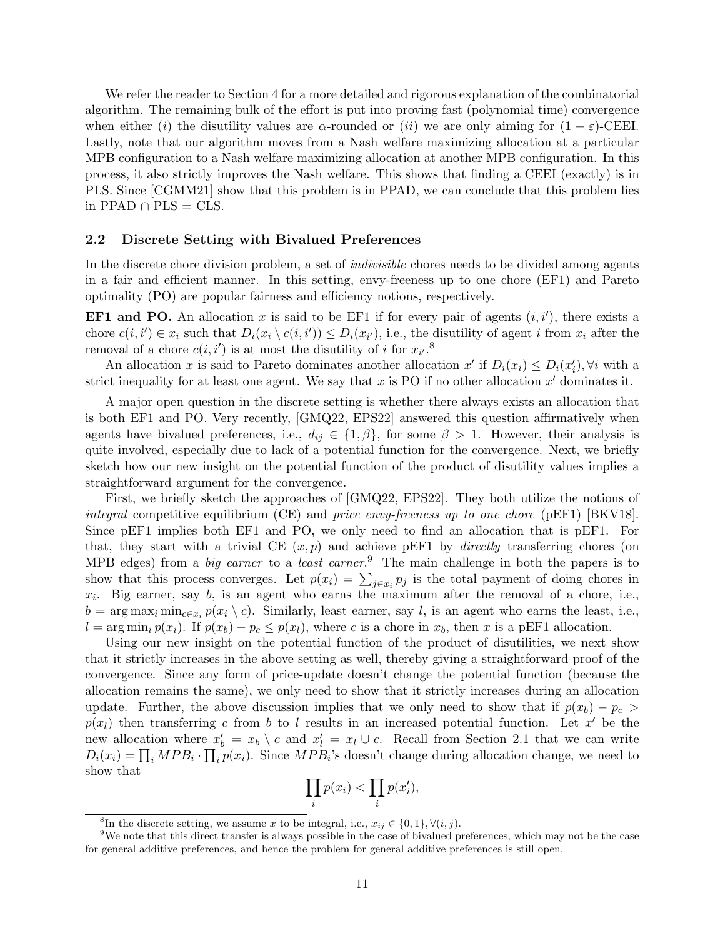We refer the reader to Section [4](#page-16-0) for a more detailed and rigorous explanation of the combinatorial algorithm. The remaining bulk of the effort is put into proving fast (polynomial time) convergence when either (i) the disutility values are  $\alpha$ -rounded or (ii) we are only aiming for  $(1 - \varepsilon)$ -CEEI. Lastly, note that our algorithm moves from a Nash welfare maximizing allocation at a particular MPB configuration to a Nash welfare maximizing allocation at another MPB configuration. In this process, it also strictly improves the Nash welfare. This shows that finding a CEEI (exactly) is in PLS. Since [\[CGMM21\]](#page-41-3) show that this problem is in PPAD, we can conclude that this problem lies in PPAD ∩ PLS =  $CLS$ .

#### <span id="page-10-0"></span>2.2 Discrete Setting with Bivalued Preferences

In the discrete chore division problem, a set of *indivisible* chores needs to be divided among agents in a fair and efficient manner. In this setting, envy-freeness up to one chore (EF1) and Pareto optimality (PO) are popular fairness and efficiency notions, respectively.

**EF1 and PO.** An allocation x is said to be EF1 if for every pair of agents  $(i, i')$ , there exists a chore  $c(i, i') \in x_i$  such that  $D_i(x_i \setminus c(i, i')) \leq D_i(x_{i'})$ , i.e., the disutility of agent i from  $x_i$  after the removal of a chore  $c(i, i')$  is at most the disutility of i for  $x_{i'}$ .<sup>[8](#page-10-1)</sup>

An allocation x is said to Pareto dominates another allocation  $x'$  if  $D_i(x_i) \leq D_i(x'_i)$ ,  $\forall i$  with a strict inequality for at least one agent. We say that x is PO if no other allocation  $x'$  dominates it.

A major open question in the discrete setting is whether there always exists an allocation that is both EF1 and PO. Very recently, [\[GMQ22,](#page-43-0) [EPS22\]](#page-42-1) answered this question affirmatively when agents have bivalued preferences, i.e.,  $d_{ij} \in \{1, \beta\}$ , for some  $\beta > 1$ . However, their analysis is quite involved, especially due to lack of a potential function for the convergence. Next, we briefly sketch how our new insight on the potential function of the product of disutility values implies a straightforward argument for the convergence.

First, we briefly sketch the approaches of [\[GMQ22,](#page-43-0) [EPS22\]](#page-42-1). They both utilize the notions of integral competitive equilibrium (CE) and price envy-freeness up to one chore (pEF1) [\[BKV18\]](#page-41-5). Since pEF1 implies both EF1 and PO, we only need to find an allocation that is pEF1. For that, they start with a trivial CE  $(x, p)$  and achieve pEF1 by *directly* transferring chores (on MPB edges) from a *big earner* to a *least earner*.<sup>[9](#page-10-2)</sup> The main challenge in both the papers is to show that this process converges. Let  $p(x_i) = \sum_{j \in x_i} p_j$  is the total payment of doing chores in  $x_i$ . Big earner, say b, is an agent who earns the maximum after the removal of a chore, i.e.,  $b = \arg \max_i \min_{c \in x_i} p(x_i \setminus c)$ . Similarly, least earner, say l, is an agent who earns the least, i.e.,  $l = \arg \min_i p(x_i)$ . If  $p(x_b) - p_c \leq p(x_l)$ , where c is a chore in  $x_b$ , then x is a pEF1 allocation.

Using our new insight on the potential function of the product of disutilities, we next show that it strictly increases in the above setting as well, thereby giving a straightforward proof of the convergence. Since any form of price-update doesn't change the potential function (because the allocation remains the same), we only need to show that it strictly increases during an allocation update. Further, the above discussion implies that we only need to show that if  $p(x_b) - p_c$  $p(x_l)$  then transferring c from b to l results in an increased potential function. Let x' be the new allocation where  $x'_b = x_b \setminus c$  and  $x'_l = x_l \cup c$ . Recall from Section [2.1](#page-5-0) that we can write  $D_i(x_i) = \prod_i MPB_i \cdot \prod_i p(x_i)$ . Since  $MPB_i$ 's doesn't change during allocation change, we need to show that

$$
\prod_i p(x_i) < \prod_i p(x_i'),
$$

<span id="page-10-2"></span><span id="page-10-1"></span><sup>&</sup>lt;sup>8</sup>In the discrete setting, we assume x to be integral, i.e.,  $x_{ij} \in \{0,1\}, \forall (i, j)$ .

<sup>9</sup>We note that this direct transfer is always possible in the case of bivalued preferences, which may not be the case for general additive preferences, and hence the problem for general additive preferences is still open.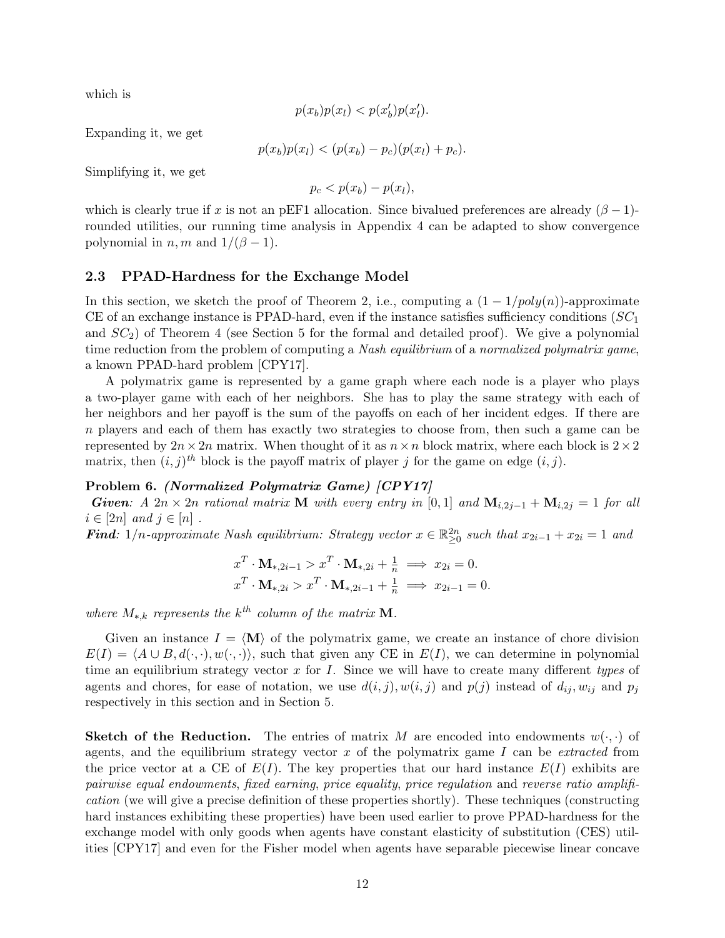which is

$$
p(x_b)p(x_l) < p(x'_b)p(x'_l).
$$

Expanding it, we get

$$
p(x_b)p(x_l) < (p(x_b) - p_c)(p(x_l) + p_c).
$$

Simplifying it, we get

 $p_c < p(x_b) - p(x_l),$ 

which is clearly true if x is not an pEF1 allocation. Since bivalued preferences are already  $(\beta - 1)$ rounded utilities, our running time analysis in Appendix [4](#page-16-0) can be adapted to show convergence polynomial in  $n, m$  and  $1/(\beta - 1)$ .

#### <span id="page-11-0"></span>2.3 PPAD-Hardness for the Exchange Model

In this section, we sketch the proof of Theorem [2,](#page-2-2) i.e., computing a  $(1 - 1/poly(n))$ -approximate CE of an exchange instance is PPAD-hard, even if the instance satisfies sufficiency conditions  $SC<sub>1</sub>$ and  $SC_2$ ) of Theorem [4](#page-4-1) (see Section [5](#page-29-0) for the formal and detailed proof). We give a polynomial time reduction from the problem of computing a Nash equilibrium of a normalized polymatrix game, a known PPAD-hard problem [\[CPY17\]](#page-42-11).

A polymatrix game is represented by a game graph where each node is a player who plays a two-player game with each of her neighbors. She has to play the same strategy with each of her neighbors and her payoff is the sum of the payoffs on each of her incident edges. If there are n players and each of them has exactly two strategies to choose from, then such a game can be represented by  $2n \times 2n$  matrix. When thought of it as  $n \times n$  block matrix, where each block is  $2 \times 2$ matrix, then  $(i, j)$ <sup>th</sup> block is the payoff matrix of player j for the game on edge  $(i, j)$ .

#### <span id="page-11-1"></span>Problem 6. (Normalized Polymatrix Game) [\[CPY17\]](#page-42-11)

Given: A 2n × 2n rational matrix M with every entry in [0,1] and  $M_{i,2j-1} + M_{i,2j} = 1$  for all  $i \in [2n]$  and  $j \in [n]$ .

**Find**: 1/n-approximate Nash equilibrium: Strategy vector  $x \in \mathbb{R}^{2n}_{\geq 0}$  such that  $x_{2i-1} + x_{2i} = 1$  and

$$
x^T \cdot \mathbf{M}_{*,2i-1} > x^T \cdot \mathbf{M}_{*,2i} + \frac{1}{n} \implies x_{2i} = 0.
$$
  

$$
x^T \cdot \mathbf{M}_{*,2i} > x^T \cdot \mathbf{M}_{*,2i-1} + \frac{1}{n} \implies x_{2i-1} = 0.
$$

where  $M_{*,k}$  represents the  $k^{th}$  column of the matrix **M**.

Given an instance  $I = \langle M \rangle$  of the polymatrix game, we create an instance of chore division  $E(I) = \langle A \cup B, d(\cdot, \cdot), w(\cdot, \cdot) \rangle$ , such that given any CE in  $E(I)$ , we can determine in polynomial time an equilibrium strategy vector  $x$  for  $I$ . Since we will have to create many different types of agents and chores, for ease of notation, we use  $d(i, j)$ ,  $w(i, j)$  and  $p(j)$  instead of  $d_{ij}$ ,  $w_{ij}$  and  $p_j$ respectively in this section and in Section [5.](#page-29-0)

**Sketch of the Reduction.** The entries of matrix M are encoded into endowments  $w(\cdot, \cdot)$  of agents, and the equilibrium strategy vector  $x$  of the polymatrix game  $I$  can be *extracted* from the price vector at a CE of  $E(I)$ . The key properties that our hard instance  $E(I)$  exhibits are pairwise equal endowments, fixed earning, price equality, price regulation and reverse ratio amplification (we will give a precise definition of these properties shortly). These techniques (constructing hard instances exhibiting these properties) have been used earlier to prove PPAD-hardness for the exchange model with only goods when agents have constant elasticity of substitution (CES) utilities [\[CPY17\]](#page-42-11) and even for the Fisher model when agents have separable piecewise linear concave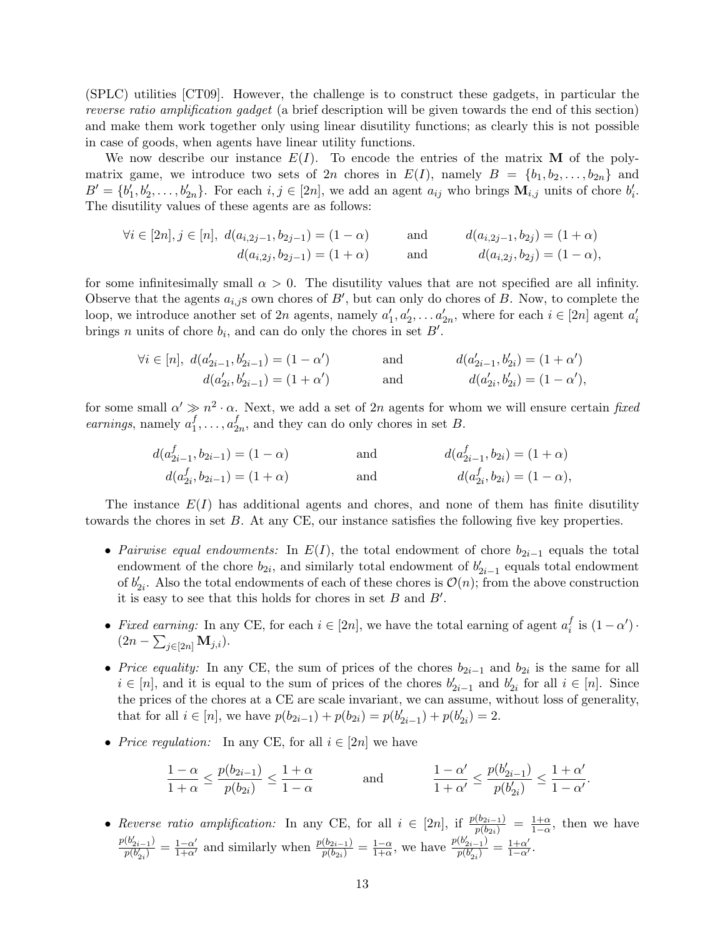(SPLC) utilities [\[CT09\]](#page-42-12). However, the challenge is to construct these gadgets, in particular the reverse ratio amplification gadget (a brief description will be given towards the end of this section) and make them work together only using linear disutility functions; as clearly this is not possible in case of goods, when agents have linear utility functions.

We now describe our instance  $E(I)$ . To encode the entries of the matrix **M** of the polymatrix game, we introduce two sets of  $2n$  chores in  $E(I)$ , namely  $B = \{b_1, b_2, \ldots, b_{2n}\}\$  and  $B' = \{b'_1, b'_2, \ldots, b'_{2n}\}.$  For each  $i, j \in [2n]$ , we add an agent  $a_{ij}$  who brings  $\mathbf{M}_{i,j}$  units of chore  $b'_i$ . The disutility values of these agents are as follows:

$$
\forall i \in [2n], j \in [n], d(a_{i,2j-1}, b_{2j-1}) = (1 - \alpha) \qquad \text{and} \qquad d(a_{i,2j-1}, b_{2j}) = (1 + \alpha) d(a_{i,2j}, b_{2j-1}) = (1 + \alpha) \qquad \text{and} \qquad d(a_{i,2j}, b_{2j}) = (1 - \alpha),
$$

for some infinitesimally small  $\alpha > 0$ . The disutility values that are not specified are all infinity. Observe that the agents  $a_{i,j}$ s own chores of  $B'$ , but can only do chores of B. Now, to complete the loop, we introduce another set of 2n agents, namely  $a'_1, a'_2, \ldots a'_{2n}$ , where for each  $i \in [2n]$  agent  $a'_i$ brings n units of chore  $b_i$ , and can do only the chores in set  $B'$ .

$$
\forall i \in [n], d(a'_{2i-1}, b'_{2i-1}) = (1 - \alpha') \qquad \text{and} \qquad d(a'_{2i-1}, b'_{2i}) = (1 + \alpha') d(a'_{2i}, b'_{2i-1}) = (1 + \alpha') \qquad \text{and} \qquad d(a'_{2i}, b'_{2i}) = (1 - \alpha'),
$$

for some small  $\alpha' \gg n^2 \cdot \alpha$ . Next, we add a set of 2n agents for whom we will ensure certain fixed earnings, namely  $a_1^f$  $i_1^f, \ldots, a_2^f$  $_{2n}^J$ , and they can do only chores in set B.

$$
d(a_{2i-1}^f, b_{2i-1}) = (1 - \alpha) \qquad \text{and} \qquad d(a_{2i-1}^f, b_{2i}) = (1 + \alpha) d(a_{2i}^f, b_{2i-1}) = (1 + \alpha) \qquad \text{and} \qquad d(a_{2i}^f, b_{2i}) = (1 - \alpha),
$$

The instance  $E(I)$  has additional agents and chores, and none of them has finite disutility towards the chores in set B. At any CE, our instance satisfies the following five key properties.

- Pairwise equal endowments: In  $E(I)$ , the total endowment of chore  $b_{2i-1}$  equals the total endowment of the chore  $b_{2i}$ , and similarly total endowment of  $b'_{2i-1}$  equals total endowment of  $b'_{2i}$ . Also the total endowments of each of these chores is  $\mathcal{O}(n)$ ; from the above construction it is easy to see that this holds for chores in set  $B$  and  $B'$ .
- Fixed earning: In any CE, for each  $i \in [2n]$ , we have the total earning of agent  $a_i^f$  $i$ <sup>f</sup> is  $(1-\alpha')$ .  $(2n - \sum_{j\in [2n]} M_{j,i}).$
- Price equality: In any CE, the sum of prices of the chores  $b_{2i-1}$  and  $b_{2i}$  is the same for all  $i \in [n]$ , and it is equal to the sum of prices of the chores  $b'_{2i-1}$  and  $b'_{2i}$  for all  $i \in [n]$ . Since the prices of the chores at a CE are scale invariant, we can assume, without loss of generality, that for all  $i \in [n]$ , we have  $p(b_{2i-1}) + p(b_{2i}) = p(b'_{2i-1}) + p(b'_{2i}) = 2$ .
- Price regulation: In any CE, for all  $i \in [2n]$  we have

$$
\frac{1-\alpha}{1+\alpha} \le \frac{p(b_{2i-1})}{p(b_{2i})} \le \frac{1+\alpha}{1-\alpha}
$$
 and 
$$
\frac{1-\alpha'}{1+\alpha'} \le \frac{p(b'_{2i-1})}{p(b'_{2i})} \le \frac{1+\alpha'}{1-\alpha'}.
$$

• Reverse ratio amplification: In any CE, for all  $i \in [2n]$ , if  $\frac{p(b_{2i-1})}{p(b_{2i})} = \frac{1+\alpha}{1-\alpha}$ , then we have  $p(b'_{2i-1})$  $\frac{(b'_{2i-1})}{p(b'_{2i})} = \frac{1-\alpha'}{1+\alpha'}$  and similarly when  $\frac{p(b_{2i-1})}{p(b_{2i})} = \frac{1-\alpha}{1+\alpha}$  $\frac{1-\alpha}{1+\alpha}$ , we have  $\frac{p(b'_{2i-1})}{p(b'_{2i})}$  $\frac{(b'_{2i-1})}{p(b'_{2i})} = \frac{1+\alpha'}{1-\alpha'}$ .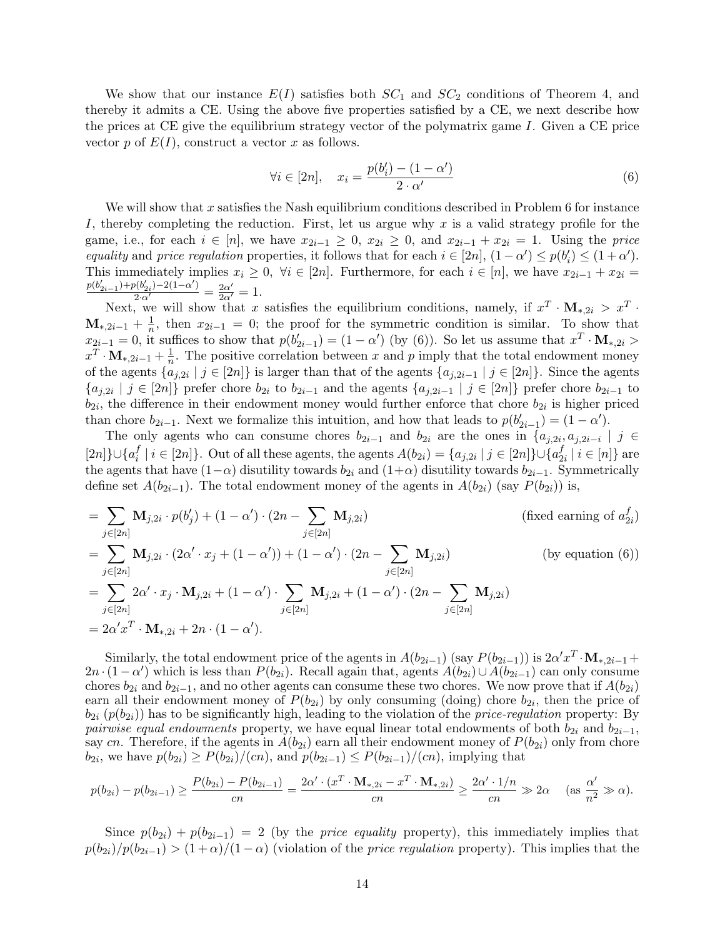We show that our instance  $E(I)$  satisfies both  $SC_1$  and  $SC_2$  conditions of Theorem [4,](#page-4-1) and thereby it admits a CE. Using the above five properties satisfied by a CE, we next describe how the prices at CE give the equilibrium strategy vector of the polymatrix game I. Given a CE price vector p of  $E(I)$ , construct a vector x as follows.

<span id="page-13-0"></span>
$$
\forall i \in [2n], \quad x_i = \frac{p(b'_i) - (1 - \alpha')}{2 \cdot \alpha'} \tag{6}
$$

We will show that x satisfies the Nash equilibrium conditions described in Problem  $6$  for instance I, thereby completing the reduction. First, let us argue why x is a valid strategy profile for the game, i.e., for each  $i \in [n]$ , we have  $x_{2i-1} \geq 0$ ,  $x_{2i} \geq 0$ , and  $x_{2i-1} + x_{2i} = 1$ . Using the price equality and price regulation properties, it follows that for each  $i \in [2n]$ ,  $(1 - \alpha') \le p(b'_i) \le (1 + \alpha')$ . This immediately implies  $x_i \geq 0$ ,  $\forall i \in [2n]$ . Furthermore, for each  $i \in [n]$ , we have  $x_{2i-1} + x_{2i} =$  $\frac{p(b'_{2i-1})+p(b'_{2i})-2(1-\alpha')}{2\cdot\alpha'}=\frac{2\alpha'}{2\alpha'}=1.$ 

Next, we will show that x satisfies the equilibrium conditions, namely, if  $x^T \cdot M_{*,2i} > x^T \cdot$  $\mathbf{M}_{*, 2i-1} + \frac{1}{n}$  $\frac{1}{n}$ , then  $x_{2i-1} = 0$ ; the proof for the symmetric condition is similar. To show that  $x_{2i-1} = 0$ , it suffices to show that  $p(b'_{2i-1}) = (1 - \alpha')$  (by [\(6\)](#page-13-0)). So let us assume that  $x^T \cdot M_{*,2i} >$  $x^T \cdot \mathbf{M}_{*, 2i-1} + \frac{1}{n}$  $\frac{1}{n}$ . The positive correlation between x and p imply that the total endowment money of the agents  $\{a_{j,2i} \mid j \in [2n]\}$  is larger than that of the agents  $\{a_{j,2i-1} \mid j \in [2n]\}$ . Since the agents  $\{a_{j,2i} \mid j \in [2n]\}\$  prefer chore  $b_{2i}$  to  $b_{2i-1}$  and the agents  $\{a_{j,2i-1} \mid j \in [2n]\}\$  prefer chore  $b_{2i-1}$  to  $b_{2i}$ , the difference in their endowment money would further enforce that chore  $b_{2i}$  is higher priced than chore  $b_{2i-1}$ . Next we formalize this intuition, and how that leads to  $p(b'_{2i-1}) = (1 - \alpha')$ .

The only agents who can consume chores  $b_{2i-1}$  and  $b_{2i}$  are the ones in  $\{a_{j,2i}, a_{j,2i-i} \mid j \in$  $[2n]\}\cup\{a_i^f$  $i_i^f \mid i \in [2n]$ }. Out of all these agents, the agents  $A(b_{2i}) = \{a_{j,2i} \mid j \in [2n]\} \cup \{a_2^f \}$  $_{2i}^{J} \mid i \in [n]$ } are the agents that have  $(1-\alpha)$  disutility towards  $b_{2i}$  and  $(1+\alpha)$  disutility towards  $b_{2i-1}$ . Symmetrically define set  $A(b_{2i-1})$ . The total endowment money of the agents in  $A(b_{2i})$  (say  $P(b_{2i}))$ ) is,

$$
= \sum_{j \in [2n]} \mathbf{M}_{j,2i} \cdot p(b'_j) + (1 - \alpha') \cdot (2n - \sum_{j \in [2n]} \mathbf{M}_{j,2i})
$$
 (fixed earning of  $a_{2i}^f$ )  
\n
$$
= \sum_{j \in [2n]} \mathbf{M}_{j,2i} \cdot (2\alpha' \cdot x_j + (1 - \alpha')) + (1 - \alpha') \cdot (2n - \sum_{j \in [2n]} \mathbf{M}_{j,2i})
$$
 (by equation (6))  
\n
$$
= \sum_{j \in [2n]} 2\alpha' \cdot x_j \cdot \mathbf{M}_{j,2i} + (1 - \alpha') \cdot \sum_{j \in [2n]} \mathbf{M}_{j,2i} + (1 - \alpha') \cdot (2n - \sum_{j \in [2n]} \mathbf{M}_{j,2i})
$$
  
\n
$$
= 2\alpha' x^T \cdot \mathbf{M}_{*,2i} + 2n \cdot (1 - \alpha').
$$

Similarly, the total endowment price of the agents in  $A(b_{2i-1})$  (say  $P(b_{2i-1})$ ) is  $2\alpha' x^T \cdot M_{*,2i-1}$  +  $2n \cdot (1-\alpha')$  which is less than  $P(b_{2i})$ . Recall again that, agents  $A(b_{2i}) \cup A(b_{2i-1})$  can only consume chores  $b_{2i}$  and  $b_{2i-1}$ , and no other agents can consume these two chores. We now prove that if  $A(b_{2i})$ earn all their endowment money of  $P(b_{2i})$  by only consuming (doing) chore  $b_{2i}$ , then the price of  $b_{2i}$  ( $p(b_{2i})$ ) has to be significantly high, leading to the violation of the *price-regulation* property: By *pairwise equal endowments* property, we have equal linear total endowments of both  $b_{2i}$  and  $b_{2i-1}$ , say cn. Therefore, if the agents in  $A(b_{2i})$  earn all their endowment money of  $P(b_{2i})$  only from chore  $b_{2i}$ , we have  $p(b_{2i}) \ge P(b_{2i})/(cn)$ , and  $p(b_{2i-1}) \le P(b_{2i-1})/(cn)$ , implying that

$$
p(b_{2i}) - p(b_{2i-1}) \ge \frac{P(b_{2i}) - P(b_{2i-1})}{cn} = \frac{2\alpha' \cdot (x^T \cdot M_{*,2i} - x^T \cdot M_{*,2i})}{cn} \ge \frac{2\alpha' \cdot 1/n}{cn} \gg 2\alpha \quad (as \frac{\alpha'}{n^2} \gg \alpha).
$$

Since  $p(b_{2i}) + p(b_{2i-1}) = 2$  (by the *price equality* property), this immediately implies that  $p(b_{2i})/p(b_{2i-1}) > (1+\alpha)/(1-\alpha)$  (violation of the *price regulation* property). This implies that the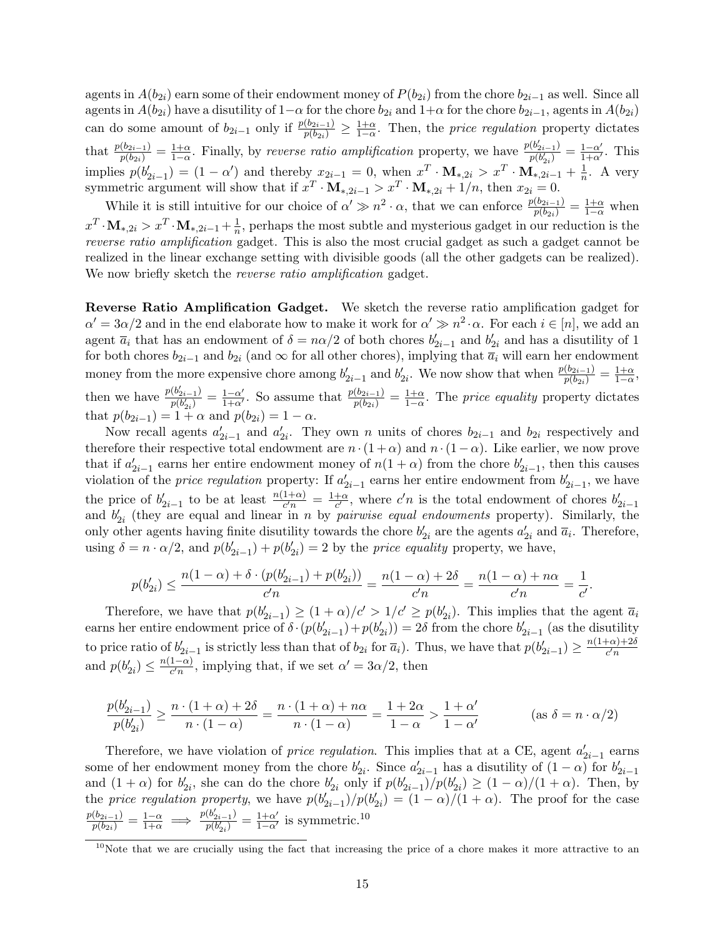agents in  $A(b_{2i})$  earn some of their endowment money of  $P(b_{2i})$  from the chore  $b_{2i-1}$  as well. Since all agents in  $A(b_{2i})$  have a disutility of  $1-\alpha$  for the chore  $b_{2i}$  and  $1+\alpha$  for the chore  $b_{2i-1}$ , agents in  $A(b_{2i})$ can do some amount of  $b_{2i-1}$  only if  $\frac{p(b_{2i-1})}{p(b_{2i})} \geq \frac{1+\alpha}{1-\alpha}$ . Then, the *price regulation* property dictates that  $\frac{p(b_{2i-1})}{p(b_{2i})} = \frac{1+\alpha}{1-\alpha}$ . Finally, by reverse ratio amplification property, we have  $\frac{p(b'_{2i-1})}{p(b'_{2i})}$  $\frac{(b'_{2i-1})}{p(b'_{2i})} = \frac{1-\alpha'}{1+\alpha'}$ . This implies  $p(b'_{2i-1}) = (1 - \alpha')$  and thereby  $x_{2i-1} = 0$ , when  $x^T \cdot M_{*,2i} > x^T \cdot M_{*,2i-1} + \frac{1}{n}$  $\frac{1}{n}$ . A very symmetric argument will show that if  $x^T \cdot \mathbf{M}_{*,2i-1} > x^T \cdot \mathbf{M}_{*,2i} + 1/n$ , then  $x_{2i} = 0$ .

While it is still intuitive for our choice of  $\alpha' \gg n^2 \cdot \alpha$ , that we can enforce  $\frac{p(b_{2i-1})}{p(b_{2i})} = \frac{1+\alpha}{1-\alpha}$  when  $x^T \cdot M_{*,2i} > x^T \cdot M_{*,2i-1} + \frac{1}{n}$  $\frac{1}{n}$ , perhaps the most subtle and mysterious gadget in our reduction is the reverse ratio amplification gadget. This is also the most crucial gadget as such a gadget cannot be realized in the linear exchange setting with divisible goods (all the other gadgets can be realized). We now briefly sketch the *reverse ratio amplification* gadget.

Reverse Ratio Amplification Gadget. We sketch the reverse ratio amplification gadget for  $\alpha' = 3\alpha/2$  and in the end elaborate how to make it work for  $\alpha' \gg n^2 \cdot \alpha$ . For each  $i \in [n]$ , we add an agent  $\bar{a}_i$  that has an endowment of  $\delta = n\alpha/2$  of both chores  $b'_{2i-1}$  and  $b'_{2i}$  and has a disutility of 1 for both chores  $b_{2i-1}$  and  $b_{2i}$  (and  $\infty$  for all other chores), implying that  $\overline{a_i}$  will earn her endowment money from the more expensive chore among  $b'_{2i-1}$  and  $b'_{2i}$ . We now show that when  $\frac{p(b_{2i-1})}{p(b_{2i})} = \frac{1+\alpha}{1-\alpha}$ , then we have  $\frac{p(b'_{2i-1})}{p(b'_{2i})}$  $\frac{(b'_{2i-1})}{p(b'_{2i})} = \frac{1-\alpha'}{1+\alpha'}$ . So assume that  $\frac{p(b_{2i-1})}{p(b_{2i})} = \frac{1+\alpha}{1-\alpha}$ . The price equality property dictates that  $p(b_{2i-1}) = 1 + \alpha$  and  $p(b_{2i}) = 1 - \alpha$ .

Now recall agents  $a'_{2i-1}$  and  $a'_{2i}$ . They own n units of chores  $b_{2i-1}$  and  $b_{2i}$  respectively and therefore their respective total endowment are  $n \cdot (1 + \alpha)$  and  $n \cdot (1 - \alpha)$ . Like earlier, we now prove that if  $a'_{2i-1}$  earns her entire endowment money of  $n(1+\alpha)$  from the chore  $b'_{2i-1}$ , then this causes violation of the *price regulation* property: If  $a'_{2i-1}$  earns her entire endowment from  $b'_{2i-1}$ , we have the price of  $b'_{2i-1}$  to be at least  $\frac{n(1+\alpha)}{c'n} = \frac{1+\alpha}{c'}$  $\frac{+\alpha}{c'}$ , where  $c'n$  is the total endowment of chores  $b'_{2i-1}$ and  $b'_{2i}$  (they are equal and linear in n by *pairwise equal endowments* property). Similarly, the only other agents having finite disutility towards the chore  $b'_{2i}$  are the agents  $a'_{2i}$  and  $\overline{a}_i$ . Therefore, using  $\delta = n \cdot \alpha/2$ , and  $p(b'_{2i-1}) + p(b'_{2i}) = 2$  by the *price equality* property, we have,

$$
p(b'_{2i}) \leq \frac{n(1-\alpha)+\delta \cdot (p(b'_{2i-1})+p(b'_{2i}))}{c'n} = \frac{n(1-\alpha)+2\delta}{c'n} = \frac{n(1-\alpha)+n\alpha}{c'n} = \frac{1}{c'}.
$$

Therefore, we have that  $p(b'_{2i-1}) \ge (1+\alpha)/c' > 1/c' \ge p(b'_{2i})$ . This implies that the agent  $\overline{a}_i$ earns her entire endowment price of  $\delta \cdot (p(b'_{2i-1}) + p(b'_{2i})) = 2\delta$  from the chore  $b'_{2i-1}$  (as the disutility to price ratio of  $b'_{2i-1}$  is strictly less than that of  $b_{2i}$  for  $\overline{a}_i$ ). Thus, we have that  $p(b'_{2i-1}) \geq \frac{n(1+\alpha)+2\delta}{c'n}$  $c'n$ and  $p(b'_{2i}) \leq \frac{n(1-\alpha)}{c'n}$  $\frac{1-\alpha}{c'n}$ , implying that, if we set  $\alpha' = 3\alpha/2$ , then

$$
\frac{p(b'_{2i-1})}{p(b'_{2i})} \ge \frac{n \cdot (1+\alpha)+2\delta}{n \cdot (1-\alpha)} = \frac{n \cdot (1+\alpha)+n\alpha}{n \cdot (1-\alpha)} = \frac{1+2\alpha}{1-\alpha} > \frac{1+\alpha'}{1-\alpha'}
$$
 (as  $\delta = n \cdot \alpha/2$ )

Therefore, we have violation of *price regulation*. This implies that at a CE, agent  $a'_{2i-1}$  earns some of her endowment money from the chore  $b'_{2i}$ . Since  $a'_{2i-1}$  has a disutility of  $(1 - \alpha)$  for  $b'_{2i-1}$ and  $(1+\alpha)$  for  $b'_{2i}$ , she can do the chore  $b'_{2i}$  only if  $p(b'_{2i-1})/p(b'_{2i}) \geq (1-\alpha)/(1+\alpha)$ . Then, by the price regulation property, we have  $p(b'_{2i-1})/p(b'_{2i}) = (1-\alpha)/(1+\alpha)$ . The proof for the case  $\frac{p(b_{2i-1})}{p(b_{2i})} = \frac{1-\alpha}{1+\alpha} \implies \frac{p(b'_{2i-1})}{p(b'_{2i})}$  $\frac{(b'_{2i-1})}{p(b'_{2i})} = \frac{1+\alpha'}{1-\alpha'}$  is symmetric.<sup>[10](#page-14-0)</sup>

<span id="page-14-0"></span> $10$ Note that we are crucially using the fact that increasing the price of a chore makes it more attractive to an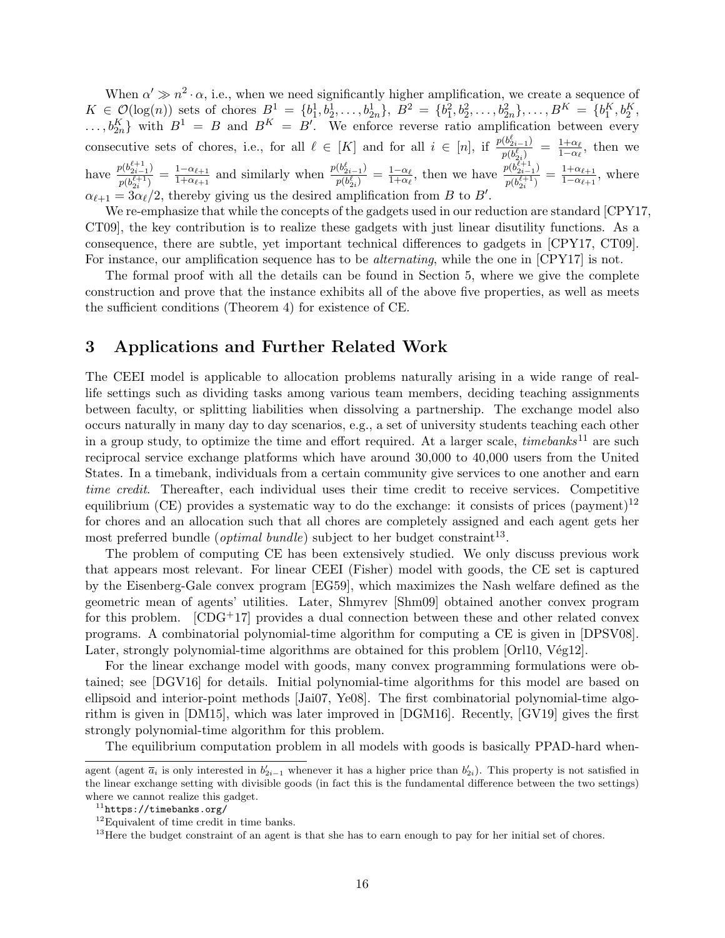When  $\alpha' \gg n^2 \cdot \alpha$ , i.e., when we need significantly higher amplification, we create a sequence of  $K \in \mathcal{O}(\log(n))$  sets of chores  $B^1 = \{b_1^1, b_2^1, \ldots, b_{2n}^1\}, B^2 = \{b_1^2, b_2^2, \ldots, b_{2n}^2\}, \ldots, B^K = \{b_1^K, b_2^K\}$  $\ldots, b_{2n}^K$  with  $B^1 = B$  and  $B^K = B'$ . We enforce reverse ratio amplification between every consecutive sets of chores, i.e., for all  $\ell \in [K]$  and for all  $i \in [n]$ , if  $\frac{p(b_{2i-1}^{\ell})}{p(k_i^{\ell})}$  $\frac{(b_{2i-1}^{\epsilon})}{p(b_{2i}^{\ell})} \ = \ \frac{1+\alpha_{\ell}}{1-\alpha_{\ell}}$  $\frac{1+\alpha_\ell}{1-\alpha_\ell}$ , then we have  $\frac{p(b_{2i-1}^{\ell+1})}{p(b_{2i-1}^{\ell+1})}$  $\frac{p(b_{2i-1}^{c+1})}{p(b_{2i}^{\ell+1})} = \frac{1-\alpha_{\ell+1}}{1+\alpha_{\ell+1}}$  $\frac{1-\alpha_{\ell+1}}{1+\alpha_{\ell+1}}$  and similarly when  $\frac{p(b_{2i-1}^{\ell})}{p(b_{2i}^{\ell})}$  $\frac{(b_{2i-1}^{\epsilon})}{p(b_{2i}^{\ell})} = \frac{1-\alpha_{\ell}}{1+\alpha_{\ell}}$  $\frac{1-\alpha_{\ell}}{1+\alpha_{\ell}},$  then we have  $\frac{p(b_{2i-1}^{\ell+1})}{p(b_{2i}^{\ell+1})}$  $\frac{p(b_{2i-1}^{c+1})}{p(b_{2i}^{\ell+1})} = \frac{1+\alpha_{\ell+1}}{1-\alpha_{\ell+1}}$  $\frac{1+\alpha_{\ell+1}}{1-\alpha_{\ell+1}},$  where  $\alpha_{\ell+1} = 3\alpha_{\ell}/2$ , thereby giving us the desired amplification from B to B'.

We re-emphasize that while the concepts of the gadgets used in our reduction are standard [\[CPY17,](#page-42-11) [CT09\]](#page-42-12), the key contribution is to realize these gadgets with just linear disutility functions. As a consequence, there are subtle, yet important technical differences to gadgets in [\[CPY17,](#page-42-11) [CT09\]](#page-42-12). For instance, our amplification sequence has to be alternating, while the one in [\[CPY17\]](#page-42-11) is not.

The formal proof with all the details can be found in Section [5,](#page-29-0) where we give the complete construction and prove that the instance exhibits all of the above five properties, as well as meets the sufficient conditions (Theorem [4\)](#page-4-1) for existence of CE.

# <span id="page-15-0"></span>3 Applications and Further Related Work

The CEEI model is applicable to allocation problems naturally arising in a wide range of reallife settings such as dividing tasks among various team members, deciding teaching assignments between faculty, or splitting liabilities when dissolving a partnership. The exchange model also occurs naturally in many day to day scenarios, e.g., a set of university students teaching each other in a group study, to optimize the time and effort required. At a larger scale,  $time banks^{11}$  $time banks^{11}$  $time banks^{11}$  are such reciprocal service exchange platforms which have around 30,000 to 40,000 users from the United States. In a timebank, individuals from a certain community give services to one another and earn time credit. Thereafter, each individual uses their time credit to receive services. Competitive equilibrium (CE) provides a systematic way to do the exchange: it consists of prices (payment)<sup>[12](#page-15-2)</sup> for chores and an allocation such that all chores are completely assigned and each agent gets her most preferred bundle (*optimal bundle*) subject to her budget constraint<sup>[13](#page-15-3)</sup>.

The problem of computing CE has been extensively studied. We only discuss previous work that appears most relevant. For linear CEEI (Fisher) model with goods, the CE set is captured by the Eisenberg-Gale convex program [\[EG59\]](#page-42-3), which maximizes the Nash welfare defined as the geometric mean of agents' utilities. Later, Shmyrev [\[Shm09\]](#page-43-9) obtained another convex program for this problem.  $[CDG^+17]$  provides a dual connection between these and other related convex programs. A combinatorial polynomial-time algorithm for computing a CE is given in [\[DPSV08\]](#page-42-0). Later, strongly polynomial-time algorithms are obtained for this problem  $[Orl10, Vég12]$ .

For the linear exchange model with goods, many convex programming formulations were obtained; see [\[DGV16\]](#page-42-13) for details. Initial polynomial-time algorithms for this model are based on ellipsoid and interior-point methods [\[Jai07,](#page-43-2) [Ye08\]](#page-43-3). The first combinatorial polynomial-time algorithm is given in [\[DM15\]](#page-42-6), which was later improved in [\[DGM16\]](#page-42-7). Recently, [\[GV19\]](#page-43-5) gives the first strongly polynomial-time algorithm for this problem.

The equilibrium computation problem in all models with goods is basically PPAD-hard when-

agent (agent  $\overline{a}_i$  is only interested in  $b'_{2i-1}$  whenever it has a higher price than  $b'_{2i}$ ). This property is not satisfied in the linear exchange setting with divisible goods (in fact this is the fundamental difference between the two settings) where we cannot realize this gadget.

<span id="page-15-1"></span> $11$ <https://timebanks.org/>

<span id="page-15-2"></span><sup>12</sup>Equivalent of time credit in time banks.

<span id="page-15-3"></span> $13$  Here the budget constraint of an agent is that she has to earn enough to pay for her initial set of chores.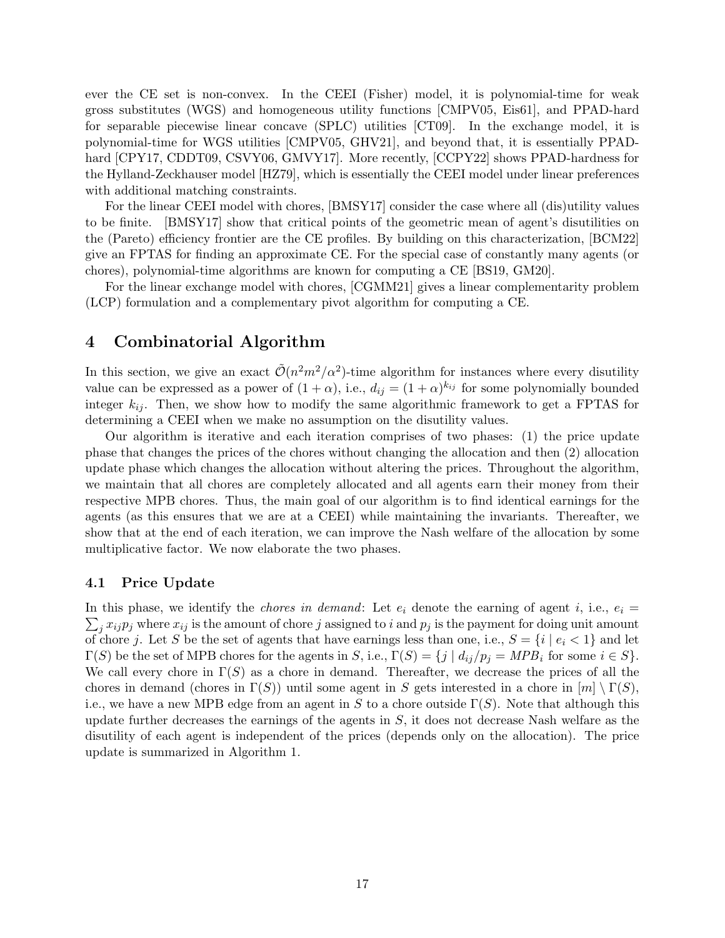ever the CE set is non-convex. In the CEEI (Fisher) model, it is polynomial-time for weak gross substitutes (WGS) and homogeneous utility functions [\[CMPV05,](#page-42-14) [Eis61\]](#page-42-9), and PPAD-hard for separable piecewise linear concave (SPLC) utilities [\[CT09\]](#page-42-12). In the exchange model, it is polynomial-time for WGS utilities [\[CMPV05,](#page-42-14) [GHV21\]](#page-43-11), and beyond that, it is essentially PPAD-hard [\[CPY17,](#page-42-11) [CDDT09,](#page-41-7) [CSVY06,](#page-42-10) [GMVY17\]](#page-43-8). More recently, [\[CCPY22\]](#page-41-8) shows PPAD-hardness for the Hylland-Zeckhauser model [\[HZ79\]](#page-43-12), which is essentially the CEEI model under linear preferences with additional matching constraints.

For the linear CEEI model with chores, [\[BMSY17\]](#page-41-1) consider the case where all (dis)utility values to be finite. [\[BMSY17\]](#page-41-1) show that critical points of the geometric mean of agent's disutilities on the (Pareto) efficiency frontier are the CE profiles. By building on this characterization, [\[BCM22\]](#page-41-2) give an FPTAS for finding an approximate CE. For the special case of constantly many agents (or chores), polynomial-time algorithms are known for computing a CE [\[BS19,](#page-41-9) [GM20\]](#page-43-13).

For the linear exchange model with chores, [\[CGMM21\]](#page-41-3) gives a linear complementarity problem (LCP) formulation and a complementary pivot algorithm for computing a CE.

## <span id="page-16-0"></span>4 Combinatorial Algorithm

In this section, we give an exact  $\tilde{\mathcal{O}}(n^2m^2/\alpha^2)$ -time algorithm for instances where every disutility value can be expressed as a power of  $(1+\alpha)$ , i.e.,  $d_{ij} = (1+\alpha)^{k_{ij}}$  for some polynomially bounded integer  $k_{ij}$ . Then, we show how to modify the same algorithmic framework to get a FPTAS for determining a CEEI when we make no assumption on the disutility values.

Our algorithm is iterative and each iteration comprises of two phases: (1) the price update phase that changes the prices of the chores without changing the allocation and then (2) allocation update phase which changes the allocation without altering the prices. Throughout the algorithm, we maintain that all chores are completely allocated and all agents earn their money from their respective MPB chores. Thus, the main goal of our algorithm is to find identical earnings for the agents (as this ensures that we are at a CEEI) while maintaining the invariants. Thereafter, we show that at the end of each iteration, we can improve the Nash welfare of the allocation by some multiplicative factor. We now elaborate the two phases.

#### 4.1 Price Update

 $\sum_j x_{ij} p_j$  where  $x_{ij}$  is the amount of chore j assigned to i and  $p_j$  is the payment for doing unit amount In this phase, we identify the *chores in demand*: Let  $e_i$  denote the earning of agent i, i.e.,  $e_i =$ of chore j. Let S be the set of agents that have earnings less than one, i.e.,  $S = \{i \mid e_i < 1\}$  and let  $\Gamma(S)$  be the set of MPB chores for the agents in S, i.e.,  $\Gamma(S) = \{j \mid d_{ij}/p_j = MPB_i \text{ for some } i \in S\}.$ We call every chore in  $\Gamma(S)$  as a chore in demand. Thereafter, we decrease the prices of all the chores in demand (chores in  $\Gamma(S)$ ) until some agent in S gets interested in a chore in  $[m] \setminus \Gamma(S)$ , i.e., we have a new MPB edge from an agent in S to a chore outside  $\Gamma(S)$ . Note that although this update further decreases the earnings of the agents in  $S$ , it does not decrease Nash welfare as the disutility of each agent is independent of the prices (depends only on the allocation). The price update is summarized in Algorithm [1.](#page-17-0)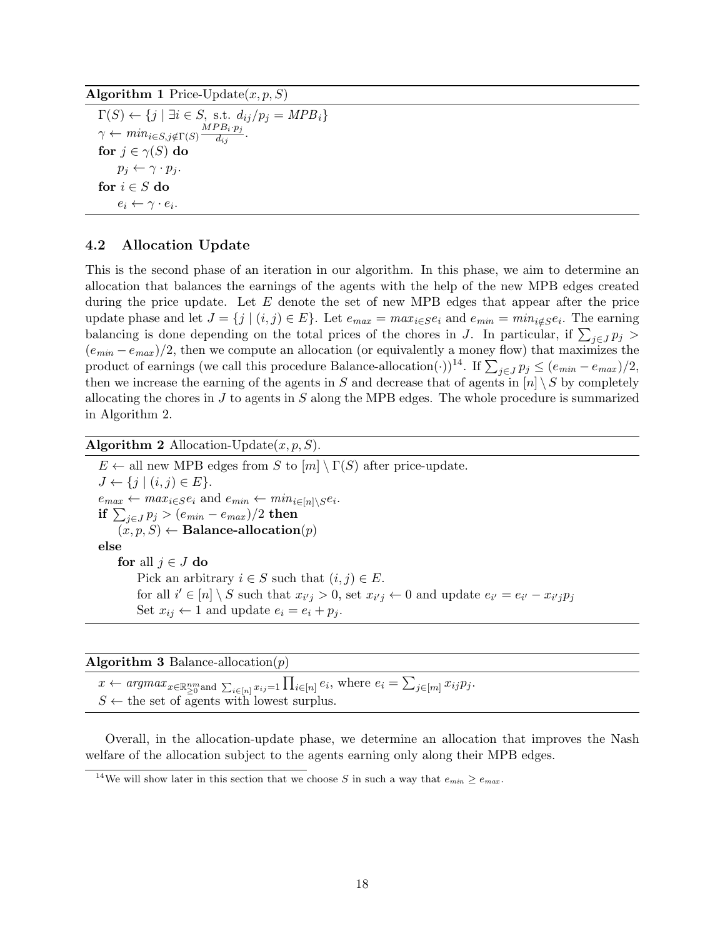<span id="page-17-0"></span>Algorithm 1 Price-Update $(x, p, S)$ 

 $\Gamma(S) \leftarrow \{j \mid \exists i \in S, \text{ s.t. } d_{ij}/p_j = MPB_i\}$  $\gamma \leftarrow min_{i \in S, j \notin \Gamma(S)} \frac{MPB_i \cdot p_j}{d_{ii}}$  $d_{ij}$ . for  $j \in \gamma(S)$  do  $p_j \leftarrow \gamma \cdot p_j.$ for  $i \in S$  do  $e_i \leftarrow \gamma \cdot e_i.$ 

#### 4.2 Allocation Update

This is the second phase of an iteration in our algorithm. In this phase, we aim to determine an allocation that balances the earnings of the agents with the help of the new MPB edges created during the price update. Let  $E$  denote the set of new MPB edges that appear after the price update phase and let  $J = \{j \mid (i, j) \in E\}$ . Let  $e_{max} = max_{i \in S} e_i$  and  $e_{min} = min_{i \notin S} e_i$ . The earning balancing is done depending on the total prices of the chores in J. In particular, if  $\sum_{j\in J} p_j$  $(e_{min} - e_{max})/2$ , then we compute an allocation (or equivalently a money flow) that maximizes the product of earnings (we call this procedure Balance-allocation(·))<sup>[14](#page-17-1)</sup>. If  $\sum_{j\in J} p_j \le (e_{min} - e_{max})/2$ , then we increase the earning of the agents in S and decrease that of agents in  $[n] \setminus S$  by completely allocating the chores in  $J$  to agents in  $S$  along the MPB edges. The whole procedure is summarized in Algorithm [2.](#page-17-2)

<span id="page-17-2"></span>Algorithm 2 Allocation-Update $(x, p, S)$ .

 $E \leftarrow$  all new MPB edges from S to  $[m] \setminus \Gamma(S)$  after price-update.  $J \leftarrow \{j \mid (i, j) \in E\}.$  $e_{max} \leftarrow max_{i \in S} e_i$  and  $e_{min} \leftarrow min_{i \in [n] \setminus S} e_i$ .  $\textbf{if} \, \sum_{j \in J} p_j > (e_{min} - e_{max})/2 \; \textbf{then}$  $(x, p, S) \leftarrow$  Balance-allocation $(p)$ else for all  $j \in J$  do Pick an arbitrary  $i \in S$  such that  $(i, j) \in E$ . for all  $i' \in [n] \setminus S$  such that  $x_{i'j} > 0$ , set  $x_{i'j} \leftarrow 0$  and update  $e_{i'} = e_{i'} - x_{i'j}p_j$ Set  $x_{ij} \leftarrow 1$  and update  $e_i = e_i + p_j$ .

**Algorithm 3** Balance-allocation $(p)$ 

 $x \leftarrow argmax_{x \in \mathbb{R}^{nm}_{\geq 0}$  and  $\sum_{i \in [n]} x_{ij} = 1 \prod_{i \in [n]} e_i$ , where  $e_i = \sum_{j \in [m]} x_{ij} p_j$ .  $S \leftarrow$  the set of agents with lowest surplus.

Overall, in the allocation-update phase, we determine an allocation that improves the Nash welfare of the allocation subject to the agents earning only along their MPB edges.

<span id="page-17-1"></span><sup>&</sup>lt;sup>14</sup>We will show later in this section that we choose S in such a way that  $e_{min} \ge e_{max}$ .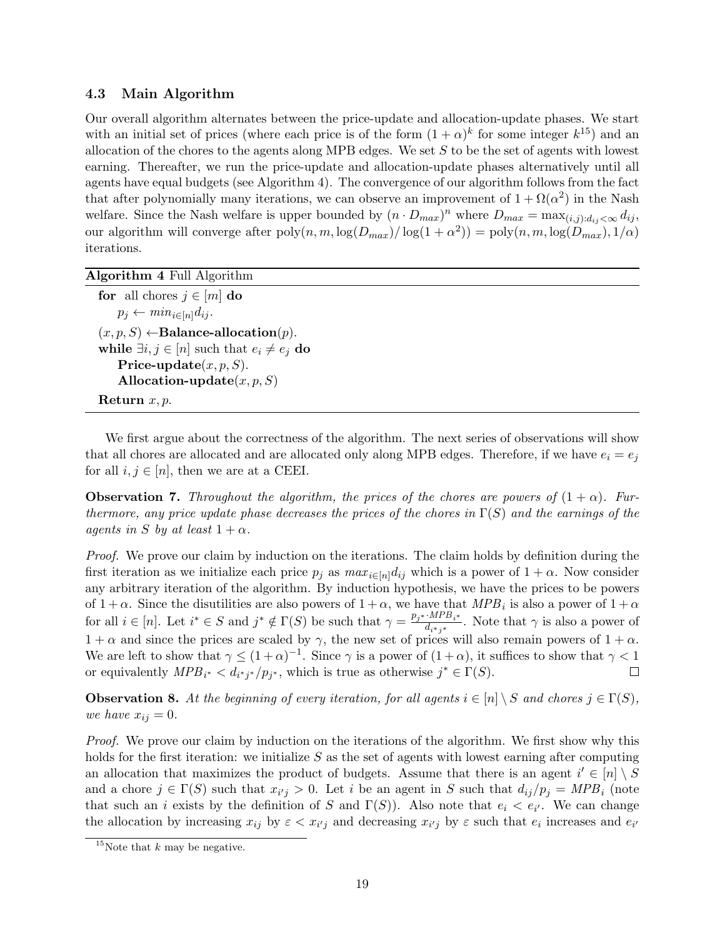## 4.3 Main Algorithm

Our overall algorithm alternates between the price-update and allocation-update phases. We start with an initial set of prices (where each price is of the form  $(1 + \alpha)^k$  for some integer  $k^{15}$  $k^{15}$  $k^{15}$ ) and an allocation of the chores to the agents along MPB edges. We set  $S$  to be the set of agents with lowest earning. Thereafter, we run the price-update and allocation-update phases alternatively until all agents have equal budgets (see Algorithm [4\)](#page-18-1). The convergence of our algorithm follows from the fact that after polynomially many iterations, we can observe an improvement of  $1 + \Omega(\alpha^2)$  in the Nash welfare. Since the Nash welfare is upper bounded by  $(n \cdot D_{max})^n$  where  $D_{max} = \max_{(i,j): d_{ij} < \infty} d_{ij}$ , our algorithm will converge after  $poly(n, m, \log(D_{max})/\log(1 + \alpha^2)) = poly(n, m, \log(D_{max}), 1/\alpha)$ iterations.

<span id="page-18-1"></span>

| Algorithm 4 Full Algorithm |  |  |  |  |
|----------------------------|--|--|--|--|
|----------------------------|--|--|--|--|

for all chores  $j \in [m]$  do  $p_j \leftarrow min_{i \in [n]} d_{ij}.$  $(x, p, S) \leftarrow$ Balance-allocation $(p)$ . while  $\exists i, j \in [n]$  such that  $e_i \neq e_j$  do Price-update $(x, p, S)$ . Allocation-update $(x, p, S)$ Return  $x, p$ .

We first argue about the correctness of the algorithm. The next series of observations will show that all chores are allocated and are allocated only along MPB edges. Therefore, if we have  $e_i = e_j$ for all  $i, j \in [n]$ , then we are at a CEEI.

<span id="page-18-3"></span>**Observation 7.** Throughout the algorithm, the prices of the chores are powers of  $(1 + \alpha)$ . Furthermore, any price update phase decreases the prices of the chores in  $\Gamma(S)$  and the earnings of the agents in S by at least  $1 + \alpha$ .

Proof. We prove our claim by induction on the iterations. The claim holds by definition during the first iteration as we initialize each price  $p_i$  as  $max_{i\in[n]}d_{ij}$  which is a power of  $1+\alpha$ . Now consider any arbitrary iteration of the algorithm. By induction hypothesis, we have the prices to be powers of  $1 + \alpha$ . Since the disutilities are also powers of  $1 + \alpha$ , we have that  $MPB_i$  is also a power of  $1 + \alpha$ for all  $i \in [n]$ . Let  $i^* \in S$  and  $j^* \notin \Gamma(S)$  be such that  $\gamma = \frac{p_{j^*} \cdot M P B_{i^*}}{d_{j^*} \cdot j^*}$  $\frac{m_1 D_i^*}{d_{i^*j^*}}$ . Note that  $\gamma$  is also a power of  $1 + \alpha$  and since the prices are scaled by  $\gamma$ , the new set of prices will also remain powers of  $1 + \alpha$ . We are left to show that  $\gamma \leq (1+\alpha)^{-1}$ . Since  $\gamma$  is a power of  $(1+\alpha)$ , it suffices to show that  $\gamma < 1$ or equivalently  $MPB_{i^*} < d_{i^*j^*}/p_{j^*}$ , which is true as otherwise  $j^* \in \Gamma(S)$ .  $\Box$ 

<span id="page-18-2"></span>**Observation 8.** At the beginning of every iteration, for all agents  $i \in [n] \setminus S$  and chores  $j \in \Gamma(S)$ , we have  $x_{ij} = 0$ .

Proof. We prove our claim by induction on the iterations of the algorithm. We first show why this holds for the first iteration: we initialize  $S$  as the set of agents with lowest earning after computing an allocation that maximizes the product of budgets. Assume that there is an agent  $i' \in [n] \setminus S$ and a chore  $j \in \Gamma(S)$  such that  $x_{i'j} > 0$ . Let i be an agent in S such that  $d_{ij}/p_j = MPB_i$  (note that such an *i* exists by the definition of S and  $\Gamma(S)$ ). Also note that  $e_i < e_{i'}$ . We can change the allocation by increasing  $x_{ij}$  by  $\varepsilon < x_{i'j}$  and decreasing  $x_{i'j}$  by  $\varepsilon$  such that  $e_i$  increases and  $e_{i'}$ 

<span id="page-18-0"></span><sup>&</sup>lt;sup>15</sup>Note that  $k$  may be negative.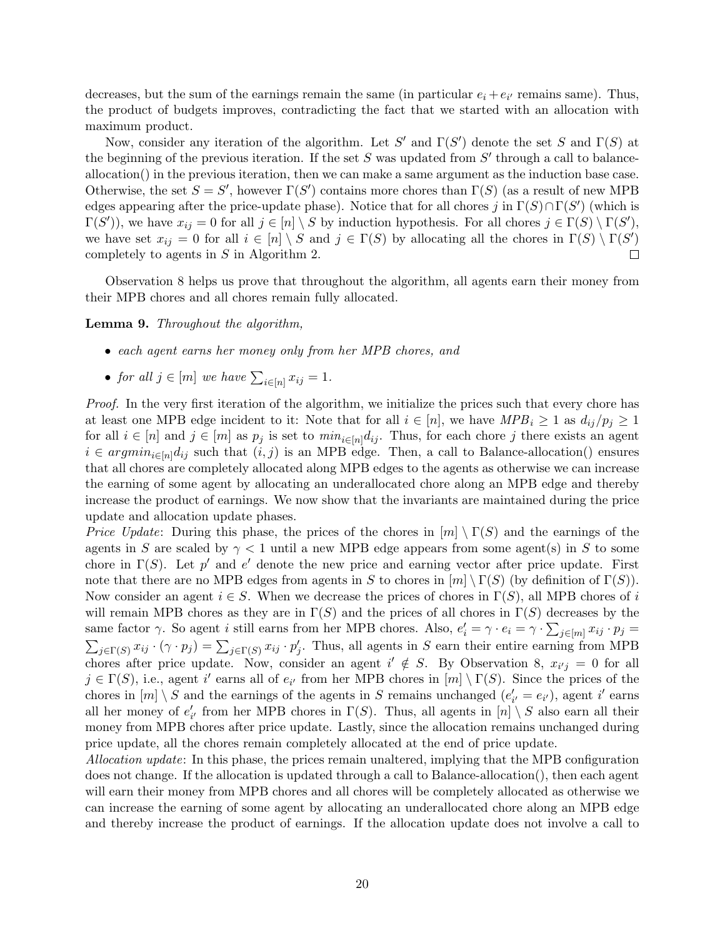decreases, but the sum of the earnings remain the same (in particular  $e_i + e_{i'}$  remains same). Thus, the product of budgets improves, contradicting the fact that we started with an allocation with maximum product.

Now, consider any iteration of the algorithm. Let S' and  $\Gamma(S')$  denote the set S and  $\Gamma(S)$  at the beginning of the previous iteration. If the set  $S$  was updated from  $S'$  through a call to balanceallocation() in the previous iteration, then we can make a same argument as the induction base case. Otherwise, the set  $S = S'$ , however  $\Gamma(S')$  contains more chores than  $\Gamma(S)$  (as a result of new MPB edges appearing after the price-update phase). Notice that for all chores j in  $\Gamma(S) \cap \Gamma(S')$  (which is  $\Gamma(S')$ , we have  $x_{ij} = 0$  for all  $j \in [n] \setminus S$  by induction hypothesis. For all chores  $j \in \Gamma(S) \setminus \Gamma(S')$ , we have set  $x_{ij} = 0$  for all  $i \in [n] \setminus S$  and  $j \in \Gamma(S)$  by allocating all the chores in  $\Gamma(S) \setminus \Gamma(S')$ completely to agents in S in Algorithm [2.](#page-17-2)  $\Box$ 

Observation [8](#page-18-2) helps us prove that throughout the algorithm, all agents earn their money from their MPB chores and all chores remain fully allocated.

<span id="page-19-0"></span>Lemma 9. Throughout the algorithm,

- each agent earns her money only from her MPB chores, and
- for all  $j \in [m]$  we have  $\sum_{i \in [n]} x_{ij} = 1$ .

Proof. In the very first iteration of the algorithm, we initialize the prices such that every chore has at least one MPB edge incident to it: Note that for all  $i \in [n]$ , we have  $MPB_i \ge 1$  as  $d_{ij}/p_j \ge 1$ for all  $i \in [n]$  and  $j \in [m]$  as  $p_j$  is set to  $min_{i \in [n]} d_{ij}$ . Thus, for each chore j there exists an agent  $i \in argmin_{i \in [n]} d_{ij}$  such that  $(i, j)$  is an MPB edge. Then, a call to Balance-allocation() ensures that all chores are completely allocated along MPB edges to the agents as otherwise we can increase the earning of some agent by allocating an underallocated chore along an MPB edge and thereby increase the product of earnings. We now show that the invariants are maintained during the price update and allocation update phases.

*Price Update:* During this phase, the prices of the chores in  $[m] \setminus \Gamma(S)$  and the earnings of the agents in S are scaled by  $\gamma < 1$  until a new MPB edge appears from some agent(s) in S to some chore in  $\Gamma(S)$ . Let p' and e' denote the new price and earning vector after price update. First note that there are no MPB edges from agents in S to chores in  $[m] \setminus \Gamma(S)$  (by definition of  $\Gamma(S)$ ). Now consider an agent  $i \in S$ . When we decrease the prices of chores in  $\Gamma(S)$ , all MPB chores of i will remain MPB chores as they are in  $\Gamma(S)$  and the prices of all chores in  $\Gamma(S)$  decreases by the same factor  $\gamma$ . So agent *i* still earns from her MPB chores. Also,  $e'_i = \gamma \cdot e_i = \gamma \cdot \sum_{j \in [m]} x_{ij} \cdot p_j =$  $\sum_{j\in\Gamma(S)} x_{ij} \cdot (\gamma \cdot p_j) = \sum_{j\in\Gamma(S)} x_{ij} \cdot p'_j$ . Thus, all agents in S earn their entire earning from MPB chores after price update. Now, consider an agent  $i' \notin S$ . By Observation [8,](#page-18-2)  $x_{i'j} = 0$  for all  $j \in \Gamma(S)$ , i.e., agent i' earns all of  $e_{i'}$  from her MPB chores in  $[m] \setminus \Gamma(S)$ . Since the prices of the chores in  $[m] \setminus S$  and the earnings of the agents in S remains unchanged  $(e'_{i'} = e_{i'})$ , agent i' earns all her money of  $e'_{i'}$  from her MPB chores in  $\Gamma(S)$ . Thus, all agents in  $[n] \setminus S$  also earn all their money from MPB chores after price update. Lastly, since the allocation remains unchanged during price update, all the chores remain completely allocated at the end of price update.

Allocation update: In this phase, the prices remain unaltered, implying that the MPB configuration does not change. If the allocation is updated through a call to Balance-allocation(), then each agent will earn their money from MPB chores and all chores will be completely allocated as otherwise we can increase the earning of some agent by allocating an underallocated chore along an MPB edge and thereby increase the product of earnings. If the allocation update does not involve a call to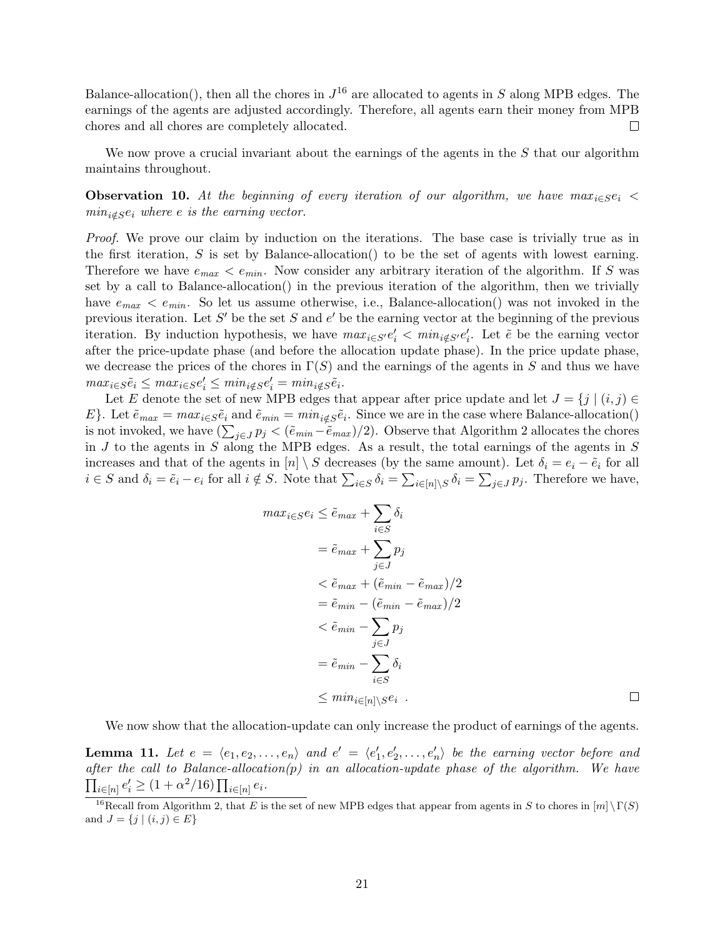Balance-allocation(), then all the chores in  $J^{16}$  $J^{16}$  $J^{16}$  are allocated to agents in S along MPB edges. The earnings of the agents are adjusted accordingly. Therefore, all agents earn their money from MPB chores and all chores are completely allocated.  $\Box$ 

We now prove a crucial invariant about the earnings of the agents in the  $S$  that our algorithm maintains throughout.

<span id="page-20-2"></span>**Observation 10.** At the beginning of every iteration of our algorithm, we have  $max_{i \in S} e_i$  $min_{i \notin S} e_i$  where e is the earning vector.

Proof. We prove our claim by induction on the iterations. The base case is trivially true as in the first iteration,  $S$  is set by Balance-allocation() to be the set of agents with lowest earning. Therefore we have  $e_{max} < e_{min}$ . Now consider any arbitrary iteration of the algorithm. If S was set by a call to Balance-allocation() in the previous iteration of the algorithm, then we trivially have  $e_{max} < e_{min}$ . So let us assume otherwise, i.e., Balance-allocation() was not invoked in the previous iteration. Let S' be the set S and  $e'$  be the earning vector at the beginning of the previous iteration. By induction hypothesis, we have  $max_{i \in S'} e'_i < min_{i \notin S'} e'_i$ . Let  $\tilde{e}$  be the earning vector after the price-update phase (and before the allocation update phase). In the price update phase, we decrease the prices of the chores in  $\Gamma(S)$  and the earnings of the agents in S and thus we have  $max_{i \in S} \tilde{e}_i \leq max_{i \in S} e'_i \leq min_{i \notin S} e'_i = min_{i \notin S} \tilde{e}_i.$ 

Let E denote the set of new MPB edges that appear after price update and let  $J = \{j \mid (i, j) \in$ E}. Let  $\tilde{e}_{max} = max_{i \in S} \tilde{e}_i$  and  $\tilde{e}_{min} = min_{i \notin S} \tilde{e}_i$ . Since we are in the case where Balance-allocation() is not invoked, we have  $(\sum_{j\in J} p_j < (\tilde{e}_{min}-\tilde{e}_{max})/2)$  $(\sum_{j\in J} p_j < (\tilde{e}_{min}-\tilde{e}_{max})/2)$  $(\sum_{j\in J} p_j < (\tilde{e}_{min}-\tilde{e}_{max})/2)$ . Observe that Algorithm 2 allocates the chores in  $J$  to the agents in  $S$  along the MPB edges. As a result, the total earnings of the agents in  $S$ increases and that of the agents in  $[n] \setminus S$  decreases (by the same amount). Let  $\delta_i = e_i - \tilde{e}_i$  for all  $i \in S$  and  $\delta_i = \tilde{e}_i - e_i$  for all  $i \notin S$ . Note that  $\sum_{i \in S} \delta_i = \sum_{i \in [n] \setminus S} \delta_i = \sum_{j \in J} p_j$ . Therefore we have,

$$
max_{i \in S} e_i \leq \tilde{e}_{max} + \sum_{i \in S} \delta_i
$$
  
=  $\tilde{e}_{max} + \sum_{j \in J} p_j$   
 $\leq \tilde{e}_{max} + (\tilde{e}_{min} - \tilde{e}_{max})/2$   
=  $\tilde{e}_{min} - (\tilde{e}_{min} - \tilde{e}_{max})/2$   
 $\leq \tilde{e}_{min} - \sum_{j \in J} p_j$   
=  $\tilde{e}_{min} - \sum_{i \in S} \delta_i$   
 $\leq min_{i \in [n] \setminus S} e_i$ 

We now show that the allocation-update can only increase the product of earnings of the agents.

<span id="page-20-1"></span>**Lemma 11.** Let  $e = \langle e_1, e_2, \ldots, e_n \rangle$  and  $e' = \langle e'_1, e'_2, \ldots, e'_n \rangle$  be the earning vector before and after the call to Balance-allocation(p) in an allocation-update phase of the algorithm. We have  $\prod_{i \in [n]} e'_i \ge (1 + \alpha^2/16) \prod_{i \in [n]} e_i.$ 

<span id="page-20-0"></span><sup>&</sup>lt;sup>16</sup>Recall from Algorithm [2,](#page-17-2) that E is the set of new MPB edges that appear from agents in S to chores in  $[m] \setminus \Gamma(S)$ and  $J = \{j | (i, j) \in E\}$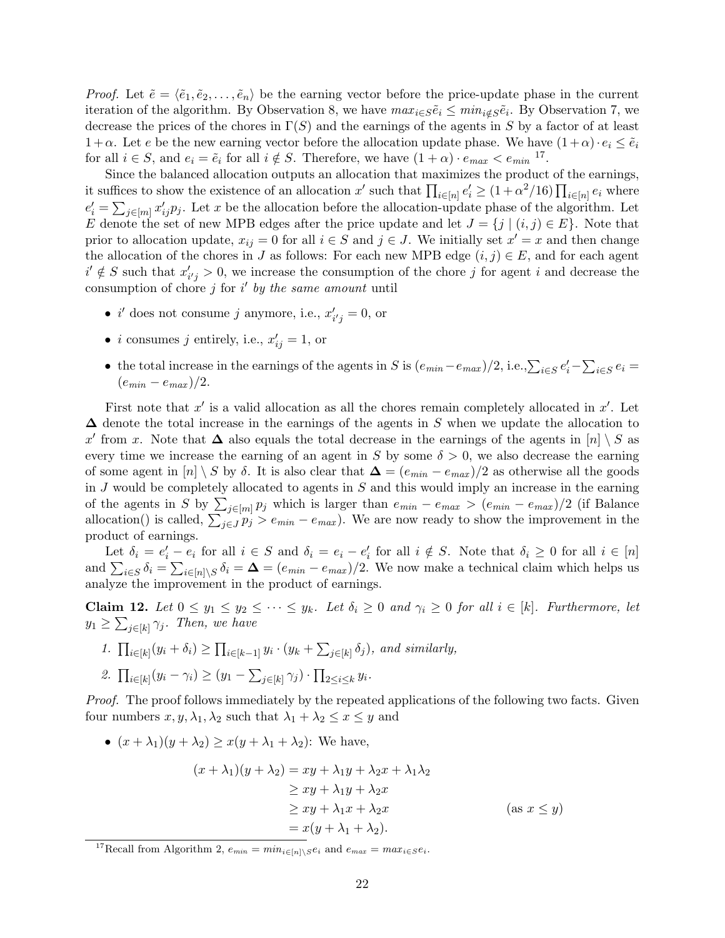*Proof.* Let  $\tilde{e} = \langle \tilde{e}_1, \tilde{e}_2, \ldots, \tilde{e}_n \rangle$  be the earning vector before the price-update phase in the current iteration of the algorithm. By Observation [8,](#page-18-2) we have  $max_{i \in S} \tilde{e}_i \leq min_{i \notin S} \tilde{e}_i$ . By Observation [7,](#page-18-3) we decrease the prices of the chores in  $\Gamma(S)$  and the earnings of the agents in S by a factor of at least  $1+\alpha$ . Let e be the new earning vector before the allocation update phase. We have  $(1+\alpha) \cdot e_i \leq \tilde{e}_i$ for all  $i \in S$ , and  $e_i = \tilde{e}_i$  for all  $i \notin S$ . Therefore, we have  $(1 + \alpha) \cdot e_{max} < e_{min}$ <sup>[17](#page-21-0)</sup>.

Since the balanced allocation outputs an allocation that maximizes the product of the earnings, it suffices to show the existence of an allocation x' such that  $\prod_{i\in[n]}e'_i \geq (1+\alpha^2/16)\prod_{i\in[n]}e_i$  where  $e'_i = \sum_{j \in [m]} x'_{ij} p_j$ . Let x be the allocation before the allocation-update phase of the algorithm. Let E denote the set of new MPB edges after the price update and let  $J = \{j \mid (i,j) \in E\}$ . Note that prior to allocation update,  $x_{ij} = 0$  for all  $i \in S$  and  $j \in J$ . We initially set  $x' = x$  and then change the allocation of the chores in J as follows: For each new MPB edge  $(i, j) \in E$ , and for each agent  $i' \notin S$  such that  $x'_{i'j} > 0$ , we increase the consumption of the chore j for agent i and decrease the consumption of chore  $j$  for  $i'$  by the same amount until

- *i'* does not consume *j* anymore, i.e.,  $x'_{i'j} = 0$ , or
- *i* consumes *j* entirely, i.e.,  $x'_{ij} = 1$ , or
- the total increase in the earnings of the agents in S is  $(e_{min}-e_{max})/2$ , i.e., $\sum_{i\in S}e_i' \sum_{i\in S}e_i =$  $(e_{min} - e_{max})/2$ .

First note that  $x'$  is a valid allocation as all the chores remain completely allocated in  $x'$ . Let  $\Delta$  denote the total increase in the earnings of the agents in S when we update the allocation to x' from x. Note that  $\Delta$  also equals the total decrease in the earnings of the agents in  $[n] \setminus S$  as every time we increase the earning of an agent in S by some  $\delta > 0$ , we also decrease the earning of some agent in  $[n] \setminus S$  by  $\delta$ . It is also clear that  $\Delta = (e_{min} - e_{max})/2$  as otherwise all the goods in  $J$  would be completely allocated to agents in  $S$  and this would imply an increase in the earning of the agents in S by  $\sum_{j\in[m]} p_j$  which is larger than  $e_{min} - e_{max} > (e_{min} - e_{max})/2$  (if Balance allocation() is called,  $\sum_{j\in J} p_j > e_{min} - e_{max}$ ). We are now ready to show the improvement in the product of earnings.

Let  $\delta_i = e'_i - e_i$  for all  $i \in S$  and  $\delta_i = e_i - e'_i$  for all  $i \notin S$ . Note that  $\delta_i \geq 0$  for all  $i \in [n]$ and  $\sum_{i\in S}\delta_i = \sum_{i\in[n]\setminus S}\delta_i = \mathbf{\Delta} = (e_{min}-e_{max})/2$ . We now make a technical claim which helps us analyze the improvement in the product of earnings.

<span id="page-21-1"></span>**Claim 12.** Let  $0 \le y_1 \le y_2 \le \cdots \le y_k$ . Let  $\delta_i \ge 0$  and  $\gamma_i \ge 0$  for all  $i \in [k]$ . Furthermore, let  $y_1 \ge \sum_{j \in [k]} \gamma_j$ . Then, we have

- 1.  $\prod_{i\in[k]}(y_i+\delta_i) \ge \prod_{i\in[k-1]} y_i \cdot (y_k+\sum_{j\in[k]} \delta_j)$ , and similarly,
- 2.  $\prod_{i \in [k]} (y_i \gamma_i) \ge (y_1 \sum_{j \in [k]} \gamma_j) \cdot \prod_{2 \le i \le k} y_i$ .

Proof. The proof follows immediately by the repeated applications of the following two facts. Given four numbers  $x, y, \lambda_1, \lambda_2$  such that  $\lambda_1 + \lambda_2 \leq x \leq y$  and

•  $(x + \lambda_1)(y + \lambda_2) \geq x(y + \lambda_1 + \lambda_2)$ : We have,  $(x + \lambda_1)(y + \lambda_2) = xy + \lambda_1y + \lambda_2x + \lambda_1\lambda_2$  $\geq xy + \lambda_1y + \lambda_2x$  $> xy + \lambda_1 x + \lambda_2 x$  (as  $x \leq y$ )  $= x(y + \lambda_1 + \lambda_2).$ 

<span id="page-21-0"></span><sup>17</sup>Recall from Algorithm [2,](#page-17-2)  $e_{min} = min_{i \in [n] \setminus S} e_i$  and  $e_{max} = max_{i \in S} e_i$ .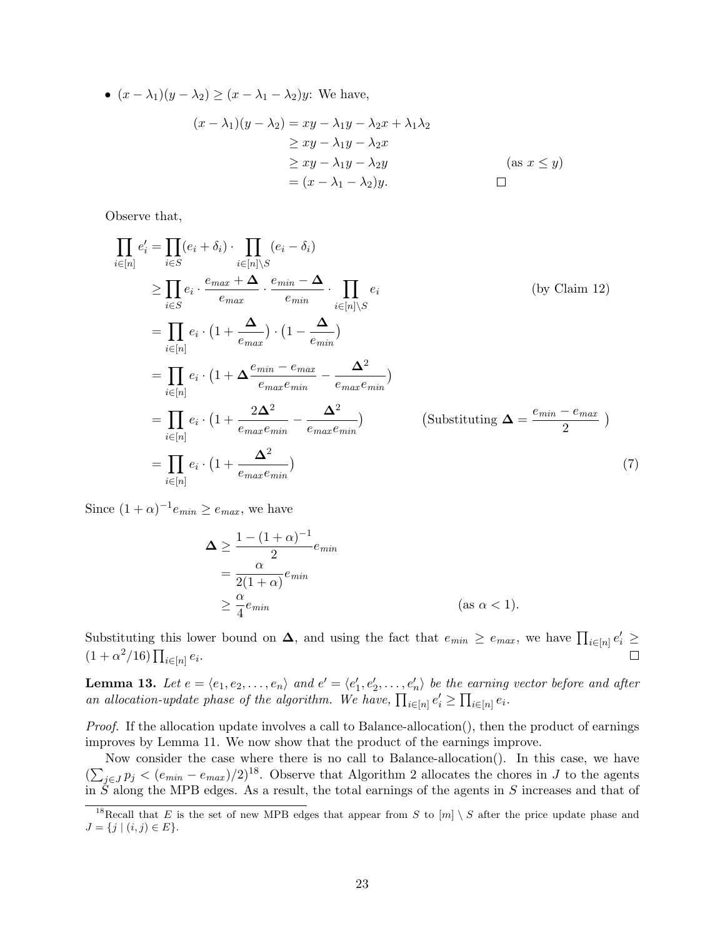•  $(x - \lambda_1)(y - \lambda_2) \ge (x - \lambda_1 - \lambda_2)y$ : We have,  $(x - \lambda_1)(y - \lambda_2) = xy - \lambda_1y - \lambda_2x + \lambda_1\lambda_2$  $\geq xy - \lambda_1y - \lambda_2x$  $\geq xy - \lambda_1y - \lambda_2y$  (as  $x \leq y$ )  $=(x - \lambda_1 - \lambda_2)y.$  $\Box$ 

Observe that,

$$
\prod_{i \in [n]} e'_i = \prod_{i \in S} (e_i + \delta_i) \cdot \prod_{i \in [n] \setminus S} (e_i - \delta_i)
$$
\n
$$
\geq \prod_{i \in S} e_i \cdot \frac{e_{max} + \Delta}{e_{max}} \cdot \frac{e_{min} - \Delta}{e_{min}} \cdot \prod_{i \in [n] \setminus S} e_i \qquad \text{(by Claim 12)}
$$
\n
$$
= \prod_{i \in [n]} e_i \cdot (1 + \frac{\Delta}{e_{max}}) \cdot (1 - \frac{\Delta}{e_{min}})
$$
\n
$$
= \prod_{i \in [n]} e_i \cdot (1 + \frac{2\Delta^2}{e_{max}e_{min}} - \frac{\Delta^2}{e_{max}e_{min}})
$$
\n
$$
= \prod_{i \in [n]} e_i \cdot (1 + \frac{2\Delta^2}{e_{max}e_{min}} - \frac{\Delta^2}{e_{max}e_{min}}) \qquad \text{(Substituting } \Delta = \frac{e_{min} - e_{max}}{2} )
$$
\n
$$
= \prod_{i \in [n]} e_i \cdot (1 + \frac{\Delta^2}{e_{max}e_{min}}) \qquad \text{(7)}
$$

Since  $(1+\alpha)^{-1}e_{min} \ge e_{max}$ , we have

$$
\Delta \ge \frac{1 - (1 + \alpha)^{-1}}{2} e_{min}
$$
  
= 
$$
\frac{\alpha}{2(1 + \alpha)} e_{min}
$$
  

$$
\ge \frac{\alpha}{4} e_{min}
$$
 (as  $\alpha < 1$ ).

Substituting this lower bound on  $\Delta$ , and using the fact that  $e_{min} \ge e_{max}$ , we have  $\prod_{i \in [n]} e_i' \ge$  $(1 + \alpha^2/16) \prod_{i \in [n]} e_i.$  $\Box$ 

<span id="page-22-1"></span>**Lemma 13.** Let  $e = \langle e_1, e_2, \ldots, e_n \rangle$  and  $e' = \langle e'_1, e'_2, \ldots, e'_n \rangle$  be the earning vector before and after an allocation-update phase of the algorithm. We have,  $\prod_{i\in[n]}e_i' \geq \prod_{i\in[n]}e_i$ .

Proof. If the allocation update involves a call to Balance-allocation(), then the product of earnings improves by Lemma [11.](#page-20-1) We now show that the product of the earnings improve.

Now consider the case where there is no call to Balance-allocation(). In this case, we have  $(\sum_{j\in J} p_j < (e_{min} - e_{max})/2)^{18}$  $(\sum_{j\in J} p_j < (e_{min} - e_{max})/2)^{18}$  $(\sum_{j\in J} p_j < (e_{min} - e_{max})/2)^{18}$ . Observe that Algorithm [2](#page-17-2) allocates the chores in J to the agents in S along the MPB edges. As a result, the total earnings of the agents in S increases and that of

<span id="page-22-0"></span><sup>&</sup>lt;sup>18</sup>Recall that E is the set of new MPB edges that appear from S to  $[m] \setminus S$  after the price update phase and  $J = \{j \mid (i, j) \in E\}.$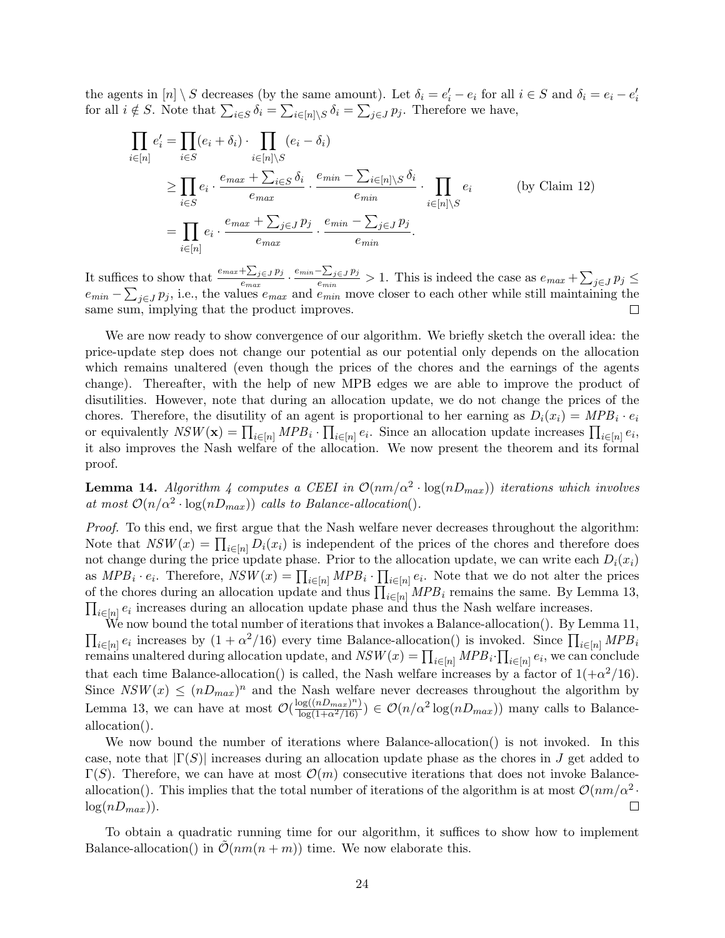the agents in  $[n] \setminus S$  decreases (by the same amount). Let  $\delta_i = e'_i - e_i$  for all  $i \in S$  and  $\delta_i = e_i - e'_i$  for all  $i \notin S$ . Note that  $\sum_{i \in S} \delta_i = \sum_{i \in [n] \setminus S} \delta_i = \sum_{j \in J} p_j$ . Therefore we have,

$$
\prod_{i \in [n]} e'_i = \prod_{i \in S} (e_i + \delta_i) \cdot \prod_{i \in [n] \setminus S} (e_i - \delta_i)
$$
\n
$$
\geq \prod_{i \in S} e_i \cdot \frac{e_{max} + \sum_{i \in S} \delta_i}{e_{max}} \cdot \frac{e_{min} - \sum_{i \in [n] \setminus S} \delta_i}{e_{min}} \cdot \prod_{i \in [n] \setminus S} e_i
$$
\n
$$
= \prod_{i \in [n]} e_i \cdot \frac{e_{max} + \sum_{j \in J} p_j}{e_{max}} \cdot \frac{e_{min} - \sum_{j \in J} p_j}{e_{min}}.
$$
\n(by Claim 12)

It suffices to show that  $\frac{e_{max} + \sum_{j \in J} p_j}{e}$  $\frac{\sum_{j\in J}p_j}{e_{max}}\cdot\frac{e_{min}-\sum_{j\in J}p_j}{e_{min}}$  $\frac{\sum_{j\in J} p_j}{e_{min}} > 1$ . This is indeed the case as  $e_{max} + \sum_{j\in J} p_j \le$  $e_{min} - \sum_{j \in J} p_j$ , i.e., the values  $e_{max}$  and  $e_{min}$  move closer to each other while still maintaining the same sum, implying that the product improves.  $\Box$ 

We are now ready to show convergence of our algorithm. We briefly sketch the overall idea: the price-update step does not change our potential as our potential only depends on the allocation which remains unaltered (even though the prices of the chores and the earnings of the agents change). Thereafter, with the help of new MPB edges we are able to improve the product of disutilities. However, note that during an allocation update, we do not change the prices of the chores. Therefore, the disutility of an agent is proportional to her earning as  $D_i(x_i) = MPB_i \cdot e_i$ or equivalently  $NSW(\mathbf{x}) = \prod_{i \in [n]} MPB_i \cdot \prod_{i \in [n]} e_i$ . Since an allocation update increases  $\prod_{i \in [n]} e_i$ , it also improves the Nash welfare of the allocation. We now present the theorem and its formal proof.

<span id="page-23-0"></span>**Lemma 1[4](#page-18-1).** Algorithm 4 computes a CEEI in  $\mathcal{O}(nm/\alpha^2 \cdot \log(nD_{max}))$  iterations which involves at most  $\mathcal{O}(n/\alpha^2 \cdot \log(nD_{max}))$  calls to Balance-allocation().

Proof. To this end, we first argue that the Nash welfare never decreases throughout the algorithm: Note that  $NSW(x) = \prod_{i \in [n]} D_i(x_i)$  is independent of the prices of the chores and therefore does not change during the price update phase. Prior to the allocation update, we can write each  $D_i(x_i)$ as  $MPB_i \cdot e_i$ . Therefore,  $NSW(x) = \prod_{i \in [n]} MPB_i \cdot \prod_{i \in [n]} e_i$ . Note that we do not alter the prices of the chores during an allocation update and thus  $\prod_{i\in[n]} MPB_i$  remains the same. By Lemma [13,](#page-22-1)  $\prod_{i\in[n]} e_i$  increases during an allocation update phase and thus the Nash welfare increases.  $i \in [n]$   $e_i$  increases during an allocation update phase and thus the Nash welfare increases.

We now bound the total number of iterations that invokes a Balance-allocation(). By Lemma [11,](#page-20-1)  $\prod_{i\in[n]}e_i$  increases by  $(1+\alpha^2/16)$  every time Balance-allocation() is invoked. Since  $\prod_{i\in[n]}MPB_i$ remains unaltered during allocation update, and  $NSW(x) = \prod_{i \in [n]} MPB_i \cdot \prod_{i \in [n]} e_i$ , we can conclude that each time Balance-allocation() is called, the Nash welfare increases by a factor of  $1(+\alpha^2/16)$ . Since  $NSW(x) \leq (nD_{max})^n$  and the Nash welfare never decreases throughout the algorithm by Lemma [13,](#page-22-1) we can have at most  $\mathcal{O}(\frac{\log((nD_{max})^n)}{\log(1+\alpha^2/16)}) \in \mathcal{O}(n/\alpha^2 \log(nD_{max}))$  many calls to Balanceallocation().

We now bound the number of iterations where Balance-allocation() is not invoked. In this case, note that  $|\Gamma(S)|$  increases during an allocation update phase as the chores in J get added to  $\Gamma(S)$ . Therefore, we can have at most  $\mathcal{O}(m)$  consecutive iterations that does not invoke Balanceallocation(). This implies that the total number of iterations of the algorithm is at most  $\mathcal{O}(nm/\alpha^2$ .  $log(nD_{max}))$ .  $\Box$ 

To obtain a quadratic running time for our algorithm, it suffices to show how to implement Balance-allocation() in  $\mathcal{O}(nm(n+m))$  time. We now elaborate this.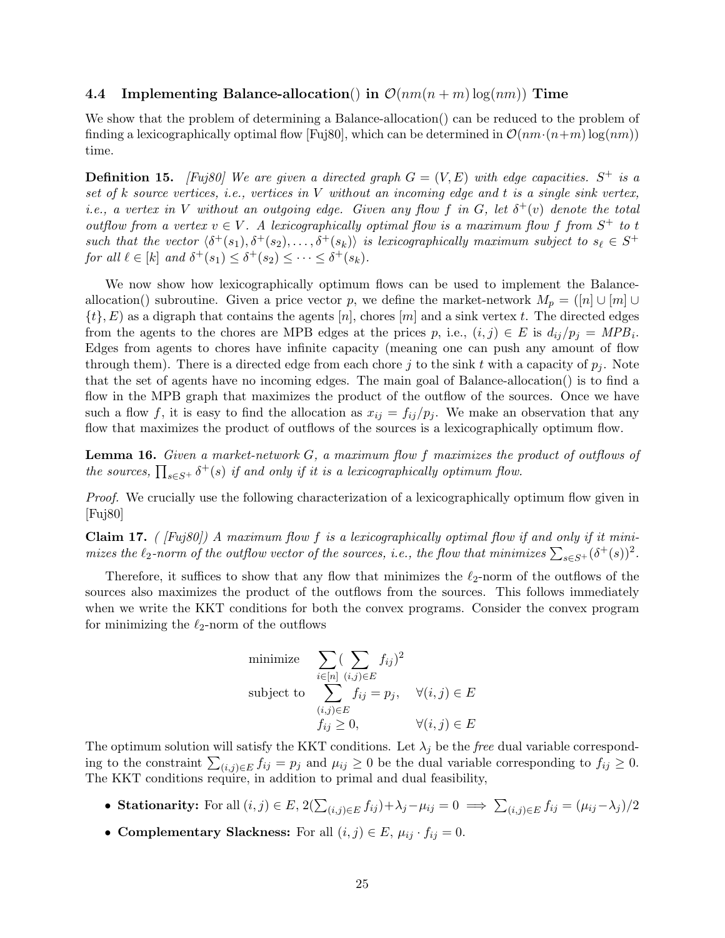#### 4.4 Implementing Balance-allocation() in  $\mathcal{O}(nm(n+m)\log(nm))$  Time

We show that the problem of determining a Balance-allocation() can be reduced to the problem of finding a lexicographically optimal flow [\[Fuj80\]](#page-42-15), which can be determined in  $\mathcal{O}(nm \cdot (n+m) \log(nm))$ time.

**Definition 15.** [\[Fuj80\]](#page-42-15) We are given a directed graph  $G = (V, E)$  with edge capacities.  $S^+$  is a set of  $k$  source vertices, i.e., vertices in  $V$  without an incoming edge and  $t$  is a single sink vertex, i.e., a vertex in V without an outgoing edge. Given any flow f in G, let  $\delta^+(v)$  denote the total outflow from a vertex  $v \in V$ . A lexicographically optimal flow is a maximum flow f from  $S^+$  to t such that the vector  $\langle \delta^+(s_1), \delta^+(s_2), \ldots, \delta^+(s_k) \rangle$  is lexicographically maximum subject to  $s_\ell \in S^+$ for all  $\ell \in [k]$  and  $\delta^+(s_1) \leq \delta^+(s_2) \leq \cdots \leq \delta^+(s_k)$ .

We now show how lexicographically optimum flows can be used to implement the Balanceallocation() subroutine. Given a price vector p, we define the market-network  $M_p = ([n] \cup [m] \cup$  $\{t\}, E$ ) as a digraph that contains the agents  $[n]$ , chores  $[m]$  and a sink vertex t. The directed edges from the agents to the chores are MPB edges at the prices p, i.e.,  $(i, j) \in E$  is  $d_{ij}/p_j = MPB_i$ . Edges from agents to chores have infinite capacity (meaning one can push any amount of flow through them). There is a directed edge from each chore j to the sink t with a capacity of  $p_i$ . Note that the set of agents have no incoming edges. The main goal of Balance-allocation() is to find a flow in the MPB graph that maximizes the product of the outflow of the sources. Once we have such a flow f, it is easy to find the allocation as  $x_{ij} = f_{ij}/p_j$ . We make an observation that any flow that maximizes the product of outflows of the sources is a lexicographically optimum flow.

**Lemma 16.** Given a market-network  $G$ , a maximum flow f maximizes the product of outflows of the sources,  $\prod_{s \in S^+} \delta^+(s)$  if and only if it is a lexicographically optimum flow.

Proof. We crucially use the following characterization of a lexicographically optimum flow given in [\[Fuj80\]](#page-42-15)

**Claim 17.** (*[\[Fuj80\]](#page-42-15)*) A maximum flow f is a lexicographically optimal flow if and only if it minimizes the  $\ell_2$ -norm of the outflow vector of the sources, i.e., the flow that minimizes  $\sum_{s\in S^+} (\delta^+(s))^2$ .

Therefore, it suffices to show that any flow that minimizes the  $\ell_2$ -norm of the outflows of the sources also maximizes the product of the outflows from the sources. This follows immediately when we write the KKT conditions for both the convex programs. Consider the convex program for minimizing the  $\ell_2$ -norm of the outflows

minimize 
$$
\sum_{i \in [n]} (\sum_{(i,j) \in E} f_{ij})^2
$$
  
subject to 
$$
\sum_{\substack{(i,j) \in E \\ f_{ij} \geq 0}} f_{ij} = p_j, \quad \forall (i,j) \in E
$$

The optimum solution will satisfy the KKT conditions. Let  $\lambda_j$  be the free dual variable corresponding to the constraint  $\sum_{(i,j)\in E} f_{ij} = p_j$  and  $\mu_{ij} \geq 0$  be the dual variable corresponding to  $f_{ij} \geq 0$ . The KKT conditions require, in addition to primal and dual feasibility,

- Stationarity: For all  $(i, j) \in E$ ,  $2(\sum_{(i,j)\in E} f_{ij}) + \lambda_j \mu_{ij} = 0 \implies \sum_{(i,j)\in E} f_{ij} = (\mu_{ij} \lambda_j)/2$
- Complementary Slackness: For all  $(i, j) \in E$ ,  $\mu_{ij} \cdot f_{ij} = 0$ .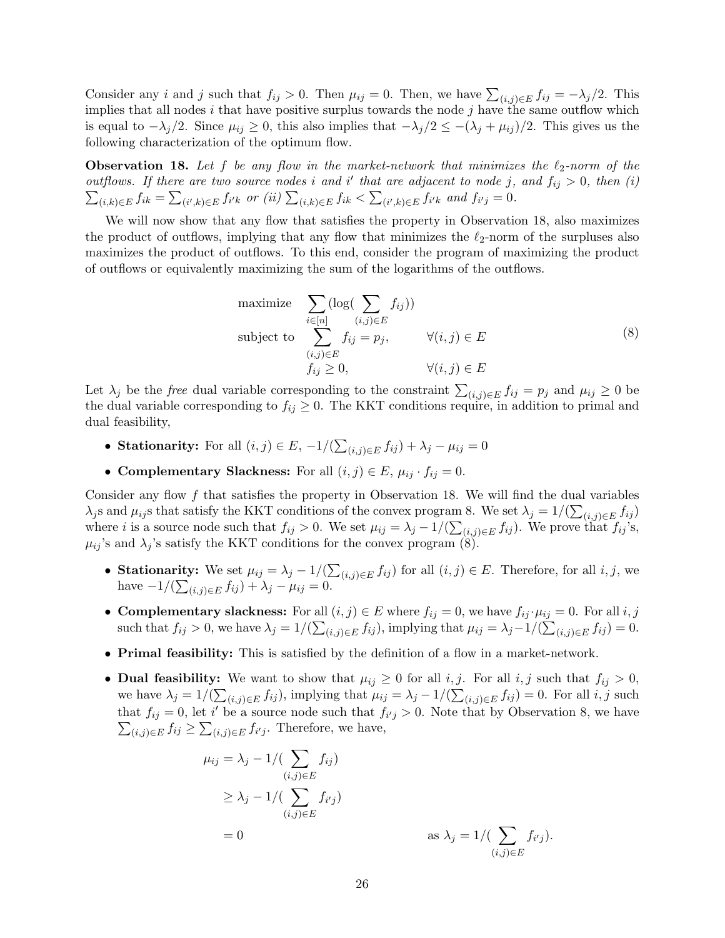Consider any *i* and *j* such that  $f_{ij} > 0$ . Then  $\mu_{ij} = 0$ . Then, we have  $\sum_{(i,j) \in E} f_{ij} = -\lambda_j/2$ . This implies that all nodes  $i$  that have positive surplus towards the node  $j$  have the same outflow which is equal to  $-\lambda_j/2$ . Since  $\mu_{ij} \geq 0$ , this also implies that  $-\lambda_j/2 \leq -(\lambda_j + \mu_{ij})/2$ . This gives us the following characterization of the optimum flow.

<span id="page-25-0"></span>**Observation 18.** Let f be any flow in the market-network that minimizes the  $\ell_2$ -norm of the outflows. If there are two source nodes i and i' that are adjacent to node j, and  $f_{ij} > 0$ , then (i)  $\sum_{(i,k)\in E} f_{ik} = \sum_{(i',k)\in E} f_{i'k}$  or (ii)  $\sum_{(i,k)\in E} f_{ik} < \sum_{(i',k)\in E} f_{i'k}$  and  $f_{i'j} = 0$ .

We will now show that any flow that satisfies the property in Observation [18,](#page-25-0) also maximizes the product of outflows, implying that any flow that minimizes the  $\ell_2$ -norm of the surpluses also maximizes the product of outflows. To this end, consider the program of maximizing the product of outflows or equivalently maximizing the sum of the logarithms of the outflows.

<span id="page-25-1"></span>maximize 
$$
\sum_{i \in [n]} (\log(\sum_{(i,j) \in E} f_{ij}))
$$
  
subject to 
$$
\sum_{\substack{(i,j) \in E \\ f_{ij} \ge 0}} f_{ij} = p_j, \qquad \forall (i,j) \in E
$$

$$
(8)
$$

Let  $\lambda_j$  be the *free* dual variable corresponding to the constraint  $\sum_{(i,j)\in E} f_{ij} = p_j$  and  $\mu_{ij} \geq 0$  be the dual variable corresponding to  $f_{ij} \geq 0$ . The KKT conditions require, in addition to primal and dual feasibility,

- Stationarity: For all  $(i, j) \in E$ ,  $-1/(\sum_{(i,j)\in E} f_{ij}) + \lambda_j \mu_{ij} = 0$
- Complementary Slackness: For all  $(i, j) \in E$ ,  $\mu_{ij} \cdot f_{ij} = 0$ .

Consider any flow  $f$  that satisfies the property in Observation [18.](#page-25-0) We will find the dual variables  $\lambda_j$ s and  $\mu_{ij}$ s that satisfy the KKT conditions of the convex program [8.](#page-25-1) We set  $\lambda_j = 1/(\sum_{(i,j)\in E} f_{ij})$ where *i* is a source node such that  $f_{ij} > 0$ . We set  $\mu_{ij} = \lambda_j - 1/(\sum_{(i,j) \in E} f_{ij})$ . We prove that  $f_{ij}$ 's,  $\mu_{ij}$ 's and  $\lambda_j$ 's satisfy the KKT conditions for the convex program [\(8\)](#page-25-1).

- Stationarity: We set  $\mu_{ij} = \lambda_j 1/(\sum_{(i,j) \in E} f_{ij})$  for all  $(i, j) \in E$ . Therefore, for all  $i, j$ , we have  $-1/(\sum_{(i,j)\in E} f_{ij}) + \lambda_j - \mu_{ij} = 0.$
- Complementary slackness: For all  $(i, j) \in E$  where  $f_{ij} = 0$ , we have  $f_{ij} \cdot \mu_{ij} = 0$ . For all  $i, j$ such that  $f_{ij} > 0$ , we have  $\lambda_j = 1/(\sum_{(i,j) \in E} f_{ij})$ , implying that  $\mu_{ij} = \lambda_j - 1/(\sum_{(i,j) \in E} f_{ij}) = 0$ .
- Primal feasibility: This is satisfied by the definition of a flow in a market-network.
- **Dual feasibility:** We want to show that  $\mu_{ij} \geq 0$  for all i, j. For all i, j such that  $f_{ij} > 0$ , we have  $\lambda_j = 1/(\sum_{(i,j) \in E} f_{ij})$ , implying that  $\mu_{ij} = \lambda_j - 1/(\sum_{(i,j) \in E} f_{ij}) = 0$ . For all i, j such that  $f_{ij} = 0$ , let i' be a source node such that  $f_{i'j} > 0$ . Note that by Observation [8,](#page-25-1) we have  $\sum_{(i,j)\in E} f_{ij} \geq \sum_{(i,j)\in E} f_{i'j}$ . Therefore, we have,

$$
\mu_{ij} = \lambda_j - 1/(\sum_{(i,j)\in E} f_{ij})
$$
  
\n
$$
\geq \lambda_j - 1/(\sum_{(i,j)\in E} f_{i'j})
$$
  
\n
$$
= 0
$$
 as  $\lambda_j = 1/(\sum_{(i,j)\in E} f_{i'j}).$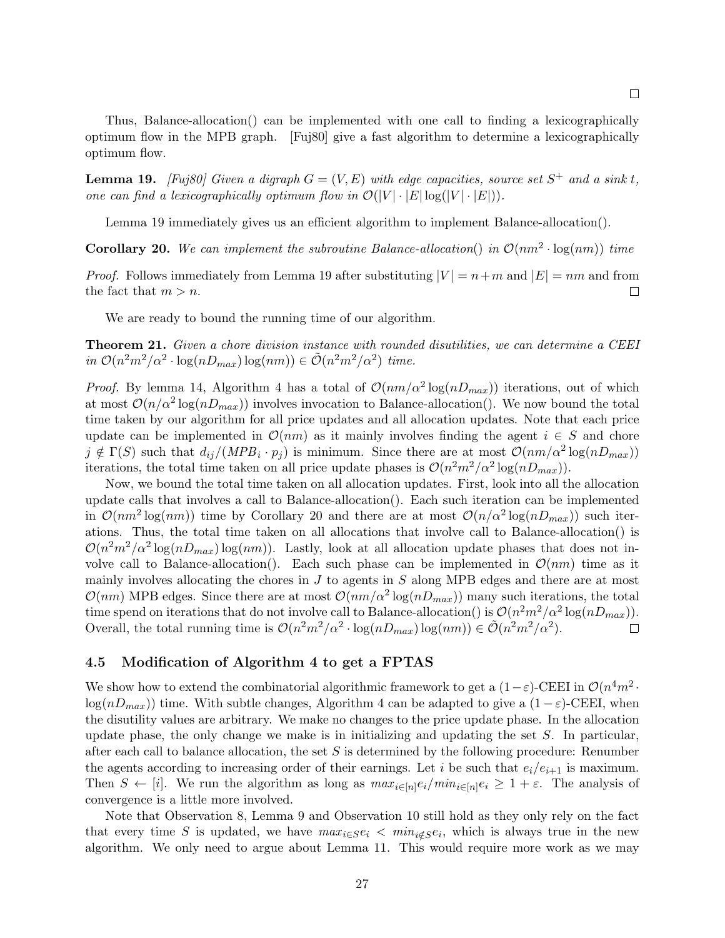$\Box$ 

Thus, Balance-allocation() can be implemented with one call to finding a lexicographically optimum flow in the MPB graph. [\[Fuj80\]](#page-42-15) give a fast algorithm to determine a lexicographically optimum flow.

<span id="page-26-0"></span>**Lemma 19.** [\[Fuj80\]](#page-42-15) Given a digraph  $G = (V, E)$  with edge capacities, source set  $S^+$  and a sink t, one can find a lexicographically optimum flow in  $\mathcal{O}(|V| \cdot |E| \log(|V| \cdot |E|)).$ 

Lemma [19](#page-26-0) immediately gives us an efficient algorithm to implement Balance-allocation().

<span id="page-26-1"></span>**Corollary 20.** We can implement the subroutine Balance-allocation() in  $\mathcal{O}(nm^2 \cdot \log(nm))$  time

*Proof.* Follows immediately from Lemma [19](#page-26-0) after substituting  $|V| = n+m$  and  $|E| = nm$  and from the fact that  $m > n$ .  $\Box$ 

We are ready to bound the running time of our algorithm.

Theorem 21. Given a chore division instance with rounded disutilities, we can determine a CEEI in  $\mathcal{O}(n^2m^2/\alpha^2 \cdot \log(nD_{max}) \log(nm)) \in \tilde{\mathcal{O}}(n^2m^2/\alpha^2)$  time.

*Proof.* By lemma [14,](#page-23-0) Algorithm [4](#page-18-1) has a total of  $\mathcal{O}(nm/\alpha^2 \log(nD_{max}))$  iterations, out of which at most  $\mathcal{O}(n/\alpha^2 \log(nD_{max}))$  involves invocation to Balance-allocation(). We now bound the total time taken by our algorithm for all price updates and all allocation updates. Note that each price update can be implemented in  $\mathcal{O}(nm)$  as it mainly involves finding the agent  $i \in S$  and chore  $j \notin \Gamma(S)$  such that  $d_{ij}/(MPB_i \cdot p_j)$  is minimum. Since there are at most  $\mathcal{O}(nm/\alpha^2 \log(nD_{max}))$ iterations, the total time taken on all price update phases is  $\mathcal{O}(n^2m^2/\alpha^2 \log(nD_{max}))$ .

Now, we bound the total time taken on all allocation updates. First, look into all the allocation update calls that involves a call to Balance-allocation(). Each such iteration can be implemented in  $\mathcal{O}(nm^2 \log(nm))$  time by Corollary [20](#page-26-1) and there are at most  $\mathcal{O}(n/\alpha^2 \log(nD_{max}))$  such iterations. Thus, the total time taken on all allocations that involve call to Balance-allocation() is  $\mathcal{O}(n^2m^2/\alpha^2\log(nD_{max})\log(nm))$ . Lastly, look at all allocation update phases that does not involve call to Balance-allocation(). Each such phase can be implemented in  $\mathcal{O}(nm)$  time as it mainly involves allocating the chores in  $J$  to agents in  $S$  along MPB edges and there are at most  $\mathcal{O}(nm)$  MPB edges. Since there are at most  $\mathcal{O}(nm/\alpha^2 \log(nD_{max}))$  many such iterations, the total time spend on iterations that do not involve call to Balance-allocation() is  $\mathcal{O}(n^2m^2/\alpha^2 \log(nD_{max}))$ . Overall, the total running time is  $\mathcal{O}(n^2m^2/\alpha^2 \cdot \log(nD_{max}) \log(nm)) \in \tilde{\mathcal{O}}(n^2m^2/\alpha^2)$ .  $\Box$ 

### 4.5 Modification of Algorithm [4](#page-18-1) to get a FPTAS

We show how to extend the combinatorial algorithmic framework to get a  $(1-\varepsilon)$ -CEEI in  $\mathcal{O}(n^4m^2$ .  $log(nD_{max})$ ) time. With subtle changes, Algorithm [4](#page-18-1) can be adapted to give a  $(1 - \varepsilon)$ -CEEI, when the disutility values are arbitrary. We make no changes to the price update phase. In the allocation update phase, the only change we make is in initializing and updating the set  $S$ . In particular, after each call to balance allocation, the set  $S$  is determined by the following procedure: Renumber the agents according to increasing order of their earnings. Let i be such that  $e_i/e_{i+1}$  is maximum. Then  $S \leftarrow [i]$ . We run the algorithm as long as  $max_{i \in [n]} e_i / min_{i \in [n]} e_i \geq 1 + \varepsilon$ . The analysis of convergence is a little more involved.

Note that Observation [8,](#page-18-2) Lemma [9](#page-19-0) and Observation [10](#page-20-2) still hold as they only rely on the fact that every time S is updated, we have  $max_{i \in S} e_i < min_{i \notin S} e_i$ , which is always true in the new algorithm. We only need to argue about Lemma [11.](#page-20-1) This would require more work as we may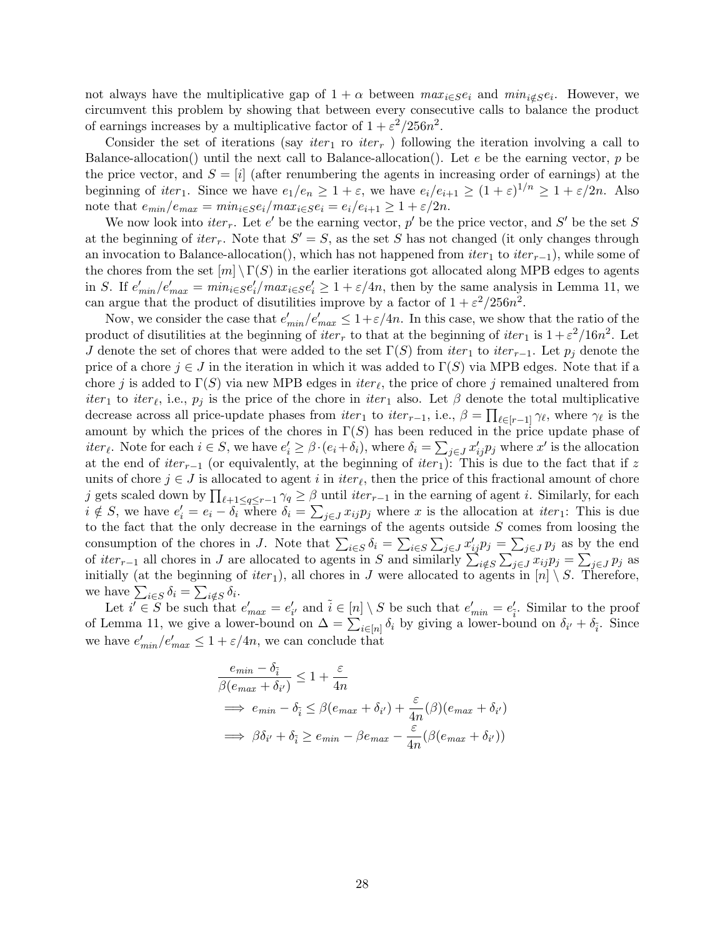not always have the multiplicative gap of  $1 + \alpha$  between  $\max_{i \in S} e_i$  and  $\min_{i \notin S} e_i$ . However, we circumvent this problem by showing that between every consecutive calls to balance the product of earnings increases by a multiplicative factor of  $1 + \varepsilon^2/256n^2$ .

Consider the set of iterations (say *iter*<sub>1</sub> ro *iter<sub>r</sub>*) following the iteration involving a call to Balance-allocation() until the next call to Balance-allocation(). Let  $e$  be the earning vector, p be the price vector, and  $S = [i]$  (after renumbering the agents in increasing order of earnings) at the beginning of *iter*<sub>1</sub>. Since we have  $e_1/e_n \geq 1 + \varepsilon$ , we have  $e_i/e_{i+1} \geq (1 + \varepsilon)^{1/n} \geq 1 + \varepsilon/2n$ . Also note that  $e_{min}/e_{max} = min_{i \in S} e_i / max_{i \in S} e_i = e_i / e_{i+1} \geq 1 + \varepsilon / 2n$ .

We now look into *iter<sub>r</sub>*. Let e' be the earning vector, p' be the price vector, and S' be the set S at the beginning of  $iter_r$ . Note that  $S' = S$ , as the set S has not changed (it only changes through an invocation to Balance-allocation(), which has not happened from  $iter_1$  to  $iter_{r-1}$ ), while some of the chores from the set  $[m] \setminus \Gamma(S)$  in the earlier iterations got allocated along MPB edges to agents in S. If  $e'_{min}/e'_{max} = min_{i \in S} e'_{i}/max_{i \in S} e'_{i} \geq 1 + \varepsilon/4n$ , then by the same analysis in Lemma [11,](#page-20-1) we can argue that the product of disutilities improve by a factor of  $1 + \varepsilon^2/256n^2$ .

Now, we consider the case that  $e'_{min}/e'_{max} \leq 1 + \varepsilon/4n$ . In this case, we show that the ratio of the product of disutilities at the beginning of  $iter_r$  to that at the beginning of  $iter_1$  is  $1 + \varepsilon^2/16n^2$ . Let J denote the set of chores that were added to the set  $\Gamma(S)$  from  $iter_1$  to  $iter_{r-1}$ . Let  $p_j$  denote the price of a chore  $j \in J$  in the iteration in which it was added to  $\Gamma(S)$  via MPB edges. Note that if a chore j is added to  $\Gamma(S)$  via new MPB edges in  $iter_{\ell}$ , the price of chore j remained unaltered from *iter*<sub>1</sub> to *iter*<sub> $\ell$ </sub>, i.e.,  $p_j$  is the price of the chore in *iter*<sub>1</sub> also. Let  $\beta$  denote the total multiplicative decrease across all price-update phases from  $iter_1$  to  $iter_{r-1}$ , i.e.,  $\beta = \prod_{\ell \in [r-1]} \gamma_{\ell}$ , where  $\gamma_{\ell}$  is the amount by which the prices of the chores in  $\Gamma(S)$  has been reduced in the price update phase of iter<sub>l</sub>. Note for each  $i \in S$ , we have  $e'_i \geq \beta \cdot (e_i + \delta_i)$ , where  $\delta_i = \sum_{j \in J} x'_{ij} p_j$  where  $x'$  is the allocation at the end of  $iter_{r-1}$  (or equivalently, at the beginning of  $iter_1$ ): This is due to the fact that if z units of chore  $j \in J$  is allocated to agent i in  $iter_{\ell}$ , then the price of this fractional amount of chore j gets scaled down by  $\prod_{\ell+1\leq q\leq r-1}\gamma_q\geq \beta$  until  $iter_{r-1}$  in the earning of agent i. Similarly, for each  $i \notin S$ , we have  $e'_i = e_i - \delta_i$  where  $\delta_i = \sum_{j \in J} x_{ij} p_j$  where x is the allocation at *iter* 1: This is due to the fact that the only decrease in the earnings of the agents outside  $S$  comes from loosing the consumption of the chores in J. Note that  $\sum_{i\in S}\delta_i = \sum_{i\in S}\sum_{j\in J}x_{ij}p_j = \sum_{j\in J}p_j$  as by the end of  $iter_{r-1}$  all chores in J are allocated to agents in S and similarly  $\sum_{i \notin S} \sum_{j \in J} x_{ij} p_j = \sum_{j \in J} p_j$  as initially (at the beginning of  $iter_1$ ), all chores in J were allocated to agents in  $[n] \setminus S$ . Therefore, we have  $\sum_{i \in S} \delta_i = \sum_{i \notin S} \delta_i$ .

Let  $i' \in \tilde{S}$  be such that  $e'_{max} = e'_{i'}$  and  $\tilde{i} \in [n] \setminus S$  be such that  $e'_{min} = e'_{\tilde{i}}$ . Similar to the proof of Lemma [11,](#page-20-1) we give a lower-bound on  $\Delta = \sum_{i \in [n]} \delta_i$  by giving a lower-bound on  $\delta_{i'} + \delta_{\tilde{i}}$ . Since we have  $e'_{min}/e'_{max} \leq 1 + \varepsilon/4n$ , we can conclude that

$$
\frac{e_{min} - \delta_{\tilde{i}}}{\beta(e_{max} + \delta_{i'})} \le 1 + \frac{\varepsilon}{4n}
$$
\n
$$
\implies e_{min} - \delta_{\tilde{i}} \le \beta(e_{max} + \delta_{i'}) + \frac{\varepsilon}{4n}(\beta)(e_{max} + \delta_{i'})
$$
\n
$$
\implies \beta \delta_{i'} + \delta_{\tilde{i}} \ge e_{min} - \beta e_{max} - \frac{\varepsilon}{4n}(\beta(e_{max} + \delta_{i'}))
$$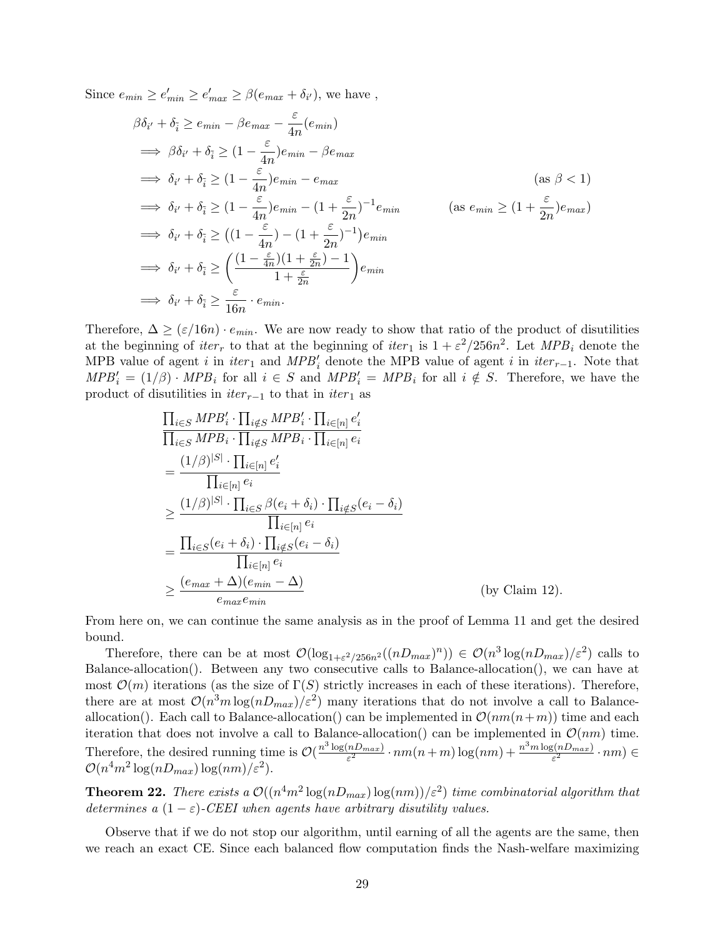Since  $e_{min} \ge e'_{min} \ge e'_{max} \ge \beta(e_{max} + \delta_{i'})$ , we have,

$$
\beta \delta_{i'} + \delta_{\tilde{i}} \ge e_{min} - \beta e_{max} - \frac{\varepsilon}{4n} (e_{min})
$$
  
\n
$$
\implies \beta \delta_{i'} + \delta_{\tilde{i}} \ge (1 - \frac{\varepsilon}{4n}) e_{min} - \beta e_{max}
$$
  
\n
$$
\implies \delta_{i'} + \delta_{\tilde{i}} \ge (1 - \frac{\varepsilon}{4n}) e_{min} - e_{max}
$$
  
\n
$$
\implies \delta_{i'} + \delta_{\tilde{i}} \ge (1 - \frac{\varepsilon}{4n}) e_{min} - (1 + \frac{\varepsilon}{2n})^{-1} e_{min}
$$
  
\n
$$
\implies \delta_{i'} + \delta_{\tilde{i}} \ge ((1 - \frac{\varepsilon}{4n}) - (1 + \frac{\varepsilon}{2n})^{-1}) e_{min}
$$
  
\n
$$
\implies \delta_{i'} + \delta_{\tilde{i}} \ge \left(\frac{(1 - \frac{\varepsilon}{4n})(1 + \frac{\varepsilon}{2n})^{-1}}{1 + \frac{\varepsilon}{2n}}\right) e_{min}
$$
  
\n
$$
\implies \delta_{i'} + \delta_{\tilde{i}} \ge \frac{\varepsilon}{16n} \cdot e_{min}.
$$
  
\n(as  $e_{min} \ge (1 + \frac{\varepsilon}{2n}) e_{min}$ )

Therefore,  $\Delta \geq (\varepsilon/16n) \cdot e_{min}$ . We are now ready to show that ratio of the product of disutilities at the beginning of  $iter_r$  to that at the beginning of  $iter_1$  is  $1 + \varepsilon^2/256n^2$ . Let  $MPB_i$  denote the MPB value of agent i in iter<sub>1</sub> and  $MPB<sub>i</sub>'$  denote the MPB value of agent i in iter<sub>r-1</sub>. Note that  $MPB_i' = (1/\beta) \cdot MPB_i$  for all  $i \in S$  and  $MPB_i' = MPB_i$  for all  $i \notin S$ . Therefore, we have the product of disutilities in  $iter_{r-1}$  to that in  $iter_1$  as

$$
\begin{split}\n&\frac{\prod_{i\in S} MPB'_{i} \cdot \prod_{i\notin S} MPB'_{i} \cdot \prod_{i\in[n]} e'_{i}}{\prod_{i\in S} MPB_{i} \cdot \prod_{i\notin S} MPB_{i} \cdot \prod_{i\in[n]} e_{i}} \\
&= \frac{(1/\beta)^{|S|} \cdot \prod_{i\in[n]} e'_{i}}{\prod_{i\in[n]} e_{i}} \\
&\geq \frac{(1/\beta)^{|S|} \cdot \prod_{i\in S} \beta(e_{i} + \delta_{i}) \cdot \prod_{i\notin S} (e_{i} - \delta_{i})}{\prod_{i\in[n]} e_{i}} \\
&= \frac{\prod_{i\in S} (e_{i} + \delta_{i}) \cdot \prod_{i\notin S} (e_{i} - \delta_{i})}{\prod_{i\in[n]} e_{i}} \\
&\geq \frac{(e_{max} + \Delta)(e_{min} - \Delta)}{e_{max} e_{min}}\n\end{split} \tag{by Claim 12}.
$$

From here on, we can continue the same analysis as in the proof of Lemma [11](#page-20-1) and get the desired bound.

Therefore, there can be at most  $\mathcal{O}(\log_{1+\varepsilon^2/256n^2}((nD_{max})^n)) \in \mathcal{O}(n^3 \log(nD_{max})/\varepsilon^2)$  calls to Balance-allocation(). Between any two consecutive calls to Balance-allocation(), we can have at most  $\mathcal{O}(m)$  iterations (as the size of  $\Gamma(S)$  strictly increases in each of these iterations). Therefore, there are at most  $\mathcal{O}(n^3m\log(nD_{max})/\varepsilon^2)$  many iterations that do not involve a call to Balanceallocation(). Each call to Balance-allocation() can be implemented in  $\mathcal{O}(nm(n+m))$  time and each iteration that does not involve a call to Balance-allocation() can be implemented in  $\mathcal{O}(nm)$  time. Therefore, the desired running time is  $\mathcal{O}(\frac{n^3 \log(nD_{max})}{\epsilon^2})$  $\frac{(nD_{max})}{\varepsilon^2} \cdot nm(n+m) \log(nm) + \frac{n^3 m \log(nD_{max})}{\varepsilon^2}$  $\frac{\varepsilon(nD_{max})}{\varepsilon^2} \cdot nm) \in$  $\mathcal{O}(n^4m^2\log(nD_{max})\log(nm)/\varepsilon^2).$ 

**Theorem 22.** There exists a  $\mathcal{O}((n^4m^2 \log(nD_{max}) \log(nm))/\varepsilon^2)$  time combinatorial algorithm that determines a  $(1 - \varepsilon)$ -CEEI when agents have arbitrary disutility values.

Observe that if we do not stop our algorithm, until earning of all the agents are the same, then we reach an exact CE. Since each balanced flow computation finds the Nash-welfare maximizing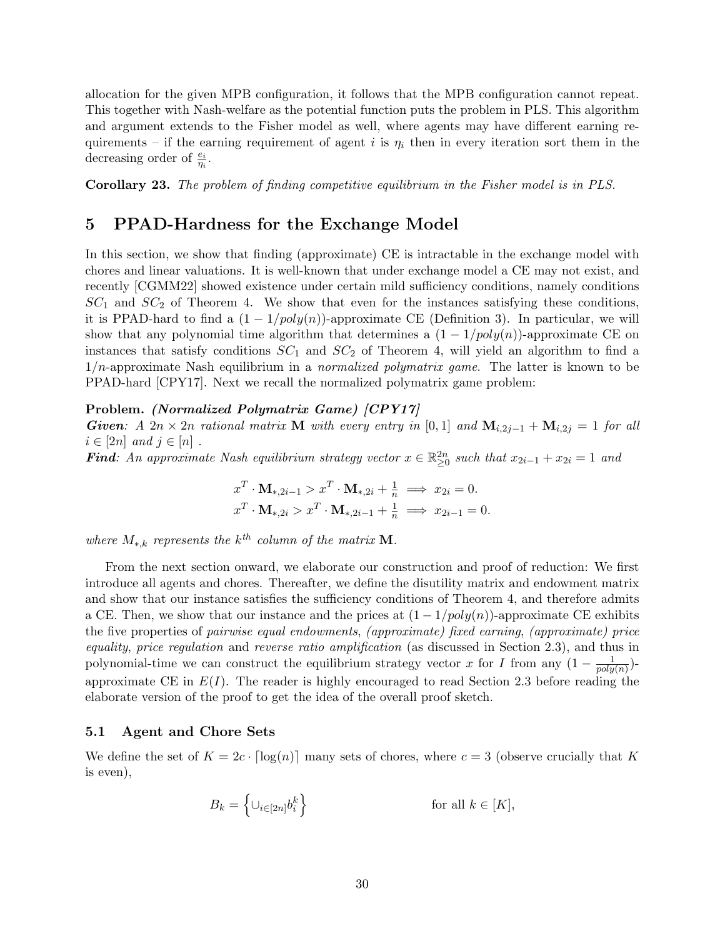allocation for the given MPB configuration, it follows that the MPB configuration cannot repeat. This together with Nash-welfare as the potential function puts the problem in PLS. This algorithm and argument extends to the Fisher model as well, where agents may have different earning requirements – if the earning requirement of agent i is  $\eta_i$  then in every iteration sort them in the decreasing order of  $\frac{e_i}{\eta_i}$ .

Corollary 23. The problem of finding competitive equilibrium in the Fisher model is in PLS.

## <span id="page-29-0"></span>5 PPAD-Hardness for the Exchange Model

In this section, we show that finding (approximate) CE is intractable in the exchange model with chores and linear valuations. It is well-known that under exchange model a CE may not exist, and recently [\[CGMM22\]](#page-41-4) showed existence under certain mild sufficiency conditions, namely conditions  $SC_1$  and  $SC_2$  of Theorem [4.](#page-4-1) We show that even for the instances satisfying these conditions, it is PPAD-hard to find a  $(1 - 1/poly(n))$ -approximate CE (Definition [3\)](#page-3-2). In particular, we will show that any polynomial time algorithm that determines a  $(1 - 1/poly(n))$ -approximate CE on instances that satisfy conditions  $SC_1$  and  $SC_2$  of Theorem [4,](#page-4-1) will yield an algorithm to find a  $1/n$ -approximate Nash equilibrium in a *normalized polymatrix game*. The latter is known to be PPAD-hard [\[CPY17\]](#page-42-11). Next we recall the normalized polymatrix game problem:

#### Problem. (Normalized Polymatrix Game) [\[CPY17\]](#page-42-11)

Given: A 2n × 2n rational matrix M with every entry in [0, 1] and  $M_{i,2j-1} + M_{i,2j} = 1$  for all  $i \in [2n]$  and  $j \in [n]$ .

Find: An approximate Nash equilibrium strategy vector  $x \in \mathbb{R}_{\geq 0}^{2n}$  such that  $x_{2i-1} + x_{2i} = 1$  and

$$
x^T \cdot \mathbf{M}_{*,2i-1} > x^T \cdot \mathbf{M}_{*,2i} + \frac{1}{n} \implies x_{2i} = 0.
$$
  

$$
x^T \cdot \mathbf{M}_{*,2i} > x^T \cdot \mathbf{M}_{*,2i-1} + \frac{1}{n} \implies x_{2i-1} = 0.
$$

where  $M_{*,k}$  represents the  $k^{th}$  column of the matrix **M**.

From the next section onward, we elaborate our construction and proof of reduction: We first introduce all agents and chores. Thereafter, we define the disutility matrix and endowment matrix and show that our instance satisfies the sufficiency conditions of Theorem [4,](#page-4-1) and therefore admits a CE. Then, we show that our instance and the prices at  $(1 - 1/poly(n))$ -approximate CE exhibits the five properties of pairwise equal endowments, (approximate) fixed earning, (approximate) price equality, price regulation and reverse ratio amplification (as discussed in Section [2.3\)](#page-11-0), and thus in polynomial-time we can construct the equilibrium strategy vector x for I from any  $(1 - \frac{1}{n\alpha^2})$  $\frac{1}{poly(n)})$ approximate CE in  $E(I)$ . The reader is highly encouraged to read Section [2.3](#page-11-0) before reading the elaborate version of the proof to get the idea of the overall proof sketch.

#### 5.1 Agent and Chore Sets

We define the set of  $K = 2c \cdot \lceil \log(n) \rceil$  many sets of chores, where  $c = 3$  (observe crucially that K is even),

$$
B_k = \left\{ \cup_{i \in [2n]} b_i^k \right\} \qquad \text{for all } k \in [K],
$$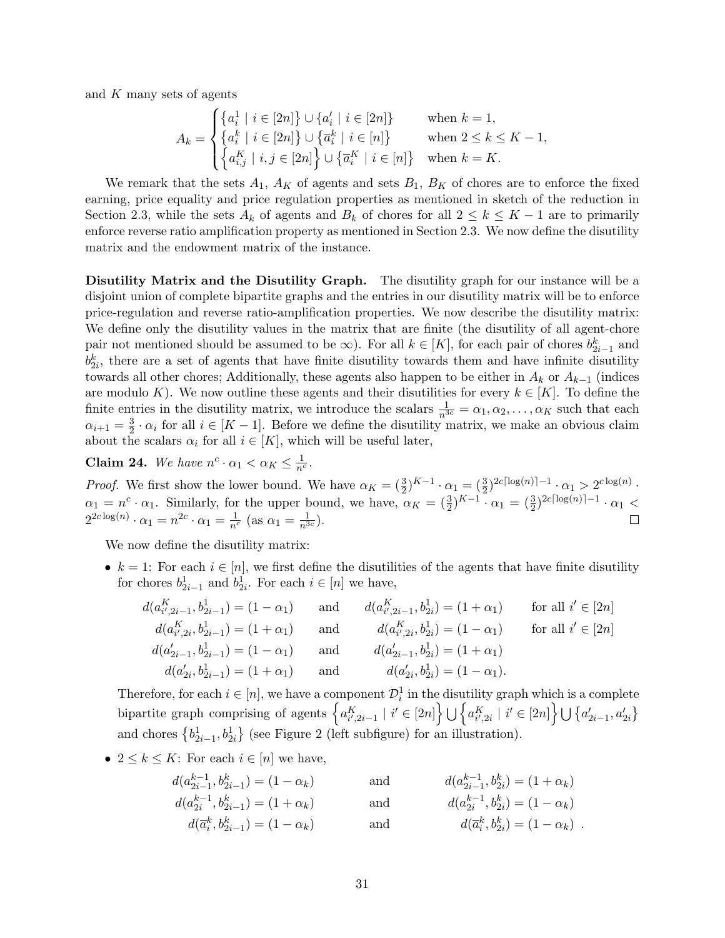and K many sets of agents

$$
A_k = \begin{cases} \left\{a_i^1 \mid i \in [2n] \right\} \cup \left\{a_i' \mid i \in [2n] \right\} & \text{when } k = 1, \\ \left\{a_i^k \mid i \in [2n] \right\} \cup \left\{\overline{a}_i^k \mid i \in [n] \right\} & \text{when } 2 \le k \le K - 1, \\ \left\{a_{i,j}^K \mid i,j \in [2n] \right\} \cup \left\{\overline{a}_i^K \mid i \in [n] \right\} & \text{when } k = K. \end{cases}
$$

We remark that the sets  $A_1$ ,  $A_K$  of agents and sets  $B_1$ ,  $B_K$  of chores are to enforce the fixed earning, price equality and price regulation properties as mentioned in sketch of the reduction in Section [2.3,](#page-11-0) while the sets  $A_k$  of agents and  $B_k$  of chores for all  $2 \leq k \leq K-1$  are to primarily enforce reverse ratio amplification property as mentioned in Section [2.3.](#page-11-0) We now define the disutility matrix and the endowment matrix of the instance.

Disutility Matrix and the Disutility Graph. The disutility graph for our instance will be a disjoint union of complete bipartite graphs and the entries in our disutility matrix will be to enforce price-regulation and reverse ratio-amplification properties. We now describe the disutility matrix: We define only the disutility values in the matrix that are finite (the disutility of all agent-chore pair not mentioned should be assumed to be  $\infty$ ). For all  $k \in [K]$ , for each pair of chores  $b_{2i-1}^k$  and  $b_{2i}^k$ , there are a set of agents that have finite disutility towards them and have infinite disutility towards all other chores; Additionally, these agents also happen to be either in  $A_k$  or  $A_{k-1}$  (indices are modulo K). We now outline these agents and their disutilities for every  $k \in [K]$ . To define the finite entries in the disutility matrix, we introduce the scalars  $\frac{1}{n^{3c}} = \alpha_1, \alpha_2, \dots, \alpha_K$  such that each  $\alpha_{i+1} = \frac{3}{2}$  $\frac{3}{2} \cdot \alpha_i$  for all  $i \in [K-1]$ . Before we define the disutility matrix, we make an obvious claim about the scalars  $\alpha_i$  for all  $i \in [K]$ , which will be useful later,

**Claim 24.** We have  $n^c \cdot \alpha_1 < \alpha_K \leq \frac{1}{n^c}$ .

*Proof.* We first show the lower bound. We have  $\alpha_K = (\frac{3}{2})^{K-1} \cdot \alpha_1 = (\frac{3}{2})^{2c \lceil \log(n) \rceil - 1} \cdot \alpha_1 > 2^{c \log(n)}$ .  $\alpha_1 = n^c \cdot \alpha_1$ . Similarly, for the upper bound, we have,  $\alpha_K = \left(\frac{3}{2}\right)^{K-1} \cdot \alpha_1 = \left(\frac{3}{2}\right)^{2c \lceil \log(n) \rceil - 1} \cdot \alpha_1$  $2^{2c \log(n)} \cdot \alpha_1 = n^{2c} \cdot \alpha_1 = \frac{1}{n^c} \text{ (as } \alpha_1 = \frac{1}{n^{3c}}).$  $\Box$ 

We now define the disutility matrix:

• k = 1: For each  $i \in [n]$ , we first define the disutilities of the agents that have finite disutility for chores  $b_{2i-1}^1$  and  $b_{2i}^1$ . For each  $i \in [n]$  we have,

$$
d(a_{i',2i-1}^{K}, b_{2i-1}^{1}) = (1 - \alpha_{1}) \quad \text{and} \quad d(a_{i',2i-1}^{K}, b_{2i}^{1}) = (1 + \alpha_{1}) \quad \text{for all } i' \in [2n]
$$
  
\n
$$
d(a_{i',2i}^{K}, b_{2i-1}^{1}) = (1 + \alpha_{1}) \quad \text{and} \quad d(a_{i',2i}^{K}, b_{2i}^{1}) = (1 - \alpha_{1}) \quad \text{for all } i' \in [2n]
$$
  
\n
$$
d(a_{2i-1}^{K}, b_{2i-1}^{1}) = (1 - \alpha_{1}) \quad \text{and} \quad d(a_{2i-1}^{K}, b_{2i}^{1}) = (1 + \alpha_{1})
$$
  
\n
$$
d(a_{2i}^{K}, b_{2i-1}^{1}) = (1 + \alpha_{1}) \quad \text{and} \quad d(a_{2i}^{K}, b_{2i}^{1}) = (1 - \alpha_{1}).
$$

Therefore, for each  $i \in [n]$ , we have a component  $\mathcal{D}_i^1$  in the disutility graph which is a complete bipartite graph comprising of agents  $\left\{ a_{i',2i-1}^K \mid i' \in [2n] \right\} \bigcup \left\{ a_{i',2i}^K \mid i' \in [2n] \right\} \bigcup \left\{ a'_{2i-1}, a'_{2i} \right\}$ and chores  ${b_{2i-1}^1, b_{2i}^1}$  ${b_{2i-1}^1, b_{2i}^1}$  ${b_{2i-1}^1, b_{2i}^1}$  (see Figure 2 (left subfigure) for an illustration).

•  $2 \leq k \leq K$ : For each  $i \in [n]$  we have,

$$
d(a_{2i-1}^{k-1}, b_{2i-1}^k) = (1 - \alpha_k) \qquad \text{and} \qquad d(a_{2i-1}^{k-1}, b_{2i}^k) = (1 + \alpha_k) \n d(a_{2i}^{k-1}, b_{2i-1}^k) = (1 + \alpha_k) \qquad \text{and} \qquad d(a_{2i}^{k-1}, b_{2i}^k) = (1 - \alpha_k) \n d(\overline{a}_i^k, b_{2i-1}^k) = (1 - \alpha_k) \qquad \text{and} \qquad d(\overline{a}_i^k, b_{2i}^k) = (1 - \alpha_k) .
$$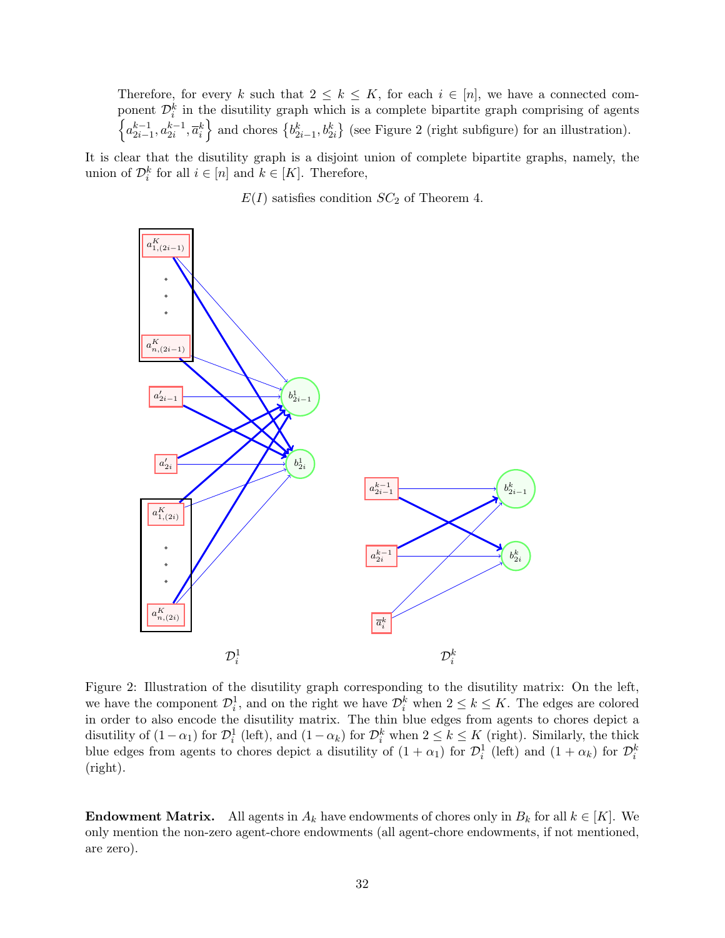Therefore, for every k such that  $2 \leq k \leq K$ , for each  $i \in [n]$ , we have a connected component  $\mathcal{D}_i^k$  in the disutility graph which is a complete bipartite graph comprising of agents  $\left\{a_{2i-1}^{k-1}, a_{2i}^{k-1}, \overline{a}_i^k\right\}$  $\left\{a_{2i-1}^{k-1}, a_{2i}^{k-1}, \overline{a}_i^k\right\}$  $\left\{a_{2i-1}^{k-1}, a_{2i}^{k-1}, \overline{a}_i^k\right\}$  and chores  $\left\{b_{2i-1}^k, b_{2i}^k\right\}$  (see Figure 2 (right subfigure) for an illustration).

It is clear that the disutility graph is a disjoint union of complete bipartite graphs, namely, the union of  $\mathcal{D}_i^k$  for all  $i \in [n]$  and  $k \in [K]$ . Therefore,

 $E(I)$  satisfies condition  $SC_2$  of Theorem [4.](#page-4-1)

<span id="page-31-0"></span>

Figure 2: Illustration of the disutility graph corresponding to the disutility matrix: On the left, we have the component  $\mathcal{D}_i^1$ , and on the right we have  $\mathcal{D}_i^k$  when  $2 \leq k \leq K$ . The edges are colored in order to also encode the disutility matrix. The thin blue edges from agents to chores depict a disutility of  $(1 - \alpha_1)$  for  $\mathcal{D}_i^1$  (left), and  $(1 - \alpha_k)$  for  $\mathcal{D}_i^k$  when  $2 \leq k \leq K$  (right). Similarly, the thick blue edges from agents to chores depict a disutility of  $(1 + \alpha_1)$  for  $\mathcal{D}_i^1$  (left) and  $(1 + \alpha_k)$  for  $\mathcal{D}_i^k$ (right).

**Endowment Matrix.** All agents in  $A_k$  have endowments of chores only in  $B_k$  for all  $k \in [K]$ . We only mention the non-zero agent-chore endowments (all agent-chore endowments, if not mentioned, are zero).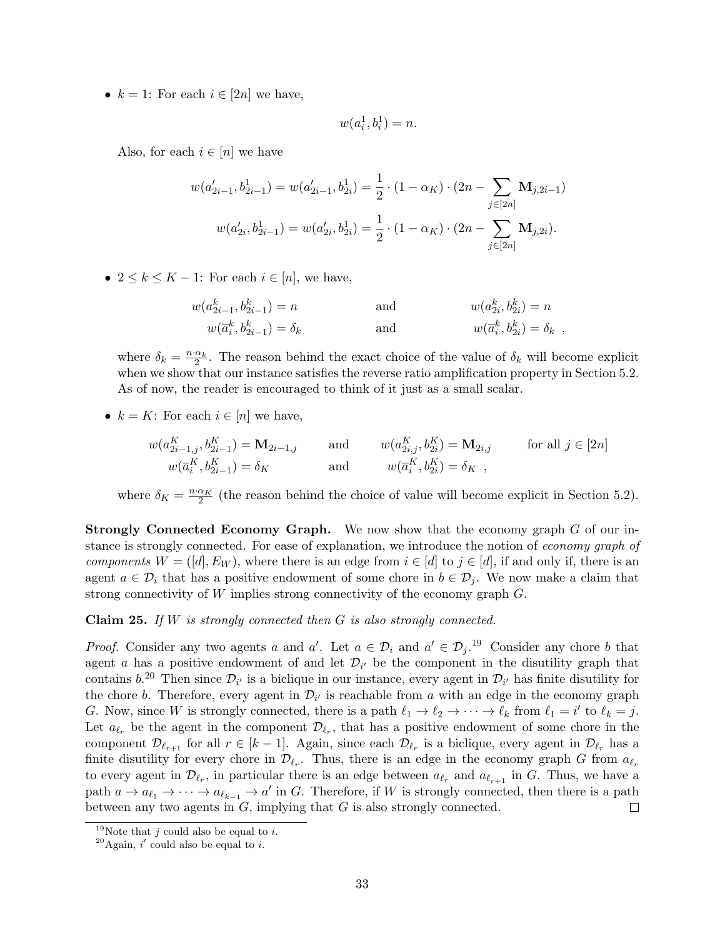•  $k = 1$ : For each  $i \in [2n]$  we have,

$$
w(a_i^1, b_i^1) = n.
$$

Also, for each  $i \in [n]$  we have

$$
w(a'_{2i-1}, b^1_{2i-1}) = w(a'_{2i-1}, b^1_{2i}) = \frac{1}{2} \cdot (1 - \alpha_K) \cdot (2n - \sum_{j \in [2n]} \mathbf{M}_{j, 2i-1})
$$

$$
w(a'_{2i}, b^1_{2i-1}) = w(a'_{2i}, b^1_{2i}) = \frac{1}{2} \cdot (1 - \alpha_K) \cdot (2n - \sum_{j \in [2n]} \mathbf{M}_{j, 2i}).
$$

•  $2 \leq k \leq K - 1$ : For each  $i \in [n]$ , we have,

$$
w(a_{2i-1}^k, b_{2i-1}^k) = n
$$
 and 
$$
w(a_{2i}^k, b_{2i}^k) = n
$$
  

$$
w(\overline{a}_i^k, b_{2i-1}^k) = \delta_k
$$
 and 
$$
w(\overline{a}_i^k, b_{2i}^k) = \delta_k
$$
,

where  $\delta_k = \frac{n \cdot \alpha_k}{2}$ . The reason behind the exact choice of the value of  $\delta_k$  will become explicit when we show that our instance satisfies the reverse ratio amplification property in Section [5.2.](#page-34-0) As of now, the reader is encouraged to think of it just as a small scalar.

•  $k = K$ : For each  $i \in [n]$  we have,

$$
w(a_{2i-1,j}^{K}, b_{2i-1}^{K}) = \mathbf{M}_{2i-1,j} \quad \text{and} \quad w(a_{2i,j}^{K}, b_{2i}^{K}) = \mathbf{M}_{2i,j} \quad \text{for all } j \in [2n]
$$
  

$$
w(\overline{a}_{i}^{K}, b_{2i-1}^{K}) = \delta_{K} \quad \text{and} \quad w(\overline{a}_{i}^{K}, b_{2i}^{K}) = \delta_{K} ,
$$

where  $\delta_K = \frac{n \cdot \alpha_K}{2}$  (the reason behind the choice of value will become explicit in Section [5.2\)](#page-34-0).

Strongly Connected Economy Graph. We now show that the economy graph G of our instance is strongly connected. For ease of explanation, we introduce the notion of economy graph of components  $W = ([d], E_W)$ , where there is an edge from  $i \in [d]$  to  $j \in [d]$ , if and only if, there is an agent  $a \in \mathcal{D}_i$  that has a positive endowment of some chore in  $b \in \mathcal{D}_i$ . We now make a claim that strong connectivity of W implies strong connectivity of the economy graph G.

<span id="page-32-2"></span>**Claim 25.** If  $W$  is strongly connected then  $G$  is also strongly connected.

*Proof.* Consider any two agents a and a'. Let  $a \in \mathcal{D}_i$  and  $a' \in \mathcal{D}_j$ .<sup>[19](#page-32-0)</sup> Consider any chore b that agent a has a positive endowment of and let  $\mathcal{D}_{i'}$  be the component in the disutility graph that contains  $b^{20}$  $b^{20}$  $b^{20}$ . Then since  $\mathcal{D}_{i'}$  is a biclique in our instance, every agent in  $\mathcal{D}_{i'}$  has finite disutility for the chore b. Therefore, every agent in  $\mathcal{D}_{i'}$  is reachable from a with an edge in the economy graph G. Now, since W is strongly connected, there is a path  $\ell_1 \to \ell_2 \to \cdots \to \ell_k$  from  $\ell_1 = i'$  to  $\ell_k = j$ . Let  $a_{\ell_r}$  be the agent in the component  $\mathcal{D}_{\ell_r}$ , that has a positive endowment of some chore in the component  $\mathcal{D}_{\ell_{r+1}}$  for all  $r \in [k-1]$ . Again, since each  $\mathcal{D}_{\ell_r}$  is a biclique, every agent in  $\mathcal{D}_{\ell_r}$  has a finite disutility for every chore in  $\mathcal{D}_{\ell_r}$ . Thus, there is an edge in the economy graph G from  $a_{\ell_r}$ to every agent in  $\mathcal{D}_{\ell_r}$ , in particular there is an edge between  $a_{\ell_r}$  and  $a_{\ell_{r+1}}$  in G. Thus, we have a path  $a \to a_{\ell_1} \to \cdots \to a_{\ell_{k-1}} \to a'$  in G. Therefore, if W is strongly connected, then there is a path between any two agents in G, implying that G is also strongly connected.  $\Box$ 

<span id="page-32-0"></span><sup>&</sup>lt;sup>19</sup>Note that *j* could also be equal to *i*.

<span id="page-32-1"></span><sup>&</sup>lt;sup>20</sup>Again, i' could also be equal to i.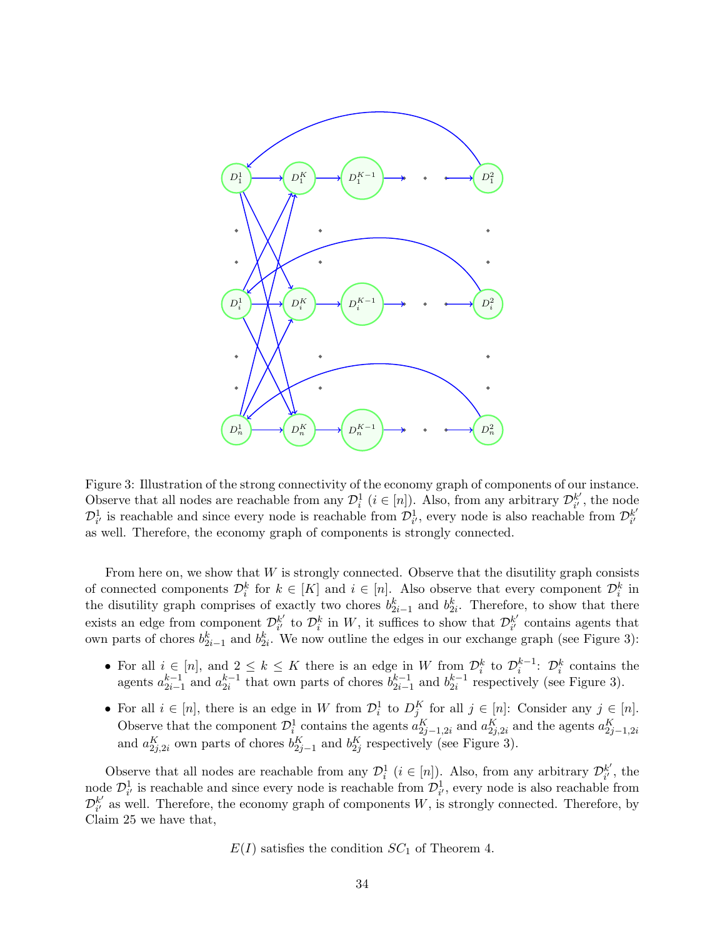<span id="page-33-0"></span>

Figure 3: Illustration of the strong connectivity of the economy graph of components of our instance. Observe that all nodes are reachable from any  $\mathcal{D}_i^1$  ( $i \in [n]$ ). Also, from any arbitrary  $\mathcal{D}_{i'}^{k'}$  $\frac{k'}{i'}$ , the node  $\mathcal{D}_{i'}^1$  is reachable and since every node is reachable from  $\mathcal{D}_{i'}^1$ , every node is also reachable from  $\mathcal{D}_{i'}^{k'}$  $i'$ as well. Therefore, the economy graph of components is strongly connected.

From here on, we show that  $W$  is strongly connected. Observe that the disutility graph consists of connected components  $\mathcal{D}_i^k$  for  $k \in [K]$  and  $i \in [n]$ . Also observe that every component  $\mathcal{D}_i^k$  in the disutility graph comprises of exactly two chores  $b_{2i-1}^k$  and  $b_{2i}^k$ . Therefore, to show that there exists an edge from component  $\mathcal{D}_{i'}^{k'}$  $\mathcal{L}_{i'}^{k'}$  to  $\mathcal{D}_i^k$  in W, it suffices to show that  $\mathcal{D}_{i'}^{k'}$  $i'_{i'}$  contains agents that own parts of chores  $b_{2i-1}^k$  and  $b_{2i}^k$ . We now outline the edges in our exchange graph (see Figure [3\)](#page-33-0):

- For all  $i \in [n]$ , and  $2 \leq k \leq K$  there is an edge in W from  $\mathcal{D}_i^k$  to  $\mathcal{D}_i^{k-1}$ :  $\mathcal{D}_i^k$  contains the agents  $a_{2i-1}^{k-1}$  and  $a_{2i}^{k-1}$  that own parts of chores  $b_{2i-1}^{k-1}$  and  $b_{2i}^{k-1}$  respectively (see Figure [3\)](#page-33-0).
- For all  $i \in [n]$ , there is an edge in W from  $\mathcal{D}_i^1$  to  $D_j^K$  for all  $j \in [n]$ . Consider any  $j \in [n]$ . Observe that the component  $\mathcal{D}_i^1$  contains the agents  $a_{2j-1,2i}^K$  and  $a_{2j,2i}^K$  and the agents  $a_{2j-1,2i}^K$ and  $a_{2j,2i}^K$  own parts of chores  $b_{2j-1}^K$  and  $b_{2j}^K$  respectively (see Figure [3\)](#page-33-0).

Observe that all nodes are reachable from any  $\mathcal{D}_i^1$   $(i \in [n])$ . Also, from any arbitrary  $\mathcal{D}_{i'}^{k'}$  $_{i'}^{k'}$ , the node  $\mathcal{D}_{i'}^1$  is reachable and since every node is reachable from  $\mathcal{D}_{i'}^1$ , every node is also reachable from  $\mathcal{D}_{i'}^{k'}$  $\frac{k'}{i'}$  as well. Therefore, the economy graph of components W, is strongly connected. Therefore, by Claim [25](#page-32-2) we have that,

 $E(I)$  satisfies the condition  $SC<sub>1</sub>$  of Theorem [4.](#page-4-1)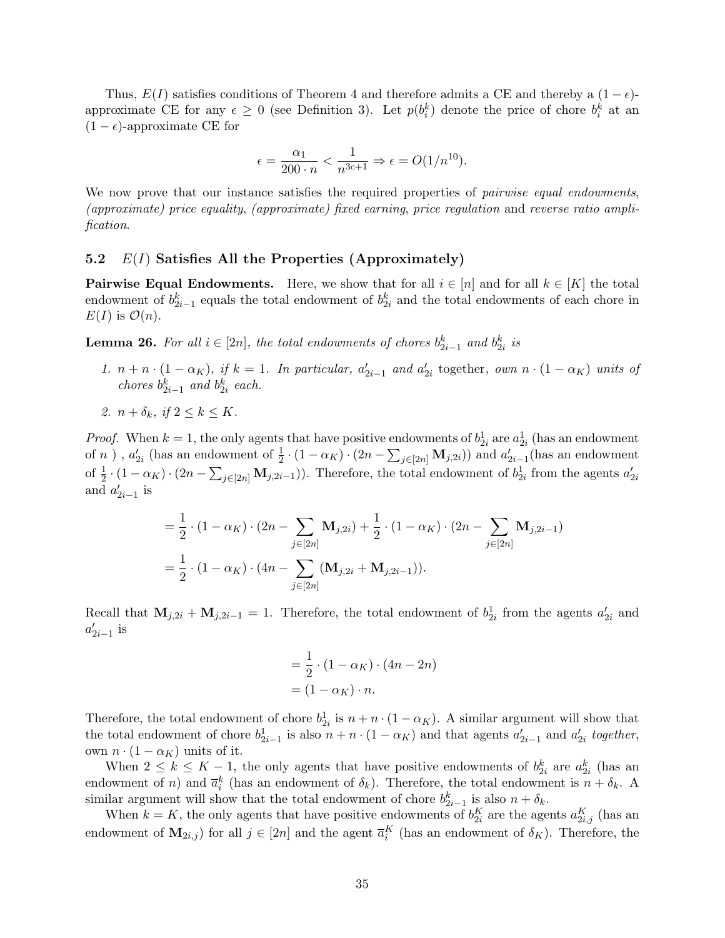Thus,  $E(I)$  satisfies conditions of Theorem [4](#page-4-1) and therefore admits a CE and thereby a  $(1 - \epsilon)$ approximate CE for any  $\epsilon \geq 0$  (see Definition [3\)](#page-3-2). Let  $p(b_i^k)$  denote the price of chore  $b_i^k$  at an  $(1 - \epsilon)$ -approximate CE for

$$
\epsilon = \frac{\alpha_1}{200 \cdot n} < \frac{1}{n^{3c+1}} \Rightarrow \epsilon = O(1/n^{10}).
$$

We now prove that our instance satisfies the required properties of *pairwise equal endowments*, (approximate) price equality, (approximate) fixed earning, price regulation and reverse ratio amplification.

#### <span id="page-34-0"></span>5.2  $E(I)$  Satisfies All the Properties (Approximately)

**Pairwise Equal Endowments.** Here, we show that for all  $i \in [n]$  and for all  $k \in [K]$  the total endowment of  $b_{2i-1}^k$  equals the total endowment of  $b_{2i}^k$  and the total endowments of each chore in  $E(I)$  is  $\mathcal{O}(n)$ .

<span id="page-34-1"></span>**Lemma 26.** For all  $i \in [2n]$ , the total endowments of chores  $b_{2i-1}^k$  and  $b_{2i}^k$  is

- 1.  $n + n \cdot (1 \alpha_K)$ , if  $k = 1$ . In particular,  $a'_{2i-1}$  and  $a'_{2i}$  together, own  $n \cdot (1 \alpha_K)$  units of chores  $b_{2i-1}^k$  and  $b_{2i}^k$  each.
- 2.  $n + \delta_k$ , if  $2 \leq k \leq K$ .

*Proof.* When  $k = 1$ , the only agents that have positive endowments of  $b_{2i}^1$  are  $a_{2i}^1$  (has an endowment of n),  $a'_{2i}$  (has an endowment of  $\frac{1}{2} \cdot (1 - \alpha_K) \cdot (2n - \sum_{j \in [2n]} \mathbf{M}_{j,2i})$ ) and  $a'_{2i-1}$  (has an endowment of  $\frac{1}{2} \cdot (1 - \alpha_K) \cdot (2n - \sum_{j \in [2n]} \mathbf{M}_{j, 2i-1})$ ). Therefore, the total endowment of  $b_{2i}^1$  from the agents  $a'_{2i}$ and  $a'_{2i-1}$  is

$$
= \frac{1}{2} \cdot (1 - \alpha_K) \cdot (2n - \sum_{j \in [2n]} \mathbf{M}_{j,2i}) + \frac{1}{2} \cdot (1 - \alpha_K) \cdot (2n - \sum_{j \in [2n]} \mathbf{M}_{j,2i-1})
$$
  
=  $\frac{1}{2} \cdot (1 - \alpha_K) \cdot (4n - \sum_{j \in [2n]} (\mathbf{M}_{j,2i} + \mathbf{M}_{j,2i-1})).$ 

Recall that  $\mathbf{M}_{j,2i} + \mathbf{M}_{j,2i-1} = 1$ . Therefore, the total endowment of  $b_{2i}^1$  from the agents  $a'_{2i}$  and  $a'_{2i-1}$  is

$$
= \frac{1}{2} \cdot (1 - \alpha_K) \cdot (4n - 2n)
$$

$$
= (1 - \alpha_K) \cdot n.
$$

Therefore, the total endowment of chore  $b_{2i}^1$  is  $n + n \cdot (1 - \alpha_K)$ . A similar argument will show that the total endowment of chore  $b_{2i-1}^1$  is also  $n + n \cdot (1 - \alpha_K)$  and that agents  $a'_{2i-1}$  and  $a'_{2i}$  together, own  $n \cdot (1 - \alpha_K)$  units of it.

When  $2 \leq k \leq K-1$ , the only agents that have positive endowments of  $b_{2i}^k$  are  $a_{2i}^k$  (has an endowment of n) and  $\bar{a}_i^k$  (has an endowment of  $\delta_k$ ). Therefore, the total endowment is  $n + \delta_k$ . A similar argument will show that the total endowment of chore  $b_{2i-1}^k$  is also  $n + \delta_k$ .

When  $k = K$ , the only agents that have positive endowments of  $b_{2i}^K$  are the agents  $a_{2i,j}^K$  (has an endowment of  $M_{2i,j}$ ) for all  $j \in [2n]$  and the agent  $\overline{a}_i^K$  (has an endowment of  $\delta_K$ ). Therefore, the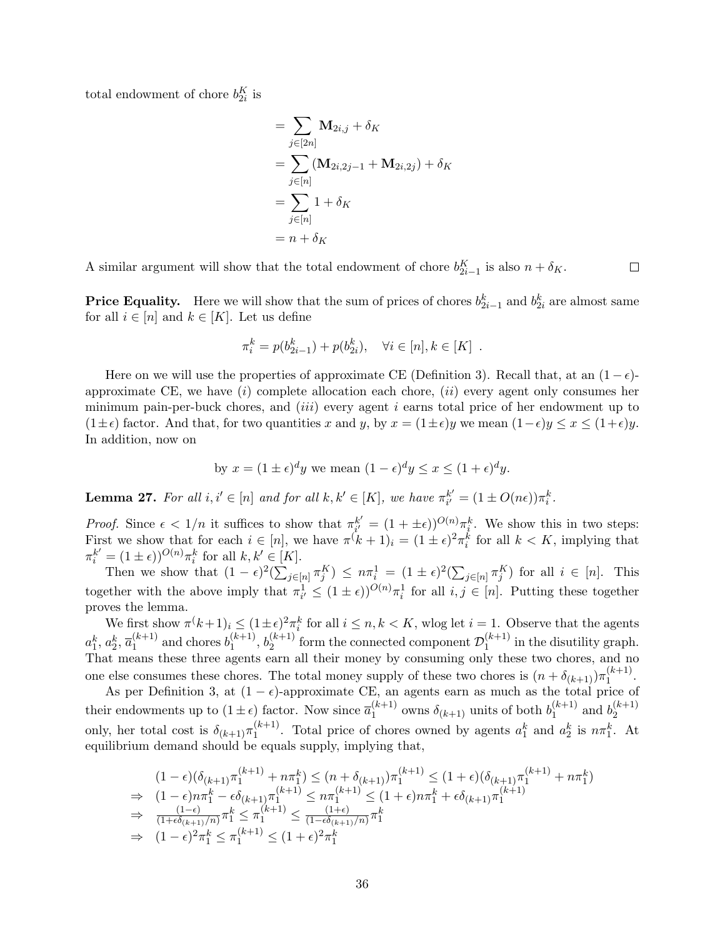total endowment of chore  $b_{2i}^K$  is

$$
= \sum_{j\in [2n]} \mathbf{M}_{2i,j} + \delta_K
$$
  
= 
$$
\sum_{j\in [n]} (\mathbf{M}_{2i,2j-1} + \mathbf{M}_{2i,2j}) + \delta_K
$$
  
= 
$$
\sum_{j\in [n]} 1 + \delta_K
$$
  
= 
$$
n + \delta_K
$$

A similar argument will show that the total endowment of chore  $b_{2i-1}^K$  is also  $n + \delta_K$ .  $\Box$ 

**Price Equality.** Here we will show that the sum of prices of chores  $b_{2i-1}^k$  and  $b_{2i}^k$  are almost same for all  $i \in [n]$  and  $k \in [K]$ . Let us define

$$
\pi_i^k = p(b_{2i-1}^k) + p(b_{2i}^k), \quad \forall i \in [n], k \in [K] .
$$

Here on we will use the properties of approximate CE (Definition [3\)](#page-3-2). Recall that, at an  $(1 - \epsilon)$ approximate CE, we have  $(i)$  complete allocation each chore,  $(ii)$  every agent only consumes her minimum pain-per-buck chores, and  $(iii)$  every agent i earns total price of her endowment up to  $(1\pm\epsilon)$  factor. And that, for two quantities x and y, by  $x = (1\pm\epsilon)y$  we mean  $(1-\epsilon)y \leq x \leq (1+\epsilon)y$ . In addition, now on

by 
$$
x = (1 \pm \epsilon)^d y
$$
 we mean  $(1 - \epsilon)^d y \le x \le (1 + \epsilon)^d y$ .

<span id="page-35-0"></span>**Lemma 27.** For all  $i, i' \in [n]$  and for all  $k, k' \in [K]$ , we have  $\pi_{i'}^{k'}$  $k'_{i'} = (1 \pm O(n\epsilon))\pi_i^k.$ 

*Proof.* Since  $\epsilon < 1/n$  it suffices to show that  $\pi_{i'}^{k'}$  $\mathbf{E}_{i'}^{k'} = (1 + \pm \epsilon)^{O(n)} \pi_i^k$ . We show this in two steps: First we show that for each  $i \in [n]$ , we have  $\pi^{(k+1)} = (1 \pm \epsilon)^2 \pi_i^k$  for all  $k < K$ , implying that  $\pi_i^{k'} = (1 \pm \epsilon)^{O(n)} \pi_i^k$  for all  $k, k' \in [K]$ .

Then we show that  $(1 - \epsilon)^2 (\sum_{j \in [n]} \pi_j^K) \leq n \pi_i^1 = (1 \pm \epsilon)^2 (\sum_{j \in [n]} \pi_j^K)$  for all  $i \in [n]$ . This together with the above imply that  $\pi_{i'}^1 \leq (1 \pm \epsilon)^{O(n)} \pi_i^1$  for all  $i, j \in [n]$ . Putting these together proves the lemma.

We first show  $\pi^k + 1_i \leq (1 \pm \epsilon)^2 \pi_i^k$  for all  $i \leq n, k < K$ , wlog let  $i = 1$ . Observe that the agents  $a_1^k, a_2^k, \overline{a}_1^{(k+1)}$  $_1^{(k+1)}$  and chores  $b_1^{(k+1)}$  $b_1^{(k+1)}, b_2^{(k+1)}$  $\mathcal{D}_2^{(k+1)}$  form the connected component  $\mathcal{D}_1^{(k+1)}$  $i_1^{(\kappa+1)}$  in the disutility graph. That means these three agents earn all their money by consuming only these two chores, and no one else consumes these chores. The total money supply of these two chores is  $(n + \delta_{(k+1)})\pi_1^{(k+1)}$  $\frac{1}{1}$ .

As per Definition [3,](#page-3-2) at  $(1 - \epsilon)$ -approximate CE, an agents earn as much as the total price of their endowments up to  $(1 \pm \epsilon)$  factor. Now since  $\overline{a}_1^{(k+1)}$  $_1^{(k+1)}$  owns  $\delta_{(k+1)}$  units of both  $b_1^{(k+1)}$  $j_1^{(k+1)}$  and  $b_2^{(k+1)}$ 2 only, her total cost is  $\delta_{(k+1)} \pi_1^{(k+1)}$  $\binom{k+1}{1}$ . Total price of chores owned by agents  $a_1^k$  and  $a_2^k$  is  $n\pi_1^k$ . At equilibrium demand should be equals supply, implying that,

$$
(1 - \epsilon)(\delta_{(k+1)}\pi_1^{(k+1)} + n\pi_1^k) \le (n + \delta_{(k+1)})\pi_1^{(k+1)} \le (1 + \epsilon)(\delta_{(k+1)}\pi_1^{(k+1)} + n\pi_1^k)
$$
  
\n
$$
\Rightarrow (1 - \epsilon)n\pi_1^k - \epsilon\delta_{(k+1)}\pi_1^{(k+1)} \le n\pi_1^{(k+1)} \le (1 + \epsilon)n\pi_1^k + \epsilon\delta_{(k+1)}\pi_1^{(k+1)}
$$
  
\n
$$
\Rightarrow \frac{(1 - \epsilon)}{(1 + \epsilon\delta_{(k+1)}/n)}\pi_1^k \le \pi_1^{(k+1)} \le \frac{(1 + \epsilon)}{(1 - \epsilon\delta_{(k+1)}/n)}\pi_1^k
$$
  
\n
$$
\Rightarrow (1 - \epsilon)^2\pi_1^k \le \pi_1^{(k+1)} \le (1 + \epsilon)^2\pi_1^k
$$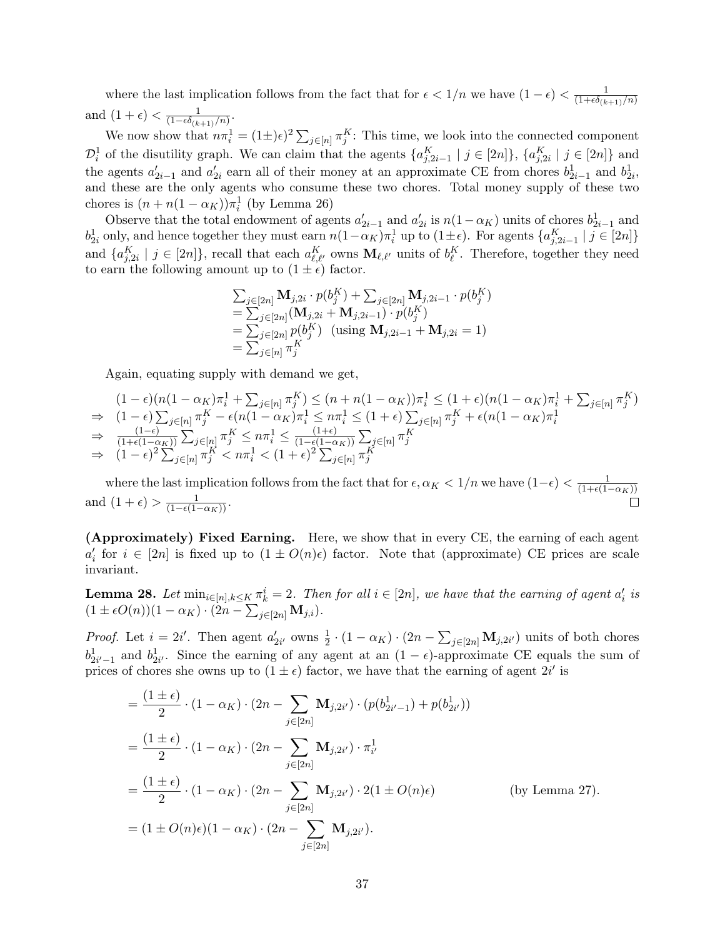where the last implication follows from the fact that for  $\epsilon < 1/n$  we have  $(1 - \epsilon) < \frac{1}{(1 + \epsilon \delta n)}$  $(1+\epsilon\delta_{(k+1)}/n)$ and  $(1 + \epsilon) < \frac{1}{(1 - \epsilon \delta \epsilon)}$  $\frac{1}{(1-\epsilon\delta_{(k+1)}/n)}$ .

We now show that  $n\pi_i^1 = (1\pm)\epsilon^2 \sum_{j\in[n]}\pi_j^K$ : This time, we look into the connected component  $\mathcal{D}_i^1$  of the disutility graph. We can claim that the agents  $\{a_{j,2i-1}^K \mid j \in [2n]\}, \{a_{j,2i}^K \mid j \in [2n]\}$  and the agents  $a'_{2i-1}$  and  $a'_{2i}$  earn all of their money at an approximate CE from chores  $b^1_{2i-1}$  and  $b^1_{2i}$ , and these are the only agents who consume these two chores. Total money supply of these two chores is  $(n + n(1 - \alpha_K))\pi_i^1$  (by Lemma [26\)](#page-34-1)

Observe that the total endowment of agents  $a'_{2i-1}$  and  $a'_{2i}$  is  $n(1-\alpha_K)$  units of chores  $b^1_{2i-1}$  and  $b_{2i}^1$  only, and hence together they must earn  $n(1-\alpha_K)\pi_i^1$  up to  $(1\pm\epsilon)$ . For agents  $\{a_{j,2i-1}^K \mid j \in [2n]\}$ and  $\{a_{j,2i}^K \mid j \in [2n]\}$ , recall that each  $a_{\ell,\ell'}^K$  owns  $\mathbf{M}_{\ell,\ell'}$  units of  $b_{\ell}^K$ . Therefore, together they need to earn the following amount up to  $(1 \pm \epsilon)$  factor.

$$
\sum_{j \in [2n]} \mathbf{M}_{j,2i} \cdot p(b_j^K) + \sum_{j \in [2n]} \mathbf{M}_{j,2i-1} \cdot p(b_j^K)
$$
  
= 
$$
\sum_{j \in [2n]} (\mathbf{M}_{j,2i} + \mathbf{M}_{j,2i-1}) \cdot p(b_j^K)
$$
  
= 
$$
\sum_{j \in [2n]} p(b_j^K)
$$
 (using  $\mathbf{M}_{j,2i-1} + \mathbf{M}_{j,2i} = 1$ )  
= 
$$
\sum_{j \in [n]} \pi_j^K
$$

Again, equating supply with demand we get,

$$
(1 - \epsilon)(n(1 - \alpha_K)\pi_i^1 + \sum_{j \in [n]} \pi_j^K) \le (n + n(1 - \alpha_K))\pi_i^1 \le (1 + \epsilon)(n(1 - \alpha_K)\pi_i^1 + \sum_{j \in [n]} \pi_j^K)
$$
  
\n
$$
\Rightarrow (1 - \epsilon) \sum_{j \in [n]} \pi_j^K - \epsilon(n(1 - \alpha_K)\pi_i^1 \le n\pi_i^1 \le (1 + \epsilon) \sum_{j \in [n]} \pi_j^K + \epsilon(n(1 - \alpha_K)\pi_i^1
$$
  
\n
$$
\Rightarrow \frac{(1 - \epsilon)}{(1 + \epsilon(1 - \alpha_K))} \sum_{j \in [n]} \pi_j^K \le n\pi_i^1 \le \frac{(1 + \epsilon)}{(1 - \epsilon(1 - \alpha_K))} \sum_{j \in [n]} \pi_j^K
$$
  
\n
$$
\Rightarrow (1 - \epsilon)^2 \sum_{j \in [n]} \pi_j^K < n\pi_i^1 < (1 + \epsilon)^2 \sum_{j \in [n]} \pi_j^K
$$

where the last implication follows from the fact that for  $\epsilon, \alpha_K < 1/n$  we have  $(1-\epsilon) < \frac{1}{(1+\epsilon)(1-\epsilon)}$  $(1+\epsilon(1-\alpha_K))$ and  $(1+\epsilon) > \frac{1}{(1-\epsilon(1-\alpha_K))}$ .  $\Box$ 

(Approximately) Fixed Earning. Here, we show that in every CE, the earning of each agent  $a'_i$  for  $i \in [2n]$  is fixed up to  $(1 \pm O(n)\epsilon)$  factor. Note that (approximate) CE prices are scale invariant.

<span id="page-36-0"></span>**Lemma 28.** Let  $\min_{i \in [n], k \le K} \pi_k^i = 2$ . Then for all  $i \in [2n]$ , we have that the earning of agent  $a'_i$  is  $(1 \pm \epsilon O(n))(1 - \alpha_K) \cdot (2n - \sum_{j \in [2n]} \mathbf{M}_{j,i}).$ 

*Proof.* Let  $i = 2i'$ . Then agent  $a'_{2i'}$  owns  $\frac{1}{2} \cdot (1 - \alpha_K) \cdot (2n - \sum_{j \in [2n]} \mathbf{M}_{j,2i'})$  units of both chores  $b_{2i'-1}^1$  and  $b_{2i'}^1$ . Since the earning of any agent at an  $(1 - \epsilon)$ -approximate CE equals the sum of prices of chores she owns up to  $(1 \pm \epsilon)$  factor, we have that the earning of agent  $2i'$  is

$$
= \frac{(1 \pm \epsilon)}{2} \cdot (1 - \alpha_K) \cdot (2n - \sum_{j \in [2n]} \mathbf{M}_{j,2i'}) \cdot (p(b_{2i'-1}^1) + p(b_{2i'}^1))
$$
  
\n
$$
= \frac{(1 \pm \epsilon)}{2} \cdot (1 - \alpha_K) \cdot (2n - \sum_{j \in [2n]} \mathbf{M}_{j,2i'}) \cdot \pi_{i'}^1
$$
  
\n
$$
= \frac{(1 \pm \epsilon)}{2} \cdot (1 - \alpha_K) \cdot (2n - \sum_{j \in [2n]} \mathbf{M}_{j,2i'}) \cdot 2(1 \pm O(n)\epsilon)
$$
 (by Lemma 27).  
\n
$$
= (1 \pm O(n)\epsilon)(1 - \alpha_K) \cdot (2n - \sum_{j \in [2n]} \mathbf{M}_{j,2i'}).
$$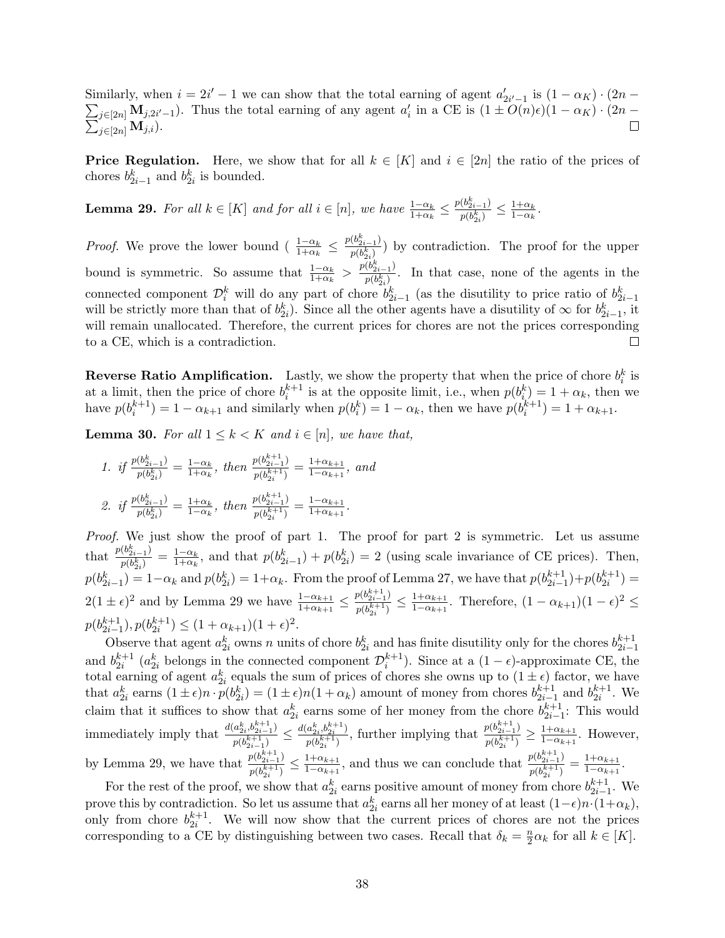Similarly, when  $i = 2i' - 1$  we can show that the total earning of agent  $a'_{2i'-1}$  is  $(1 - \alpha_K) \cdot (2n \sum_{j\in [2n]} \mathbf{M}_{j,2i'-1}$ ). Thus the total earning of any agent  $a'_i$  in a CE is  $(1 \pm O(n)\epsilon)(1 - \alpha_K) \cdot (2n \sum_{j\in [2n]} {\mathbf{M}}_{j,i}).$  $\Box$ 

**Price Regulation.** Here, we show that for all  $k \in [K]$  and  $i \in [2n]$  the ratio of the prices of chores  $b_{2i-1}^k$  and  $b_{2i}^k$  is bounded.

<span id="page-37-0"></span>**Lemma 29.** For all  $k \in [K]$  and for all  $i \in [n]$ , we have  $\frac{1-\alpha_k}{1+\alpha_k} \leq \frac{p(b_{2i-1}^k)}{p(b_{3i}^k)}$  $\frac{(b_{2i-1}^{\alpha})}{p(b_{2i}^k)} \leq \frac{1+\alpha_k}{1-\alpha_k}$  $\frac{1+\alpha_k}{1-\alpha_k}$ .

*Proof.* We prove the lower bound ( $\frac{1-\alpha_k}{1+\alpha_k} \leq \frac{p(b_{2i-1}^k)}{p(b_{3i}^k)}$  $\frac{\partial (b_{2i-1})}{\partial (b_{2i}^k)}$  by contradiction. The proof for the upper  $2i$ bound is symmetric. So assume that  $\frac{1-\alpha_k}{1+\alpha_k} > \frac{p(b_{2i-1}^k)}{p(b_{3i}^k)}$  $\frac{\partial^{(0)}(b_{2i-1})}{\partial^{(0)}(b_{2i})}$ . In that case, none of the agents in the connected component  $\mathcal{D}_i^k$  will do any part of chore  $b_{2i-1}^k$  (as the disutility to price ratio of  $b_{2i-1}^k$ will be strictly more than that of  $b_{2i}^k$ ). Since all the other agents have a disutility of  $\infty$  for  $b_{2i-1}^k$ , it will remain unallocated. Therefore, the current prices for chores are not the prices corresponding to a CE, which is a contradiction.  $\Box$ 

**Reverse Ratio Amplification.** Lastly, we show the property that when the price of chore  $b_i^k$  is at a limit, then the price of chore  $b_i^{k+1}$  is at the opposite limit, i.e., when  $p(b_i^k) = 1 + \alpha_k$ , then we have  $p(b_i^{k+1}) = 1 - \alpha_{k+1}$  and similarly when  $p(b_i^k) = 1 - \alpha_k$ , then we have  $p(b_i^{k+1}) = 1 + \alpha_{k+1}$ .

<span id="page-37-1"></span>**Lemma 30.** For all  $1 \leq k < K$  and  $i \in [n]$ , we have that,

1. if 
$$
\frac{p(b_{2i-1}^k)}{p(b_{2i}^k)} = \frac{1-\alpha_k}{1+\alpha_k}
$$
, then  $\frac{p(b_{2i-1}^{k+1})}{p(b_{2i}^{k+1})} = \frac{1+\alpha_{k+1}}{1-\alpha_{k+1}}$ , and  
\n2. if  $\frac{p(b_{2i-1}^k)}{p(b_{2i}^k)} = \frac{1+\alpha_k}{1-\alpha_k}$ , then  $\frac{p(b_{2i-1}^{k+1})}{p(b_{2i}^{k+1})} = \frac{1-\alpha_{k+1}}{1+\alpha_{k+1}}$ .

Proof. We just show the proof of part 1. The proof for part 2 is symmetric. Let us assume that  $\frac{p(b_{2i-1}^k)}{p(b_i^k)}$  $\frac{(b_{2i-1}^{\kappa})}{p(b_{2i}^k)} = \frac{1-\alpha_k}{1+\alpha_k}$  $p(b_{2i-1}^k) = 1 - \alpha_k$  and  $p(b_{2i}^k) = 1 + \alpha_k$ . From the proof of Lemma [27,](#page-35-0) we have that  $p(b_{2i-1}^{k+1}) + p(b_{2i}^{k+1}) =$  $\frac{1-\alpha_k}{1+\alpha_k}$ , and that  $p(b_{2i-1}^k) + p(b_{2i}^k) = 2$  (using scale invariance of CE prices). Then,  $2(1 \pm \epsilon)^2$  and by Lemma [29](#page-37-0) we have  $\frac{1-\alpha_{k+1}}{1+\alpha_{k+1}} \leq \frac{p(b_{2i-1}^{k+1})}{p(b_{2i}^{k+1})}$  $\frac{p(b_{2i-1}^{k+1})}{p(b_{2i}^{k+1})} \leq \frac{1+\alpha_{k+1}}{1-\alpha_{k+1}}$  $\frac{1+\alpha_{k+1}}{1-\alpha_{k+1}}$ . Therefore,  $(1-\alpha_{k+1})(1-\epsilon)^2 \leq$  $p(b_{2i-1}^{k+1}), p(b_{2i}^{k+1}) \leq (1+\alpha_{k+1})(1+\epsilon)^2.$ 

Observe that agent  $a_{2i}^k$  owns n units of chore  $b_{2i}^k$  and has finite disutility only for the chores  $b_{2i-1}^{k+1}$ and  $b_{2i}^{k+1}$   $(a_{2i}^k$  belongs in the connected component  $\mathcal{D}_i^{k+1}$ . Since at a  $(1 - \epsilon)$ -approximate CE, the total earning of agent  $a_{2i}^k$  equals the sum of prices of chores she owns up to  $(1 \pm \epsilon)$  factor, we have that  $a_{2i}^k$  earns  $(1 \pm \epsilon)n \cdot p(b_{2i}^k) = (1 \pm \epsilon)n(1 + \alpha_k)$  amount of money from chores  $b_{2i-1}^{k+1}$  and  $b_{2i}^{k+1}$ . We claim that it suffices to show that  $a_{2i}^k$  earns some of her money from the chore  $b_{2i-1}^{k+1}$ : This would immediately imply that  $\frac{d(a_{2i}^k, b_{2i-1}^{k+1})}{a_{2i-1}^{k+1}}$  $\frac{(a^k_{2i},b^{k+1}_{2i-1})}{p(b^{k+1}_{2i-1})} \leq \frac{d(a^k_{2i},b^{k+1}_{2i})}{p(b^{k+1}_{2i})}$  $\frac{(a_{2i}^k, b_{2i}^{k+1})}{p(b_{2i}^{k+1})}$ , further implying that  $\frac{p(b_{2i-1}^{k+1})}{p(b_{2i}^{k+1})}$  $\frac{p(b_{2i-1}^{k+1})}{p(b_{2i}^{k+1})} \geq \frac{1+\alpha_{k+1}}{1-\alpha_{k+1}}$  $\frac{1+\alpha_{k+1}}{1-\alpha_{k+1}}$ . However, by Lemma [29,](#page-37-0) we have that  $\frac{p(b_{2i-1}^{k+1})}{p(b_{2i-1}^{k+1})}$  $\frac{p(b_{2i-1}^{k+1})}{p(b_{2i}^{k+1})} \leq \frac{1+\alpha_{k+1}}{1-\alpha_{k+1}}$  $\frac{1+\alpha_{k+1}}{1-\alpha_{k+1}},$  and thus we can conclude that  $\frac{p(b_{2i-1}^{k+1})}{p(b_{2i}^{k+1})}$  $\frac{p(b_{2i-1}^{k+1})}{p(b_{2i}^{k+1})} = \frac{1+\alpha_{k+1}}{1-\alpha_{k+1}}$  $\frac{1+\alpha_{k+1}}{1-\alpha_{k+1}}$ 

For the rest of the proof, we show that  $a_{2i}^k$  earns positive amount of money from chore  $b_{2i-1}^{k+1}$ . We prove this by contradiction. So let us assume that  $a_{2i}^k$  earns all her money of at least  $(1-\epsilon)n \cdot (1+\alpha_k)$ , only from chore  $b_{2i}^{k+1}$ . We will now show that the current prices of chores are not the prices corresponding to a CE by distinguishing between two cases. Recall that  $\delta_k = \frac{n}{2}$  $\frac{n}{2}\alpha_k$  for all  $k \in [K]$ .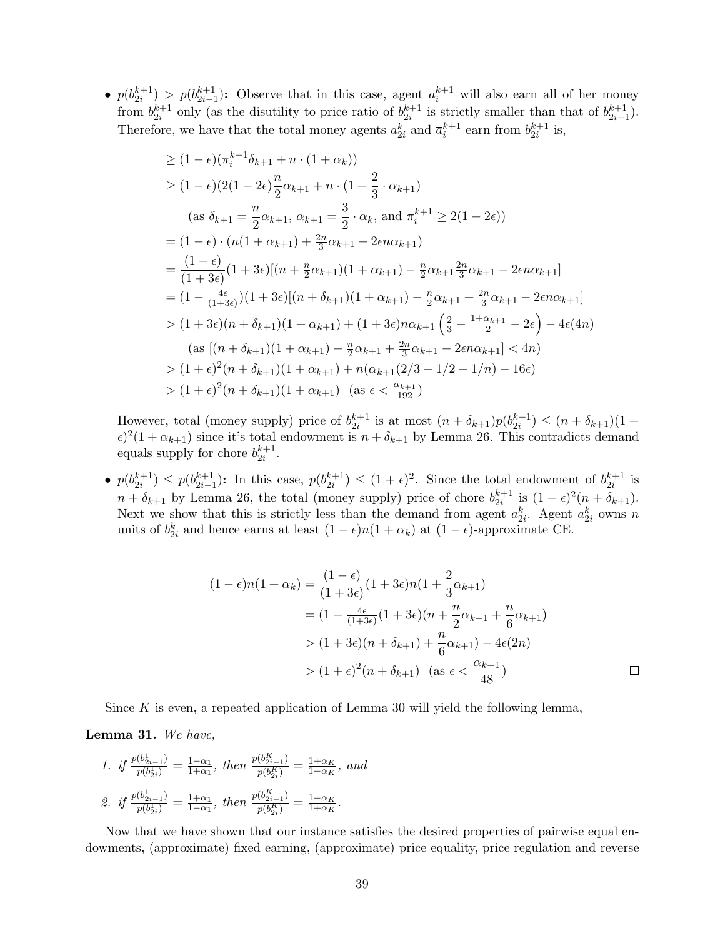•  $p(b_{2i}^{k+1}) > p(b_{2i-1}^{k+1})$ : Observe that in this case, agent  $\overline{a}_i^{k+1}$  will also earn all of her money from  $b_{2i}^{k+1}$  only (as the disutility to price ratio of  $b_{2i}^{k+1}$  is strictly smaller than that of  $b_{2i-1}^{k+1}$ ). Therefore, we have that the total money agents  $a_{2i}^k$  and  $\overline{a}_i^{k+1}$  earn from  $b_{2i}^{k+1}$  is,

$$
\geq (1 - \epsilon)(\pi_i^{k+1}\delta_{k+1} + n \cdot (1 + \alpha_k))
$$
  
\n
$$
\geq (1 - \epsilon)(2(1 - 2\epsilon)\frac{n}{2}\alpha_{k+1} + n \cdot (1 + \frac{2}{3} \cdot \alpha_{k+1})
$$
  
\n(as  $\delta_{k+1} = \frac{n}{2}\alpha_{k+1}, \alpha_{k+1} = \frac{3}{2} \cdot \alpha_k, \text{ and } \pi_i^{k+1} \geq 2(1 - 2\epsilon))$   
\n
$$
= (1 - \epsilon) \cdot (n(1 + \alpha_{k+1}) + \frac{2n}{3}\alpha_{k+1} - 2\epsilon n\alpha_{k+1})
$$
  
\n
$$
= \frac{(1 - \epsilon)}{(1 + 3\epsilon)}(1 + 3\epsilon)[(n + \frac{n}{2}\alpha_{k+1})(1 + \alpha_{k+1}) - \frac{n}{2}\alpha_{k+1}\frac{2n}{3}\alpha_{k+1} - 2\epsilon n\alpha_{k+1}]
$$
  
\n
$$
= (1 - \frac{4\epsilon}{(1 + 3\epsilon)})(1 + 3\epsilon)[(n + \delta_{k+1})(1 + \alpha_{k+1}) - \frac{n}{2}\alpha_{k+1} + \frac{2n}{3}\alpha_{k+1} - 2\epsilon n\alpha_{k+1}]
$$
  
\n
$$
> (1 + 3\epsilon)(n + \delta_{k+1})(1 + \alpha_{k+1}) + (1 + 3\epsilon)n\alpha_{k+1}\left(\frac{2}{3} - \frac{1 + \alpha_{k+1}}{2} - 2\epsilon\right) - 4\epsilon(4n)
$$
  
\n(as  $[(n + \delta_{k+1})(1 + \alpha_{k+1}) - \frac{n}{2}\alpha_{k+1} + \frac{2n}{3}\alpha_{k+1} - 2\epsilon n\alpha_{k+1}] < 4n)$   
\n
$$
> (1 + \epsilon)^2(n + \delta_{k+1})(1 + \alpha_{k+1}) + n(\alpha_{k+1}(2/3 - 1/2 - 1/n) - 16\epsilon)
$$
  
\n
$$
> (1 + \epsilon)^2(n + \delta_{k+1})(1 + \alpha_{k+1}) \quad \text{(as } \epsilon < \frac{\alpha_{k+1}}{192})
$$

However, total (money supply) price of  $b_{2i}^{k+1}$  is at most  $(n + \delta_{k+1})p(b_{2i}^{k+1}) \leq (n + \delta_{k+1})(1 +$  $\epsilon$ )<sup>2</sup>(1+ $\alpha$ <sub>k+1</sub>) since it's total endowment is  $n + \delta_{k+1}$  by Lemma [26.](#page-34-1) This contradicts demand equals supply for chore  $b_{2i}^{k+1}$ .

•  $p(b_{2i}^{k+1}) \leq p(b_{2i-1}^{k+1})$ : In this case,  $p(b_{2i}^{k+1}) \leq (1+\epsilon)^2$ . Since the total endowment of  $b_{2i}^{k+1}$  is  $n + \delta_{k+1}$  by Lemma [26,](#page-34-1) the total (money supply) price of chore  $b_{2i}^{k+1}$  is  $(1+\epsilon)^2(n+\delta_{k+1})$ . Next we show that this is strictly less than the demand from agent  $a_{2i}^k$ . Agent  $a_{2i}^k$  owns n units of  $b_{2i}^k$  and hence earns at least  $(1 - \epsilon)n(1 + \alpha_k)$  at  $(1 - \epsilon)$ -approximate CE.

$$
(1 - \epsilon)n(1 + \alpha_k) = \frac{(1 - \epsilon)}{(1 + 3\epsilon)}(1 + 3\epsilon)n(1 + \frac{2}{3}\alpha_{k+1})
$$
  
=  $(1 - \frac{4\epsilon}{(1 + 3\epsilon)}(1 + 3\epsilon)(n + \frac{n}{2}\alpha_{k+1} + \frac{n}{6}\alpha_{k+1})$   
>  $(1 + 3\epsilon)(n + \delta_{k+1}) + \frac{n}{6}\alpha_{k+1}) - 4\epsilon(2n)$   
>  $(1 + \epsilon)^2(n + \delta_{k+1})$  (as  $\epsilon < \frac{\alpha_{k+1}}{48}$ )

Since  $K$  is even, a repeated application of Lemma [30](#page-37-1) will yield the following lemma,

<span id="page-38-0"></span>Lemma 31. We have,

1. if 
$$
\frac{p(b_{2i-1}^1)}{p(b_{2i}^1)} = \frac{1-\alpha_1}{1+\alpha_1}
$$
, then  $\frac{p(b_{2i-1}^K)}{p(b_{2i}^K)} = \frac{1+\alpha_K}{1-\alpha_K}$ , and  
\n2. if  $\frac{p(b_{2i-1}^1)}{p(b_{2i}^1)} = \frac{1+\alpha_1}{1-\alpha_1}$ , then  $\frac{p(b_{2i-1}^K)}{p(b_{2i}^K)} = \frac{1-\alpha_K}{1+\alpha_K}$ .

Now that we have shown that our instance satisfies the desired properties of pairwise equal endowments, (approximate) fixed earning, (approximate) price equality, price regulation and reverse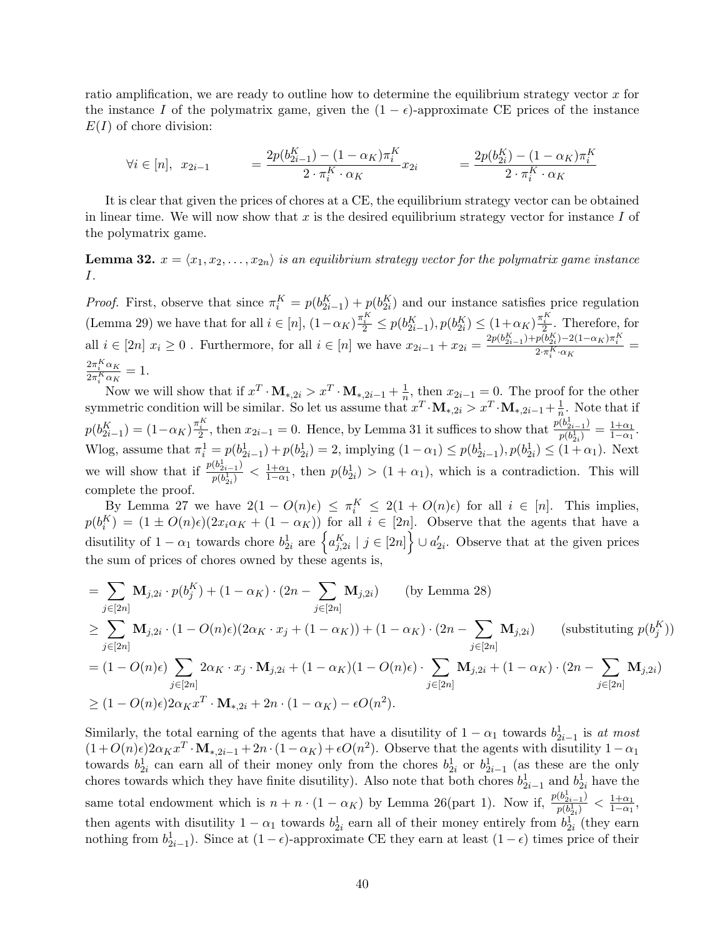ratio amplification, we are ready to outline how to determine the equilibrium strategy vector  $x$  for the instance I of the polymatrix game, given the  $(1 - \epsilon)$ -approximate CE prices of the instance  $E(I)$  of chore division:

$$
\forall i \in [n], \ x_{2i-1} = \frac{2p(b_{2i-1}^K) - (1 - \alpha_K)\pi_i^K}{2 \cdot \pi_i^K \cdot \alpha_K} x_{2i} = \frac{2p(b_{2i}^K) - (1 - \alpha_K)\pi_i^K}{2 \cdot \pi_i^K \cdot \alpha_K}
$$

It is clear that given the prices of chores at a CE, the equilibrium strategy vector can be obtained in linear time. We will now show that  $x$  is the desired equilibrium strategy vector for instance  $I$  of the polymatrix game.

<span id="page-39-0"></span>**Lemma 32.**  $x = \langle x_1, x_2, \ldots, x_{2n} \rangle$  is an equilibrium strategy vector for the polymatrix game instance I.

*Proof.* First, observe that since  $\pi_i^K = p(b_{2i-1}^K) + p(b_{2i}^K)$  and our instance satisfies price regulation  $(\text{Lemma 29})$  we have that for all  $i \in [n]$ ,  $(1 - \alpha_K) \frac{\pi_i^K}{2} \leq p(b_{2i-1}^K)$ ,  $p(b_{2i}^K) \leq (1 + \alpha_K) \frac{\pi_i^K}{2}$ . Therefore, for all  $i \in [2n]$   $x_i \ge 0$ . Furthermore, for all  $i \in [n]$  we have  $x_{2i-1} + x_{2i} = \frac{2p(b_{2i-1}^K) + p(b_{2i}^K) - 2(1 - \alpha_K)\pi_i^K}{2 \cdot \pi_i^K \cdot \alpha_K}$  $2\pi_{i}^{K} \alpha_{K}$  $\frac{2\pi_i \alpha_K}{2\pi_i^K \alpha_K} = 1.$ 

Now we will show that if  $x^T \cdot M_{*,2i} > x^T \cdot M_{*,2i-1} + \frac{1}{n}$  $\frac{1}{n}$ , then  $x_{2i-1} = 0$ . The proof for the other symmetric condition will be similar. So let us assume that  $x^T \cdot M_{*,2i} > x^T \cdot M_{*,2i-1} + \frac{1}{n}$  $\frac{1}{n}$ . Note that if  $p(b_{2i-1}^K) = (1 - \alpha_K)^{\frac{\pi^K}{2}}$ , then  $x_{2i-1} = 0$ . Hence, by Lemma [31](#page-38-0) it suffices to show that  $\frac{p(b_{2i-1}^1)}{p(b_{2i}^1)}$  $\frac{(b_{2i-1}^{\dagger})}{p(b_{2i}^{\dagger})} = \frac{1+\alpha_1}{1-\alpha_1}$  $\frac{1+\alpha_1}{1-\alpha_1}$ . Wlog, assume that  $\pi_i^1 = p(b_{2i-1}^1) + p(b_{2i}^1) = 2$ , implying  $(1 - \alpha_1) \leq p(b_{2i-1}^1), p(b_{2i}^1) \leq (1 + \alpha_1)$ . Next we will show that if  $\frac{p(b_{2i-1}^1)}{p(b_1^1)}$  $\frac{(b_{2i-1}^{\dagger})}{p(b_{2i}^{\dagger})} < \frac{1+\alpha_1}{1-\alpha_1}$  $\frac{1+\alpha_1}{1-\alpha_1}$ , then  $p(b_{2i}^1) > (1+\alpha_1)$ , which is a contradiction. This will complete the proof.

By Lemma [27](#page-35-0) we have  $2(1 - O(n)\epsilon) \leq \pi_i^K \leq 2(1 + O(n)\epsilon)$  for all  $i \in [n]$ . This implies,  $p(b_i^K) = (1 \pm O(n)\epsilon)(2x_i\alpha_K + (1 - \alpha_K))$  for all  $i \in [2n]$ . Observe that the agents that have a disutility of  $1 - \alpha_1$  towards chore  $b_{2i}^1$  are  $\left\{a_{j,2i}^K \mid j \in [2n]\right\} \cup a_{2i}'$ . Observe that at the given prices the sum of prices of chores owned by these agents is,

$$
= \sum_{j \in [2n]} \mathbf{M}_{j,2i} \cdot p(b_j^K) + (1 - \alpha_K) \cdot (2n - \sum_{j \in [2n]} \mathbf{M}_{j,2i}) \qquad \text{(by Lemma 28)}
$$
\n
$$
\geq \sum_{j \in [2n]} \mathbf{M}_{j,2i} \cdot (1 - O(n)\epsilon)(2\alpha_K \cdot x_j + (1 - \alpha_K)) + (1 - \alpha_K) \cdot (2n - \sum_{j \in [2n]} \mathbf{M}_{j,2i}) \qquad \text{(substituting } p(b_j^K))
$$
\n
$$
= (1 - O(n)\epsilon) \sum_{j \in [2n]} 2\alpha_K \cdot x_j \cdot \mathbf{M}_{j,2i} + (1 - \alpha_K)(1 - O(n)\epsilon) \cdot \sum_{j \in [2n]} \mathbf{M}_{j,2i} + (1 - \alpha_K) \cdot (2n - \sum_{j \in [2n]} \mathbf{M}_{j,2i})
$$
\n
$$
\geq (1 - O(n)\epsilon)2\alpha_K x^T \cdot \mathbf{M}_{*,2i} + 2n \cdot (1 - \alpha_K) - \epsilon O(n^2).
$$

Similarly, the total earning of the agents that have a disutility of  $1 - \alpha_1$  towards  $b_{2i-1}^1$  is at most  $_{2i-1}$  $(1+O(n)\epsilon)2\alpha_K x^T \cdot M_{*,2i-1} + 2n \cdot (1-\alpha_K) + \epsilon O(n^2)$ . Observe that the agents with disutility  $1-\alpha_1$ towards  $b_{2i}^1$  can earn all of their money only from the chores  $b_{2i}^1$  or  $b_{2i-1}^1$  (as these are the only chores towards which they have finite disutility). Also note that both chores  $b_{2i-1}^1$  and  $b_{2i}^1$  have the same total endowment which is  $n + n \cdot (1 - \alpha_K)$  by Lemma [26\(](#page-34-1)part 1). Now if,  $\frac{p(b_{2i-1}^1)}{p(b_i^1)}$  $\frac{(b_{2i-1}^1)}{p(b_{2i}^1)} < \frac{1+\alpha_1}{1-\alpha_1}$  $\frac{1+\alpha_1}{1-\alpha_1},$ then agents with disutility  $1 - \alpha_1$  towards  $b_{2i}^1$  earn all of their money entirely from  $b_{2i}^1$  (they earn nothing from  $b_{2i-1}^1$ ). Since at  $(1 - \epsilon)$ -approximate CE they earn at least  $(1 - \epsilon)$  times price of their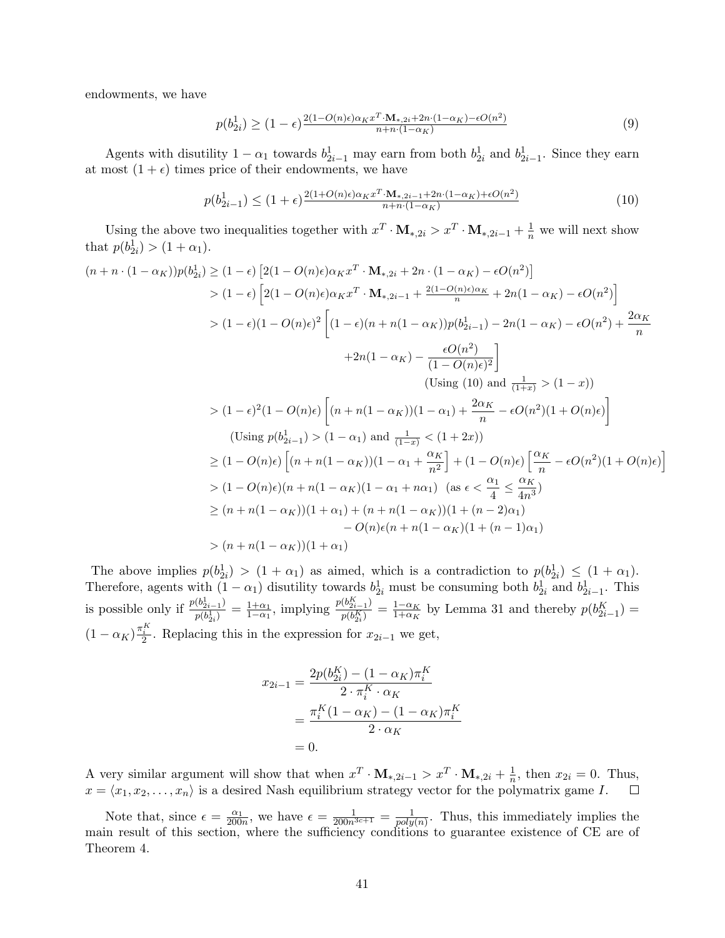endowments, we have

$$
p(b_{2i}^1) \ge (1 - \epsilon) \frac{2(1 - O(n)\epsilon)\alpha_K x^T \cdot \mathbf{M}_{*,2i} + 2n \cdot (1 - \alpha_K) - \epsilon O(n^2)}{n + n \cdot (1 - \alpha_K)} \tag{9}
$$

Agents with disutility  $1 - \alpha_1$  towards  $b_{2i-1}^1$  may earn from both  $b_{2i}^1$  and  $b_{2i-1}^1$ . Since they earn at most  $(1 + \epsilon)$  times price of their endowments, we have

<span id="page-40-0"></span>
$$
p(b_{2i-1}^1) \le (1+\epsilon) \frac{2(1+O(n)\epsilon)\alpha_K x^T \cdot M_{*,2i-1} + 2n \cdot (1-\alpha_K) + \epsilon O(n^2)}{n+n \cdot (1-\alpha_K)}
$$
(10)

i

Using the above two inequalities together with  $x^T \cdot M_{*,2i} > x^T \cdot M_{*,2i-1} + \frac{1}{n}$  we will next show that  $p(b_{2i}^1) > (1 + \alpha_1)$ .

$$
(n+n \cdot (1-\alpha_K))p(b_{2i}^1) \ge (1-\epsilon) \left[2(1-O(n)\epsilon)\alpha_K x^T \cdot \mathbf{M}_{*,2i-1} + 2n \cdot (1-\alpha_K) - \epsilon O(n^2)\right]
$$
  
\n
$$
> (1-\epsilon) \left[2(1-O(n)\epsilon)\alpha_K x^T \cdot \mathbf{M}_{*,2i-1} + \frac{2(1-O(n)\epsilon)\alpha_K}{n} + 2n(1-\alpha_K) - \epsilon O(n^2)\right]
$$
  
\n
$$
> (1-\epsilon)(1-O(n)\epsilon)^2 \left[(1-\epsilon)(n+n(1-\alpha_K))p(b_{2i-1}^1) - 2n(1-\alpha_K) - \epsilon O(n^2) + \frac{2\alpha_K}{n} + 2n(1-\alpha_K) - \frac{\epsilon O(n^2)}{(1-O(n)\epsilon)^2}\right]
$$
  
\n
$$
(Using (10) and \frac{1}{(1+x)} > (1-x))
$$
  
\n
$$
> (1-\epsilon)^2(1-O(n)\epsilon) \left[(n+n(1-\alpha_K))(1-\alpha_1) + \frac{2\alpha_K}{n} - \epsilon O(n^2)(1+O(n)\epsilon)\right]
$$
  
\n
$$
(Using p(b_{2i-1}^1) > (1-\alpha_1) \text{ and } \frac{1}{(1-x)} < (1+2x))
$$
  
\n
$$
\ge (1-O(n)\epsilon) \left[(n+n(1-\alpha_K))(1-\alpha_1+\frac{\alpha_K}{n^2}\right] + (1-O(n)\epsilon) \left[\frac{\alpha_K}{n} - \epsilon O(n^2)(1+O(n)\epsilon)\right]
$$
  
\n
$$
> (1-O(n)\epsilon)(n+n(1-\alpha_K)(1-\alpha_1+n\alpha_1) \quad \text{(as } \epsilon < \frac{\alpha_1}{4} \le \frac{\alpha_K}{4n^3})
$$
  
\n
$$
\ge (n+n(1-\alpha_K))(1+\alpha_1) + (n+n(1-\alpha_K))(1+(n-2)\alpha_1)
$$
  
\n
$$
-O(n)\epsilon(n+n(1-\alpha_K))(1+\alpha_1)
$$

The above implies  $p(b_{2i}^1) > (1 + \alpha_1)$  as aimed, which is a contradiction to  $p(b_{2i}^1) \leq (1 + \alpha_1)$ . Therefore, agents with  $(1 - \alpha_1)$  disutility towards  $b_{2i}^1$  must be consuming both  $b_{2i}^1$  and  $b_{2i-1}^1$ . This is possible only if  $\frac{p(b_{2i-1}^1)}{p(b_1^1)}$  $\frac{(b_{2i-1}^{\dagger})}{p(b_{2i}^{\dagger})} = \frac{1+\alpha_1}{1-\alpha_1}$  $\frac{1+\alpha_1}{1-\alpha_1}$ , implying  $\frac{p(b_{2i-1}^K)}{p(b_{2i}^K)}$  $\frac{(b_{2i-1}^{\prime k})}{p(b_{2i}^K)} = \frac{1-\alpha_K}{1+\alpha_K}$  $\frac{1-\alpha_K}{1+\alpha_K}$  by Lemma [31](#page-38-0) and thereby  $p(b_{2i-1}^K)$  =  $(1 - \alpha_K)^{\frac{\pi^K_i}{2}}$ . Replacing this in the expression for  $x_{2i-1}$  we get,

$$
x_{2i-1} = \frac{2p(b_{2i}^K) - (1 - \alpha_K)\pi_i^K}{2 \cdot \pi_i^K \cdot \alpha_K}
$$
  
= 
$$
\frac{\pi_i^K (1 - \alpha_K) - (1 - \alpha_K)\pi_i^K}{2 \cdot \alpha_K}
$$
  
= 0.

A very similar argument will show that when  $x^T \cdot M_{*,2i-1} > x^T \cdot M_{*,2i} + \frac{1}{n}$  $\frac{1}{n}$ , then  $x_{2i} = 0$ . Thus,  $x = \langle x_1, x_2, \ldots, x_n \rangle$  is a desired Nash equilibrium strategy vector for the polymatrix game I.

Note that, since  $\epsilon = \frac{\alpha_1}{200n}$ , we have  $\epsilon = \frac{1}{200n^{3c+1}} = \frac{1}{poly}$  $\frac{1}{poly(n)}$ . Thus, this immediately implies the main result of this section, where the sufficiency conditions to guarantee existence of CE are of Theorem [4.](#page-4-1)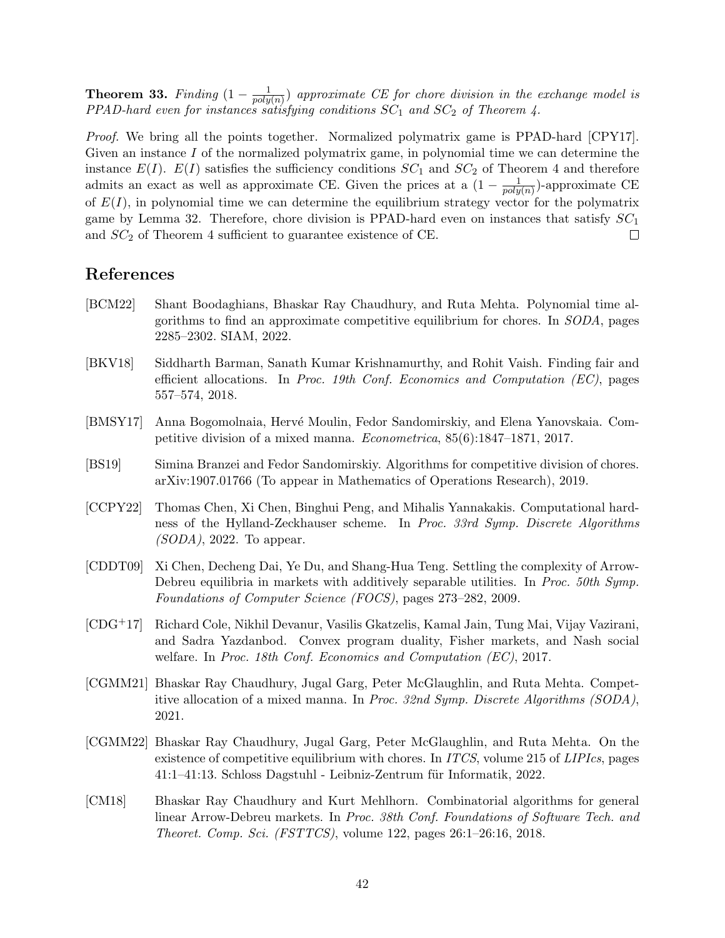Theorem 33. Finding  $(1 - \frac{1}{nclw})$  $\frac{1}{poly(n)}$ ) approximate CE for chore division in the exchange model is PPAD-hard even for instances satisfying conditions  $SC_1$  and  $SC_2$  of Theorem [4.](#page-4-1)

Proof. We bring all the points together. Normalized polymatrix game is PPAD-hard [\[CPY17\]](#page-42-11). Given an instance I of the normalized polymatrix game, in polynomial time we can determine the instance  $E(I)$ .  $E(I)$  satisfies the sufficiency conditions  $SC_1$  and  $SC_2$  of Theorem [4](#page-4-1) and therefore admits an exact as well as approximate CE. Given the prices at a  $(1 - \frac{1}{n\alpha^2})$  $\frac{1}{poly(n)}$ -approximate CE of  $E(I)$ , in polynomial time we can determine the equilibrium strategy vector for the polymatrix game by Lemma [32.](#page-39-0) Therefore, chore division is PPAD-hard even on instances that satisfy  $SC<sub>1</sub>$ and  $SC_2$  of Theorem [4](#page-4-1) sufficient to guarantee existence of CE.  $\Box$ 

# References

- <span id="page-41-2"></span>[BCM22] Shant Boodaghians, Bhaskar Ray Chaudhury, and Ruta Mehta. Polynomial time algorithms to find an approximate competitive equilibrium for chores. In SODA, pages 2285–2302. SIAM, 2022.
- <span id="page-41-5"></span>[BKV18] Siddharth Barman, Sanath Kumar Krishnamurthy, and Rohit Vaish. Finding fair and efficient allocations. In Proc. 19th Conf. Economics and Computation (EC), pages 557–574, 2018.
- <span id="page-41-1"></span>[BMSY17] Anna Bogomolnaia, Hervé Moulin, Fedor Sandomirskiy, and Elena Yanovskaia. Competitive division of a mixed manna. Econometrica, 85(6):1847–1871, 2017.
- <span id="page-41-9"></span>[BS19] Simina Branzei and Fedor Sandomirskiy. Algorithms for competitive division of chores. arXiv:1907.01766 (To appear in Mathematics of Operations Research), 2019.
- <span id="page-41-8"></span>[CCPY22] Thomas Chen, Xi Chen, Binghui Peng, and Mihalis Yannakakis. Computational hardness of the Hylland-Zeckhauser scheme. In Proc. 33rd Symp. Discrete Algorithms  $(SODA)$ , 2022. To appear.
- <span id="page-41-7"></span>[CDDT09] Xi Chen, Decheng Dai, Ye Du, and Shang-Hua Teng. Settling the complexity of Arrow-Debreu equilibria in markets with additively separable utilities. In *Proc. 50th Symp*. Foundations of Computer Science (FOCS), pages 273–282, 2009.
- <span id="page-41-6"></span>[CDG+17] Richard Cole, Nikhil Devanur, Vasilis Gkatzelis, Kamal Jain, Tung Mai, Vijay Vazirani, and Sadra Yazdanbod. Convex program duality, Fisher markets, and Nash social welfare. In Proc. 18th Conf. Economics and Computation (EC), 2017.
- <span id="page-41-3"></span>[CGMM21] Bhaskar Ray Chaudhury, Jugal Garg, Peter McGlaughlin, and Ruta Mehta. Competitive allocation of a mixed manna. In Proc. 32nd Symp. Discrete Algorithms (SODA), 2021.
- <span id="page-41-4"></span>[CGMM22] Bhaskar Ray Chaudhury, Jugal Garg, Peter McGlaughlin, and Ruta Mehta. On the existence of competitive equilibrium with chores. In *ITCS*, volume 215 of *LIPIcs*, pages 41:1–41:13. Schloss Dagstuhl - Leibniz-Zentrum für Informatik, 2022.
- <span id="page-41-0"></span>[CM18] Bhaskar Ray Chaudhury and Kurt Mehlhorn. Combinatorial algorithms for general linear Arrow-Debreu markets. In Proc. 38th Conf. Foundations of Software Tech. and Theoret. Comp. Sci. (FSTTCS), volume 122, pages 26:1–26:16, 2018.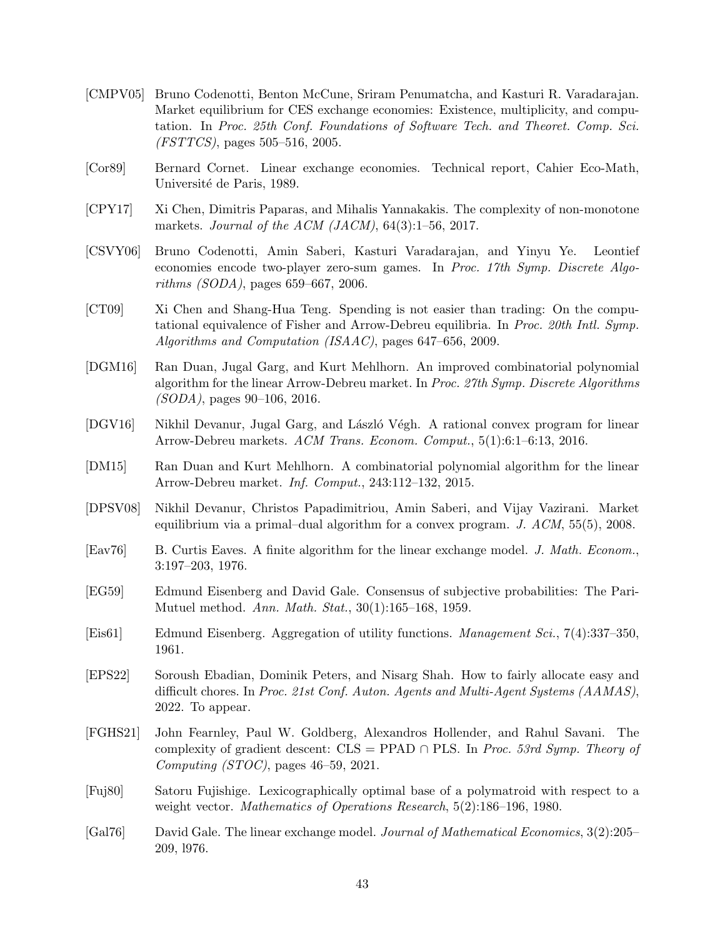- <span id="page-42-14"></span>[CMPV05] Bruno Codenotti, Benton McCune, Sriram Penumatcha, and Kasturi R. Varadarajan. Market equilibrium for CES exchange economies: Existence, multiplicity, and computation. In Proc. 25th Conf. Foundations of Software Tech. and Theoret. Comp. Sci. (FSTTCS), pages 505–516, 2005.
- <span id="page-42-4"></span>[Cor89] Bernard Cornet. Linear exchange economies. Technical report, Cahier Eco-Math, Université de Paris, 1989.
- <span id="page-42-11"></span>[CPY17] Xi Chen, Dimitris Paparas, and Mihalis Yannakakis. The complexity of non-monotone markets. Journal of the ACM (JACM),  $64(3):1-56$ , 2017.
- <span id="page-42-10"></span>[CSVY06] Bruno Codenotti, Amin Saberi, Kasturi Varadarajan, and Yinyu Ye. Leontief economies encode two-player zero-sum games. In Proc. 17th Symp. Discrete Algorithms (SODA), pages 659–667, 2006.
- <span id="page-42-12"></span>[CT09] Xi Chen and Shang-Hua Teng. Spending is not easier than trading: On the computational equivalence of Fisher and Arrow-Debreu equilibria. In Proc. 20th Intl. Symp. Algorithms and Computation (ISAAC), pages 647–656, 2009.
- <span id="page-42-7"></span>[DGM16] Ran Duan, Jugal Garg, and Kurt Mehlhorn. An improved combinatorial polynomial algorithm for the linear Arrow-Debreu market. In Proc. 27th Symp. Discrete Algorithms (SODA), pages 90–106, 2016.
- <span id="page-42-13"></span>[DGV16] Nikhil Devanur, Jugal Garg, and László Végh. A rational convex program for linear Arrow-Debreu markets. ACM Trans. Econom. Comput., 5(1):6:1–6:13, 2016.
- <span id="page-42-6"></span>[DM15] Ran Duan and Kurt Mehlhorn. A combinatorial polynomial algorithm for the linear Arrow-Debreu market. Inf. Comput., 243:112–132, 2015.
- <span id="page-42-0"></span>[DPSV08] Nikhil Devanur, Christos Papadimitriou, Amin Saberi, and Vijay Vazirani. Market equilibrium via a primal–dual algorithm for a convex program.  $J.$   $ACM$ ,  $55(5)$ , 2008.
- <span id="page-42-5"></span>[Eav76] B. Curtis Eaves. A finite algorithm for the linear exchange model. J. Math. Econom., 3:197–203, 1976.
- <span id="page-42-3"></span>[EG59] Edmund Eisenberg and David Gale. Consensus of subjective probabilities: The Pari-Mutuel method. Ann. Math. Stat., 30(1):165–168, 1959.
- <span id="page-42-9"></span>[Eis61] Edmund Eisenberg. Aggregation of utility functions. Management Sci., 7(4):337–350, 1961.
- <span id="page-42-1"></span>[EPS22] Soroush Ebadian, Dominik Peters, and Nisarg Shah. How to fairly allocate easy and difficult chores. In Proc. 21st Conf. Auton. Agents and Multi-Agent Systems (AAMAS), 2022. To appear.
- <span id="page-42-8"></span>[FGHS21] John Fearnley, Paul W. Goldberg, Alexandros Hollender, and Rahul Savani. The complexity of gradient descent:  $CLS = PPAD \cap PLS$ . In *Proc. 53rd Symp. Theory of* Computing (STOC), pages  $46-59$ , 2021.
- <span id="page-42-15"></span>[Fuj80] Satoru Fujishige. Lexicographically optimal base of a polymatroid with respect to a weight vector. Mathematics of Operations Research, 5(2):186–196, 1980.
- <span id="page-42-2"></span>[Gal76] David Gale. The linear exchange model. Journal of Mathematical Economics, 3(2):205– 209, l976.